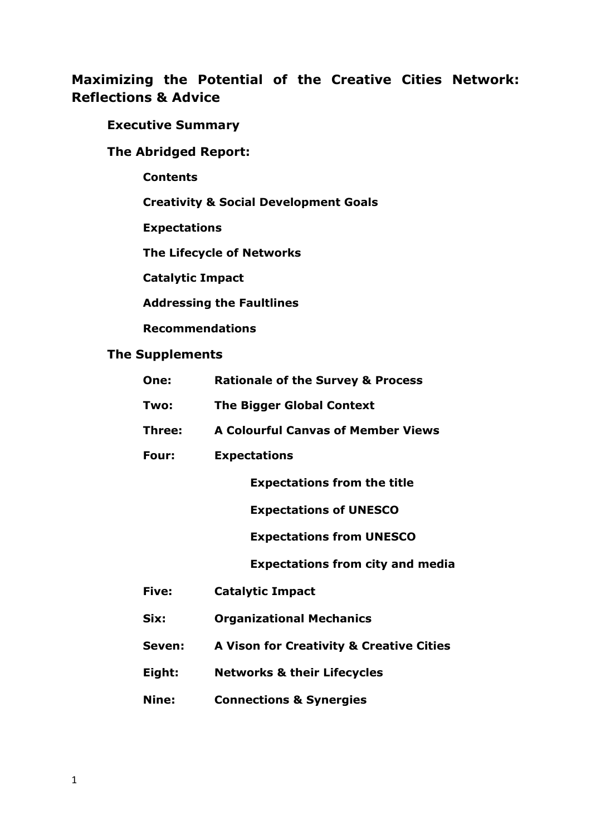# **Maximizing the Potential of the Creative Cities Network: Reflections & Advice**

#### **Executive Summary**

# **The Abridged Report:**

**Contents**

**Creativity & Social Development Goals**

**Expectations**

**The Lifecycle of Networks**

**Catalytic Impact**

**Addressing the Faultlines**

**Recommendations**

#### **The Supplements**

| One:   | <b>Rationale of the Survey &amp; Process</b> |
|--------|----------------------------------------------|
| Two:   | <b>The Bigger Global Context</b>             |
| Three: | <b>A Colourful Canvas of Member Views</b>    |
| Four:  | <b>Expectations</b>                          |
|        | <b>Expectations from the title</b>           |
|        | <b>Expectations of UNESCO</b>                |
|        | <b>Expectations from UNESCO</b>              |
|        | <b>Expectations from city and media</b>      |
| Five:  | <b>Catalytic Impact</b>                      |
| Six:   | <b>Organizational Mechanics</b>              |
| Seven: | A Vison for Creativity & Creative Cities     |
| Eight: | <b>Networks &amp; their Lifecycles</b>       |
| Nine:  | <b>Connections &amp; Synergies</b>           |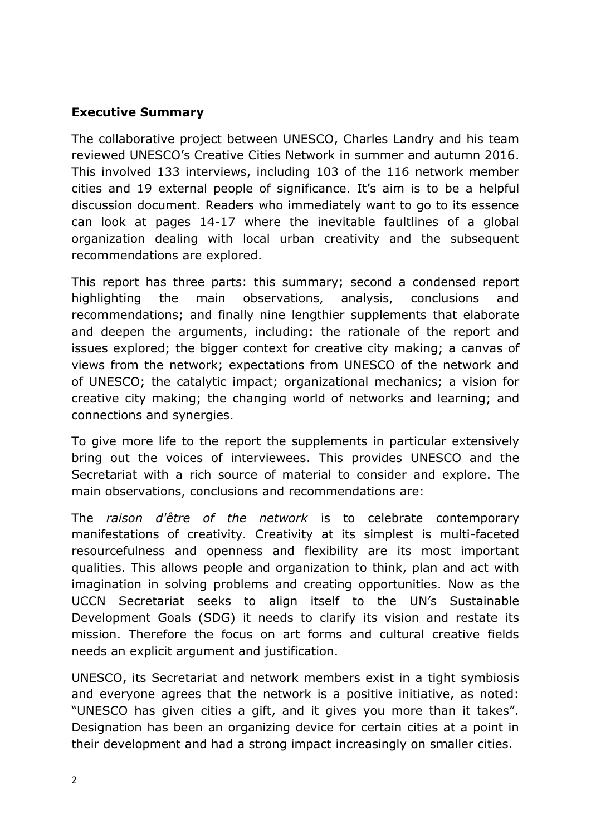# **Executive Summary**

The collaborative project between UNESCO, Charles Landry and his team reviewed UNESCO's Creative Cities Network in summer and autumn 2016. This involved 133 interviews, including 103 of the 116 network member cities and 19 external people of significance. It's aim is to be a helpful discussion document. Readers who immediately want to go to its essence can look at pages 14-17 where the inevitable faultlines of a global organization dealing with local urban creativity and the subsequent recommendations are explored.

This report has three parts: this summary; second a condensed report highlighting the main observations, analysis, conclusions and recommendations; and finally nine lengthier supplements that elaborate and deepen the arguments, including: the rationale of the report and issues explored; the bigger context for creative city making; a canvas of views from the network; expectations from UNESCO of the network and of UNESCO; the catalytic impact; organizational mechanics; a vision for creative city making; the changing world of networks and learning; and connections and synergies.

To give more life to the report the supplements in particular extensively bring out the voices of interviewees. This provides UNESCO and the Secretariat with a rich source of material to consider and explore. The main observations, conclusions and recommendations are:

The *raison d'être of the network* is to celebrate contemporary manifestations of creativity*.* Creativity at its simplest is multi-faceted resourcefulness and openness and flexibility are its most important qualities. This allows people and organization to think, plan and act with imagination in solving problems and creating opportunities. Now as the UCCN Secretariat seeks to align itself to the UN's Sustainable Development Goals (SDG) it needs to clarify its vision and restate its mission. Therefore the focus on art forms and cultural creative fields needs an explicit argument and justification.

UNESCO, its Secretariat and network members exist in a tight symbiosis and everyone agrees that the network is a positive initiative, as noted: "UNESCO has given cities a gift, and it gives you more than it takes". Designation has been an organizing device for certain cities at a point in their development and had a strong impact increasingly on smaller cities.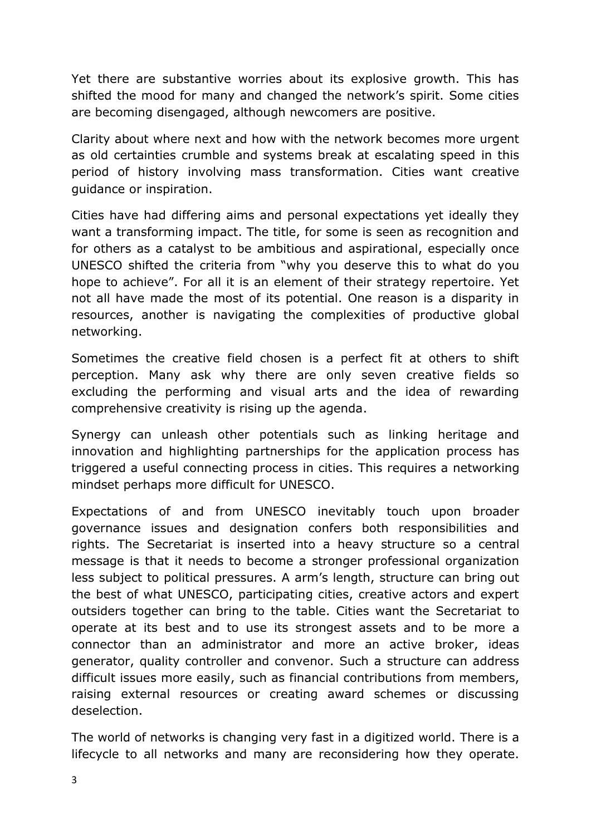Yet there are substantive worries about its explosive growth. This has shifted the mood for many and changed the network's spirit. Some cities are becoming disengaged, although newcomers are positive.

Clarity about where next and how with the network becomes more urgent as old certainties crumble and systems break at escalating speed in this period of history involving mass transformation. Cities want creative guidance or inspiration.

Cities have had differing aims and personal expectations yet ideally they want a transforming impact. The title, for some is seen as recognition and for others as a catalyst to be ambitious and aspirational, especially once UNESCO shifted the criteria from "why you deserve this to what do you hope to achieve". For all it is an element of their strategy repertoire. Yet not all have made the most of its potential. One reason is a disparity in resources, another is navigating the complexities of productive global networking.

Sometimes the creative field chosen is a perfect fit at others to shift perception. Many ask why there are only seven creative fields so excluding the performing and visual arts and the idea of rewarding comprehensive creativity is rising up the agenda.

Synergy can unleash other potentials such as linking heritage and innovation and highlighting partnerships for the application process has triggered a useful connecting process in cities. This requires a networking mindset perhaps more difficult for UNESCO.

Expectations of and from UNESCO inevitably touch upon broader governance issues and designation confers both responsibilities and rights. The Secretariat is inserted into a heavy structure so a central message is that it needs to become a stronger professional organization less subject to political pressures. A arm's length, structure can bring out the best of what UNESCO, participating cities, creative actors and expert outsiders together can bring to the table. Cities want the Secretariat to operate at its best and to use its strongest assets and to be more a connector than an administrator and more an active broker, ideas generator, quality controller and convenor. Such a structure can address difficult issues more easily, such as financial contributions from members, raising external resources or creating award schemes or discussing deselection.

The world of networks is changing very fast in a digitized world. There is a lifecycle to all networks and many are reconsidering how they operate.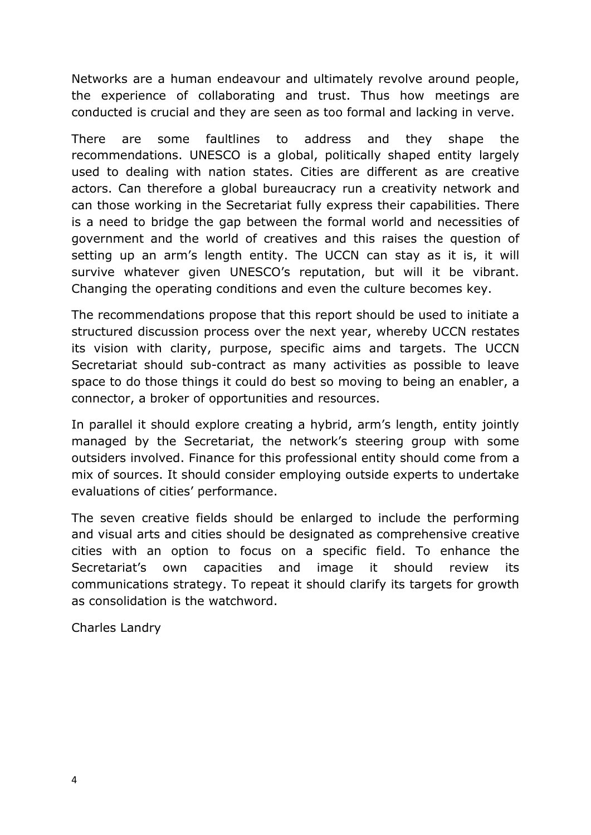Networks are a human endeavour and ultimately revolve around people, the experience of collaborating and trust. Thus how meetings are conducted is crucial and they are seen as too formal and lacking in verve.

There are some faultlines to address and they shape the recommendations. UNESCO is a global, politically shaped entity largely used to dealing with nation states. Cities are different as are creative actors. Can therefore a global bureaucracy run a creativity network and can those working in the Secretariat fully express their capabilities. There is a need to bridge the gap between the formal world and necessities of government and the world of creatives and this raises the question of setting up an arm's length entity. The UCCN can stay as it is, it will survive whatever given UNESCO's reputation, but will it be vibrant. Changing the operating conditions and even the culture becomes key.

The recommendations propose that this report should be used to initiate a structured discussion process over the next year, whereby UCCN restates its vision with clarity, purpose, specific aims and targets. The UCCN Secretariat should sub-contract as many activities as possible to leave space to do those things it could do best so moving to being an enabler, a connector, a broker of opportunities and resources.

In parallel it should explore creating a hybrid, arm's length, entity jointly managed by the Secretariat, the network's steering group with some outsiders involved. Finance for this professional entity should come from a mix of sources. It should consider employing outside experts to undertake evaluations of cities' performance.

The seven creative fields should be enlarged to include the performing and visual arts and cities should be designated as comprehensive creative cities with an option to focus on a specific field. To enhance the Secretariat's own capacities and image it should review its communications strategy. To repeat it should clarify its targets for growth as consolidation is the watchword.

Charles Landry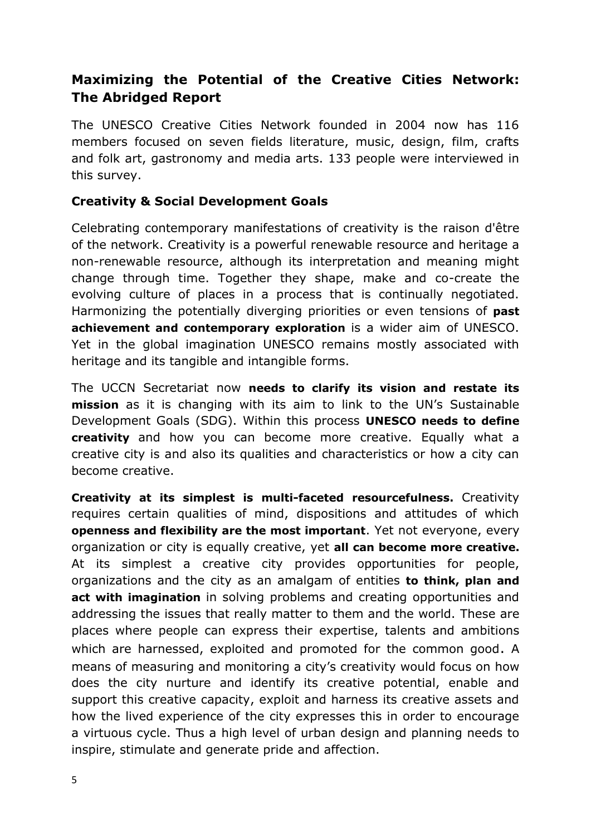# **Maximizing the Potential of the Creative Cities Network: The Abridged Report**

The UNESCO Creative Cities Network founded in 2004 now has 116 members focused on seven fields literature, music, design, film, crafts and folk art, gastronomy and media arts. 133 people were interviewed in this survey.

### **Creativity & Social Development Goals**

Celebrating contemporary manifestations of creativity is the raison d'être of the network. Creativity is a powerful renewable resource and heritage a non-renewable resource, although its interpretation and meaning might change through time. Together they shape, make and co-create the evolving culture of places in a process that is continually negotiated. Harmonizing the potentially diverging priorities or even tensions of **past achievement and contemporary exploration** is a wider aim of UNESCO. Yet in the global imagination UNESCO remains mostly associated with heritage and its tangible and intangible forms.

The UCCN Secretariat now **needs to clarify its vision and restate its mission** as it is changing with its aim to link to the UN's Sustainable Development Goals (SDG). Within this process **UNESCO needs to define creativity** and how you can become more creative. Equally what a creative city is and also its qualities and characteristics or how a city can become creative.

**Creativity at its simplest is multi-faceted resourcefulness.** Creativity requires certain qualities of mind, dispositions and attitudes of which **openness and flexibility are the most important**. Yet not everyone, every organization or city is equally creative, yet **all can become more creative.**  At its simplest a creative city provides opportunities for people, organizations and the city as an amalgam of entities **to think, plan and act with imagination** in solving problems and creating opportunities and addressing the issues that really matter to them and the world. These are places where people can express their expertise, talents and ambitions which are harnessed, exploited and promoted for the common good. A means of measuring and monitoring a city's creativity would focus on how does the city nurture and identify its creative potential, enable and support this creative capacity, exploit and harness its creative assets and how the lived experience of the city expresses this in order to encourage a virtuous cycle. Thus a high level of urban design and planning needs to inspire, stimulate and generate pride and affection.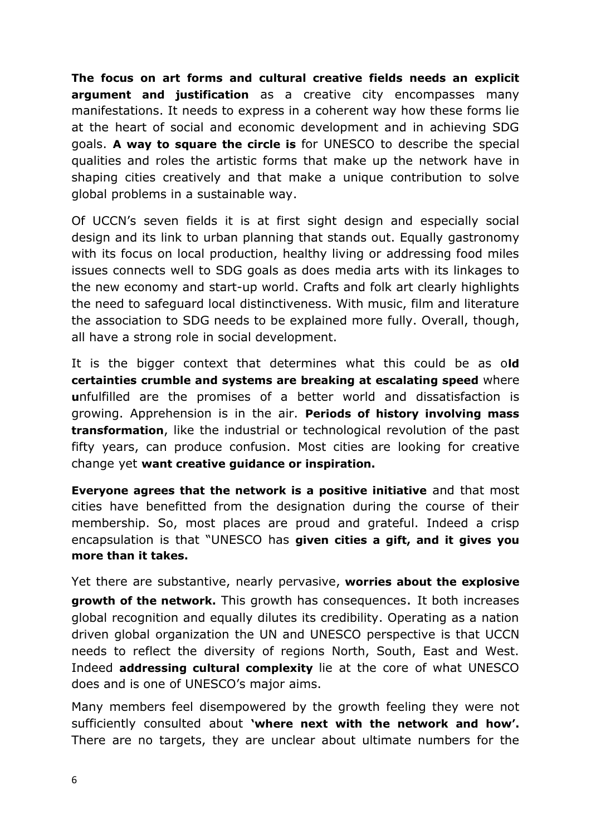**The focus on art forms and cultural creative fields needs an explicit argument and justification** as a creative city encompasses many manifestations. It needs to express in a coherent way how these forms lie at the heart of social and economic development and in achieving SDG goals. **A way to square the circle is** for UNESCO to describe the special qualities and roles the artistic forms that make up the network have in shaping cities creatively and that make a unique contribution to solve global problems in a sustainable way.

Of UCCN's seven fields it is at first sight design and especially social design and its link to urban planning that stands out. Equally gastronomy with its focus on local production, healthy living or addressing food miles issues connects well to SDG goals as does media arts with its linkages to the new economy and start-up world. Crafts and folk art clearly highlights the need to safeguard local distinctiveness. With music, film and literature the association to SDG needs to be explained more fully. Overall, though, all have a strong role in social development.

It is the bigger context that determines what this could be as o**ld certainties crumble and systems are breaking at escalating speed** where **u**nfulfilled are the promises of a better world and dissatisfaction is growing. Apprehension is in the air. **Periods of history involving mass transformation**, like the industrial or technological revolution of the past fifty years, can produce confusion. Most cities are looking for creative change yet **want creative guidance or inspiration.**

**Everyone agrees that the network is a positive initiative** and that most cities have benefitted from the designation during the course of their membership. So, most places are proud and grateful. Indeed a crisp encapsulation is that "UNESCO has **given cities a gift, and it gives you more than it takes.**

Yet there are substantive, nearly pervasive, **worries about the explosive growth of the network.** This growth has consequences. It both increases global recognition and equally dilutes its credibility. Operating as a nation driven global organization the UN and UNESCO perspective is that UCCN needs to reflect the diversity of regions North, South, East and West. Indeed **addressing cultural complexity** lie at the core of what UNESCO does and is one of UNESCO's major aims.

Many members feel disempowered by the growth feeling they were not sufficiently consulted about **'where next with the network and how'.** There are no targets, they are unclear about ultimate numbers for the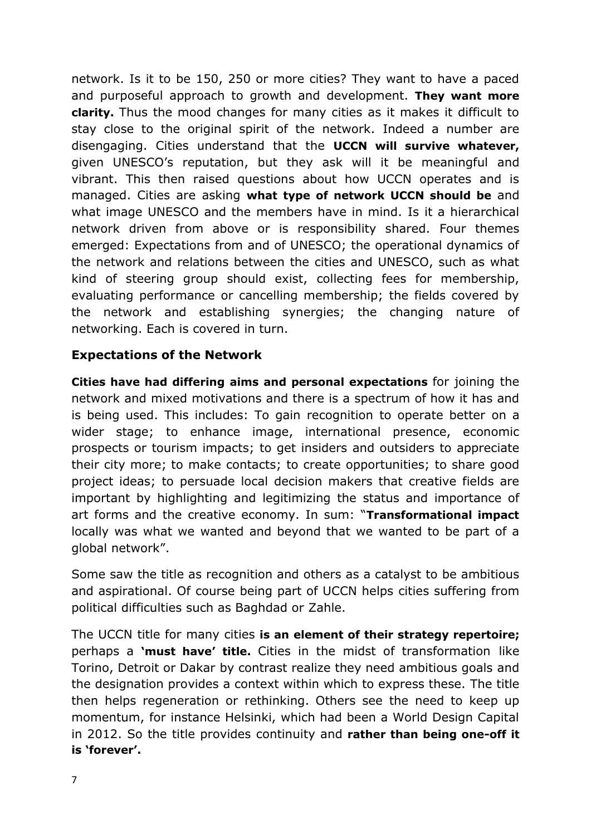network. Is it to be 150, 250 or more cities? They want to have a paced and purposeful approach to growth and development. **They want more clarity.** Thus the mood changes for many cities as it makes it difficult to stay close to the original spirit of the network. Indeed a number are disengaging. Cities understand that the **UCCN will survive whatever,**  given UNESCO's reputation, but they ask will it be meaningful and vibrant. This then raised questions about how UCCN operates and is managed. Cities are asking **what type of network UCCN should be** and what image UNESCO and the members have in mind. Is it a hierarchical network driven from above or is responsibility shared. Four themes emerged: Expectations from and of UNESCO; the operational dynamics of the network and relations between the cities and UNESCO, such as what kind of steering group should exist, collecting fees for membership, evaluating performance or cancelling membership; the fields covered by the network and establishing synergies; the changing nature of networking. Each is covered in turn.

### **Expectations of the Network**

**Cities have had differing aims and personal expectations** for joining the network and mixed motivations and there is a spectrum of how it has and is being used. This includes: To gain recognition to operate better on a wider stage; to enhance image, international presence, economic prospects or tourism impacts; to get insiders and outsiders to appreciate their city more; to make contacts; to create opportunities; to share good project ideas; to persuade local decision makers that creative fields are important by highlighting and legitimizing the status and importance of art forms and the creative economy. In sum: "**Transformational impact** locally was what we wanted and beyond that we wanted to be part of a global network".

Some saw the title as recognition and others as a catalyst to be ambitious and aspirational. Of course being part of UCCN helps cities suffering from political difficulties such as Baghdad or Zahle.

The UCCN title for many cities **is an element of their strategy repertoire;**  perhaps a **'must have' title.** Cities in the midst of transformation like Torino, Detroit or Dakar by contrast realize they need ambitious goals and the designation provides a context within which to express these. The title then helps regeneration or rethinking. Others see the need to keep up momentum, for instance Helsinki, which had been a World Design Capital in 2012. So the title provides continuity and **rather than being one-off it is 'forever'.**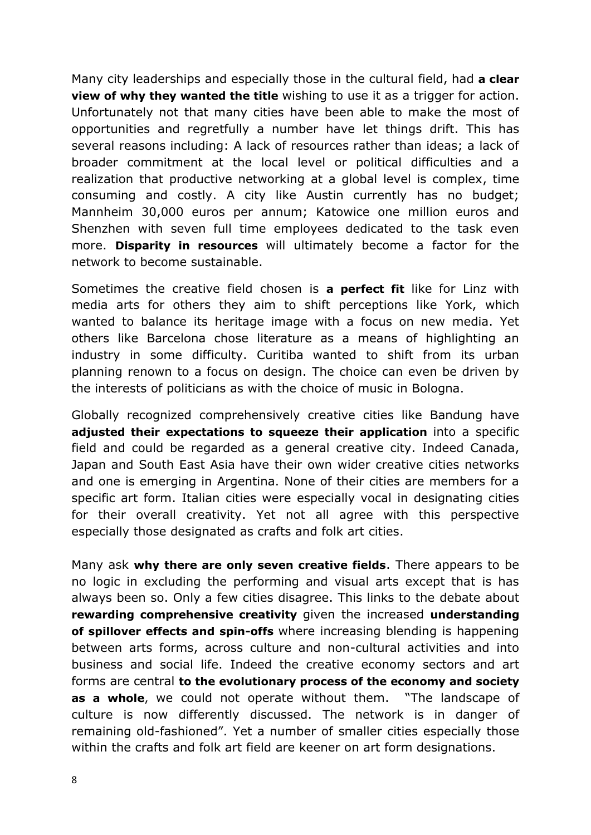Many city leaderships and especially those in the cultural field, had **a clear view of why they wanted the title** wishing to use it as a trigger for action. Unfortunately not that many cities have been able to make the most of opportunities and regretfully a number have let things drift. This has several reasons including: A lack of resources rather than ideas; a lack of broader commitment at the local level or political difficulties and a realization that productive networking at a global level is complex, time consuming and costly. A city like Austin currently has no budget; Mannheim 30,000 euros per annum; Katowice one million euros and Shenzhen with seven full time employees dedicated to the task even more. **Disparity in resources** will ultimately become a factor for the network to become sustainable.

Sometimes the creative field chosen is **a perfect fit** like for Linz with media arts for others they aim to shift perceptions like York, which wanted to balance its heritage image with a focus on new media. Yet others like Barcelona chose literature as a means of highlighting an industry in some difficulty. Curitiba wanted to shift from its urban planning renown to a focus on design. The choice can even be driven by the interests of politicians as with the choice of music in Bologna.

Globally recognized comprehensively creative cities like Bandung have **adjusted their expectations to squeeze their application** into a specific field and could be regarded as a general creative city. Indeed Canada, Japan and South East Asia have their own wider creative cities networks and one is emerging in Argentina. None of their cities are members for a specific art form. Italian cities were especially vocal in designating cities for their overall creativity. Yet not all agree with this perspective especially those designated as crafts and folk art cities.

Many ask **why there are only seven creative fields**. There appears to be no logic in excluding the performing and visual arts except that is has always been so. Only a few cities disagree. This links to the debate about **rewarding comprehensive creativity** given the increased **understanding of spillover effects and spin-offs** where increasing blending is happening between arts forms, across culture and non-cultural activities and into business and social life. Indeed the creative economy sectors and art forms are central **to the evolutionary process of the economy and society as a whole**, we could not operate without them. "The landscape of culture is now differently discussed. The network is in danger of remaining old-fashioned". Yet a number of smaller cities especially those within the crafts and folk art field are keener on art form designations.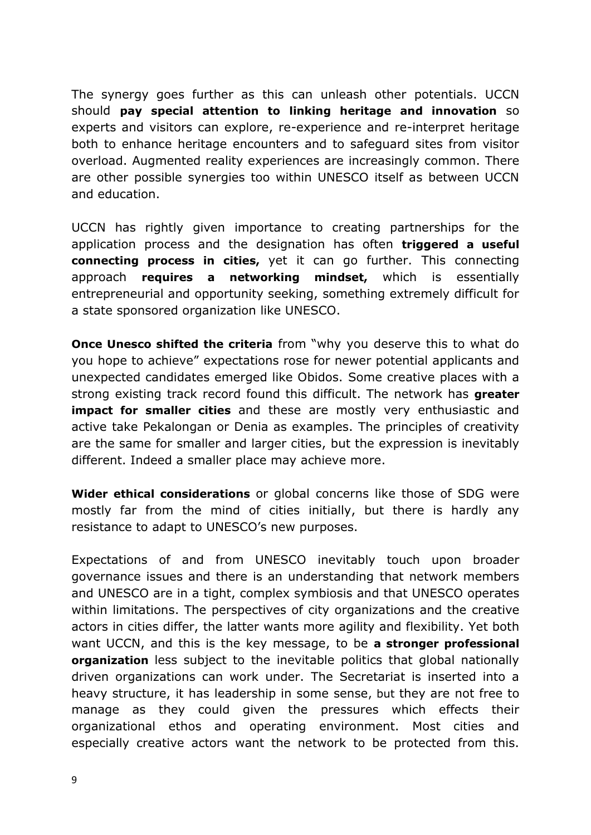The synergy goes further as this can unleash other potentials. UCCN should **pay special attention to linking heritage and innovation** so experts and visitors can explore, re-experience and re-interpret heritage both to enhance heritage encounters and to safeguard sites from visitor overload. Augmented reality experiences are increasingly common. There are other possible synergies too within UNESCO itself as between UCCN and education.

UCCN has rightly given importance to creating partnerships for the application process and the designation has often **triggered a useful connecting process in cities,** yet it can go further. This connecting approach **requires a networking mindset,** which is essentially entrepreneurial and opportunity seeking, something extremely difficult for a state sponsored organization like UNESCO.

**Once Unesco shifted the criteria** from "why you deserve this to what do you hope to achieve" expectations rose for newer potential applicants and unexpected candidates emerged like Obidos. Some creative places with a strong existing track record found this difficult. The network has **greater impact for smaller cities** and these are mostly very enthusiastic and active take Pekalongan or Denia as examples. The principles of creativity are the same for smaller and larger cities, but the expression is inevitably different. Indeed a smaller place may achieve more.

**Wider ethical considerations** or global concerns like those of SDG were mostly far from the mind of cities initially, but there is hardly any resistance to adapt to UNESCO's new purposes.

Expectations of and from UNESCO inevitably touch upon broader governance issues and there is an understanding that network members and UNESCO are in a tight, complex symbiosis and that UNESCO operates within limitations. The perspectives of city organizations and the creative actors in cities differ, the latter wants more agility and flexibility. Yet both want UCCN, and this is the key message, to be **a stronger professional organization** less subject to the inevitable politics that global nationally driven organizations can work under. The Secretariat is inserted into a heavy structure, it has leadership in some sense, but they are not free to manage as they could given the pressures which effects their organizational ethos and operating environment. Most cities and especially creative actors want the network to be protected from this.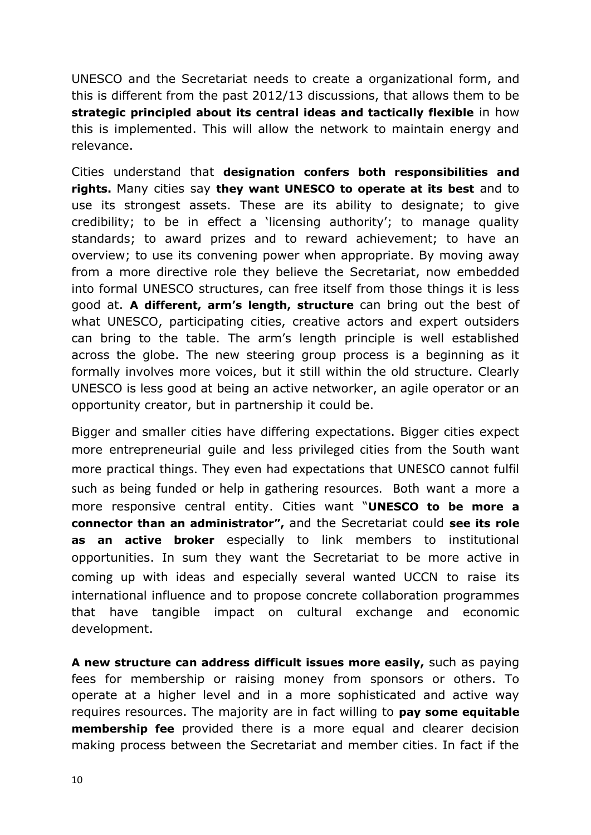UNESCO and the Secretariat needs to create a organizational form, and this is different from the past 2012/13 discussions, that allows them to be **strategic principled about its central ideas and tactically flexible** in how this is implemented. This will allow the network to maintain energy and relevance.

Cities understand that **designation confers both responsibilities and rights.** Many cities say **they want UNESCO to operate at its best** and to use its strongest assets. These are its ability to designate; to give credibility; to be in effect a 'licensing authority'; to manage quality standards; to award prizes and to reward achievement; to have an overview; to use its convening power when appropriate. By moving away from a more directive role they believe the Secretariat, now embedded into formal UNESCO structures, can free itself from those things it is less good at. **A different, arm's length, structure** can bring out the best of what UNESCO, participating cities, creative actors and expert outsiders can bring to the table. The arm's length principle is well established across the globe. The new steering group process is a beginning as it formally involves more voices, but it still within the old structure. Clearly UNESCO is less good at being an active networker, an agile operator or an opportunity creator, but in partnership it could be.

Bigger and smaller cities have differing expectations. Bigger cities expect more entrepreneurial guile and less privileged cities from the South want more practical things. They even had expectations that UNESCO cannot fulfil such as being funded or help in gathering resources. Both want a more a more responsive central entity. Cities want "**UNESCO to be more a connector than an administrator",** and the Secretariat could **see its role as an active broker** especially to link members to institutional opportunities. In sum they want the Secretariat to be more active in coming up with ideas and especially several wanted UCCN to raise its international influence and to propose concrete collaboration programmes that have tangible impact on cultural exchange and economic development.

**A new structure can address difficult issues more easily,** such as paying fees for membership or raising money from sponsors or others. To operate at a higher level and in a more sophisticated and active way requires resources. The majority are in fact willing to **pay some equitable membership fee** provided there is a more equal and clearer decision making process between the Secretariat and member cities. In fact if the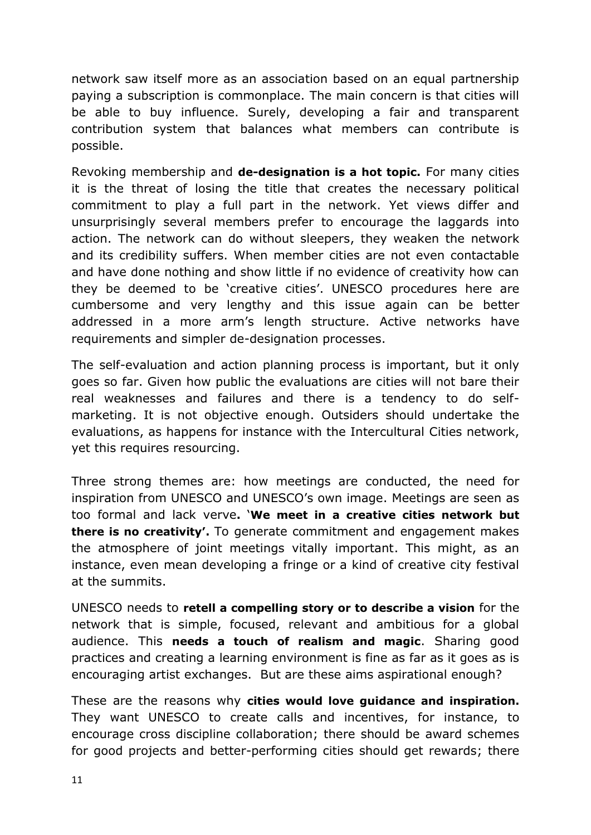network saw itself more as an association based on an equal partnership paying a subscription is commonplace. The main concern is that cities will be able to buy influence. Surely, developing a fair and transparent contribution system that balances what members can contribute is possible.

Revoking membership and **de-designation is a hot topic.** For many cities it is the threat of losing the title that creates the necessary political commitment to play a full part in the network. Yet views differ and unsurprisingly several members prefer to encourage the laggards into action. The network can do without sleepers, they weaken the network and its credibility suffers. When member cities are not even contactable and have done nothing and show little if no evidence of creativity how can they be deemed to be 'creative cities'. UNESCO procedures here are cumbersome and very lengthy and this issue again can be better addressed in a more arm's length structure. Active networks have requirements and simpler de-designation processes.

The self-evaluation and action planning process is important, but it only goes so far. Given how public the evaluations are cities will not bare their real weaknesses and failures and there is a tendency to do selfmarketing. It is not objective enough. Outsiders should undertake the evaluations, as happens for instance with the Intercultural Cities network, yet this requires resourcing.

Three strong themes are: how meetings are conducted, the need for inspiration from UNESCO and UNESCO's own image. Meetings are seen as too formal and lack verve**.** '**We meet in a creative cities network but there is no creativity'.** To generate commitment and engagement makes the atmosphere of joint meetings vitally important. This might, as an instance, even mean developing a fringe or a kind of creative city festival at the summits.

UNESCO needs to **retell a compelling story or to describe a vision** for the network that is simple, focused, relevant and ambitious for a global audience. This **needs a touch of realism and magic**. Sharing good practices and creating a learning environment is fine as far as it goes as is encouraging artist exchanges. But are these aims aspirational enough?

These are the reasons why **cities would love guidance and inspiration.**  They want UNESCO to create calls and incentives, for instance, to encourage cross discipline collaboration; there should be award schemes for good projects and better-performing cities should get rewards; there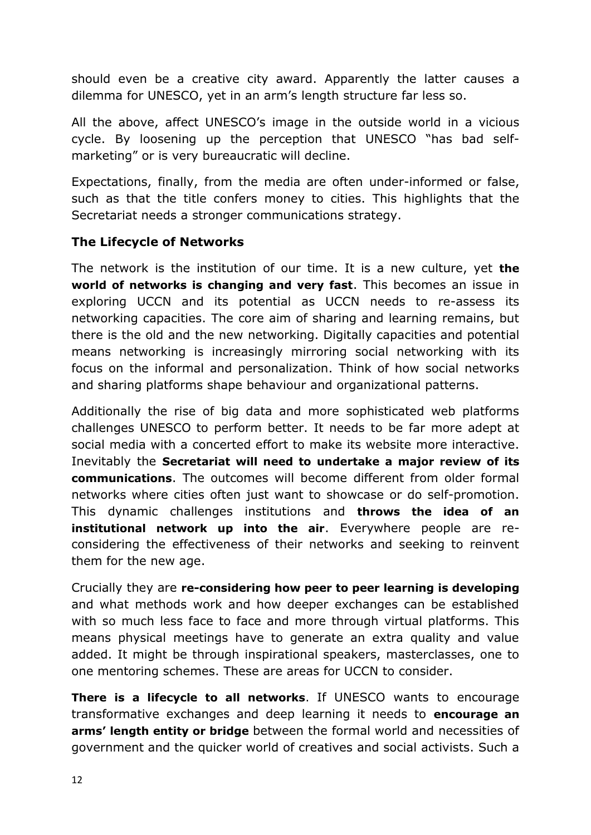should even be a creative city award. Apparently the latter causes a dilemma for UNESCO, yet in an arm's length structure far less so.

All the above, affect UNESCO's image in the outside world in a vicious cycle. By loosening up the perception that UNESCO "has bad selfmarketing" or is very bureaucratic will decline.

Expectations, finally, from the media are often under-informed or false, such as that the title confers money to cities. This highlights that the Secretariat needs a stronger communications strategy.

# **The Lifecycle of Networks**

The network is the institution of our time. It is a new culture, yet **the world of networks is changing and very fast**. This becomes an issue in exploring UCCN and its potential as UCCN needs to re-assess its networking capacities. The core aim of sharing and learning remains, but there is the old and the new networking. Digitally capacities and potential means networking is increasingly mirroring social networking with its focus on the informal and personalization. Think of how social networks and sharing platforms shape behaviour and organizational patterns.

Additionally the rise of big data and more sophisticated web platforms challenges UNESCO to perform better. It needs to be far more adept at social media with a concerted effort to make its website more interactive. Inevitably the **Secretariat will need to undertake a major review of its communications**. The outcomes will become different from older formal networks where cities often just want to showcase or do self-promotion. This dynamic challenges institutions and **throws the idea of an institutional network up into the air**. Everywhere people are reconsidering the effectiveness of their networks and seeking to reinvent them for the new age.

Crucially they are **re-considering how peer to peer learning is developing** and what methods work and how deeper exchanges can be established with so much less face to face and more through virtual platforms. This means physical meetings have to generate an extra quality and value added. It might be through inspirational speakers, masterclasses, one to one mentoring schemes. These are areas for UCCN to consider.

**There is a lifecycle to all networks**. If UNESCO wants to encourage transformative exchanges and deep learning it needs to **encourage an arms' length entity or bridge** between the formal world and necessities of government and the quicker world of creatives and social activists. Such a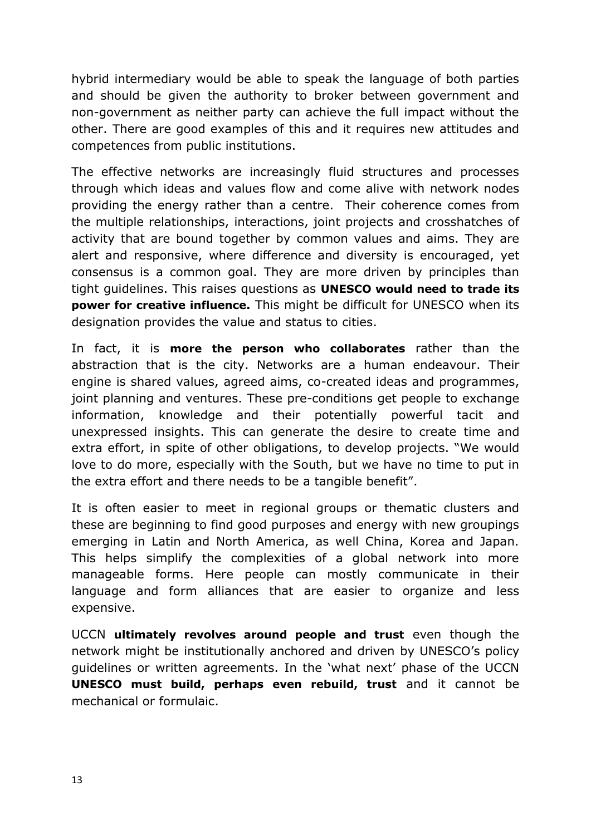hybrid intermediary would be able to speak the language of both parties and should be given the authority to broker between government and non-government as neither party can achieve the full impact without the other. There are good examples of this and it requires new attitudes and competences from public institutions.

The effective networks are increasingly fluid structures and processes through which ideas and values flow and come alive with network nodes providing the energy rather than a centre. Their coherence comes from the multiple relationships, interactions, joint projects and crosshatches of activity that are bound together by common values and aims. They are alert and responsive, where difference and diversity is encouraged, yet consensus is a common goal. They are more driven by principles than tight guidelines. This raises questions as **UNESCO would need to trade its power for creative influence.** This might be difficult for UNESCO when its designation provides the value and status to cities.

In fact, it is **more the person who collaborates** rather than the abstraction that is the city. Networks are a human endeavour. Their engine is shared values, agreed aims, co-created ideas and programmes, joint planning and ventures. These pre-conditions get people to exchange information, knowledge and their potentially powerful tacit and unexpressed insights. This can generate the desire to create time and extra effort, in spite of other obligations, to develop projects. "We would love to do more, especially with the South, but we have no time to put in the extra effort and there needs to be a tangible benefit".

It is often easier to meet in regional groups or thematic clusters and these are beginning to find good purposes and energy with new groupings emerging in Latin and North America, as well China, Korea and Japan. This helps simplify the complexities of a global network into more manageable forms. Here people can mostly communicate in their language and form alliances that are easier to organize and less expensive.

UCCN **ultimately revolves around people and trust** even though the network might be institutionally anchored and driven by UNESCO's policy guidelines or written agreements. In the 'what next' phase of the UCCN **UNESCO must build, perhaps even rebuild, trust** and it cannot be mechanical or formulaic.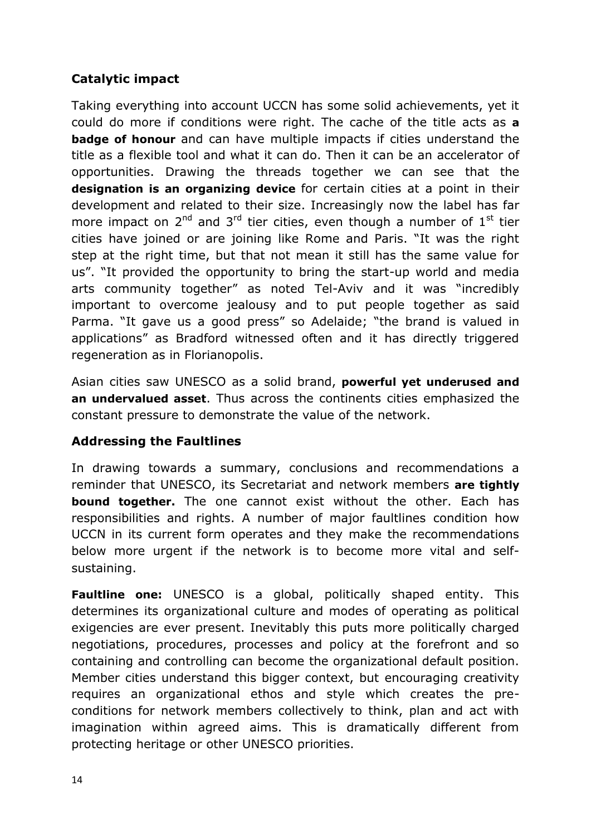# **Catalytic impact**

Taking everything into account UCCN has some solid achievements, yet it could do more if conditions were right. The cache of the title acts as **a badge of honour** and can have multiple impacts if cities understand the title as a flexible tool and what it can do. Then it can be an accelerator of opportunities. Drawing the threads together we can see that the **designation is an organizing device** for certain cities at a point in their development and related to their size. Increasingly now the label has far more impact on  $2^{nd}$  and  $3^{rd}$  tier cities, even though a number of  $1^{st}$  tier cities have joined or are joining like Rome and Paris. "It was the right step at the right time, but that not mean it still has the same value for us". "It provided the opportunity to bring the start-up world and media arts community together" as noted Tel-Aviv and it was "incredibly important to overcome jealousy and to put people together as said Parma. "It gave us a good press" so Adelaide; "the brand is valued in applications" as Bradford witnessed often and it has directly triggered regeneration as in Florianopolis.

Asian cities saw UNESCO as a solid brand, **powerful yet underused and an undervalued asset**. Thus across the continents cities emphasized the constant pressure to demonstrate the value of the network.

# **Addressing the Faultlines**

In drawing towards a summary, conclusions and recommendations a reminder that UNESCO, its Secretariat and network members **are tightly bound together.** The one cannot exist without the other. Each has responsibilities and rights. A number of major faultlines condition how UCCN in its current form operates and they make the recommendations below more urgent if the network is to become more vital and selfsustaining.

**Faultline one:** UNESCO is a global, politically shaped entity. This determines its organizational culture and modes of operating as political exigencies are ever present. Inevitably this puts more politically charged negotiations, procedures, processes and policy at the forefront and so containing and controlling can become the organizational default position. Member cities understand this bigger context, but encouraging creativity requires an organizational ethos and style which creates the preconditions for network members collectively to think, plan and act with imagination within agreed aims. This is dramatically different from protecting heritage or other UNESCO priorities.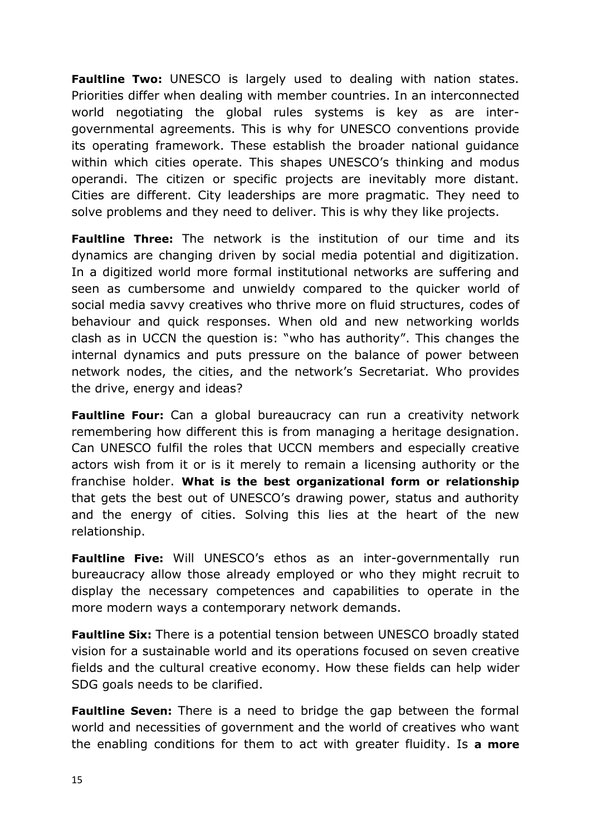**Faultline Two:** UNESCO is largely used to dealing with nation states. Priorities differ when dealing with member countries. In an interconnected world negotiating the global rules systems is key as are intergovernmental agreements. This is why for UNESCO conventions provide its operating framework. These establish the broader national guidance within which cities operate. This shapes UNESCO's thinking and modus operandi. The citizen or specific projects are inevitably more distant. Cities are different. City leaderships are more pragmatic. They need to solve problems and they need to deliver. This is why they like projects.

**Faultline Three:** The network is the institution of our time and its dynamics are changing driven by social media potential and digitization. In a digitized world more formal institutional networks are suffering and seen as cumbersome and unwieldy compared to the quicker world of social media savvy creatives who thrive more on fluid structures, codes of behaviour and quick responses. When old and new networking worlds clash as in UCCN the question is: "who has authority". This changes the internal dynamics and puts pressure on the balance of power between network nodes, the cities, and the network's Secretariat. Who provides the drive, energy and ideas?

**Faultline Four:** Can a global bureaucracy can run a creativity network remembering how different this is from managing a heritage designation. Can UNESCO fulfil the roles that UCCN members and especially creative actors wish from it or is it merely to remain a licensing authority or the franchise holder. **What is the best organizational form or relationship** that gets the best out of UNESCO's drawing power, status and authority and the energy of cities. Solving this lies at the heart of the new relationship.

**Faultline Five:** Will UNESCO's ethos as an inter-governmentally run bureaucracy allow those already employed or who they might recruit to display the necessary competences and capabilities to operate in the more modern ways a contemporary network demands.

**Faultline Six:** There is a potential tension between UNESCO broadly stated vision for a sustainable world and its operations focused on seven creative fields and the cultural creative economy. How these fields can help wider SDG goals needs to be clarified.

**Faultline Seven:** There is a need to bridge the gap between the formal world and necessities of government and the world of creatives who want the enabling conditions for them to act with greater fluidity. Is **a more**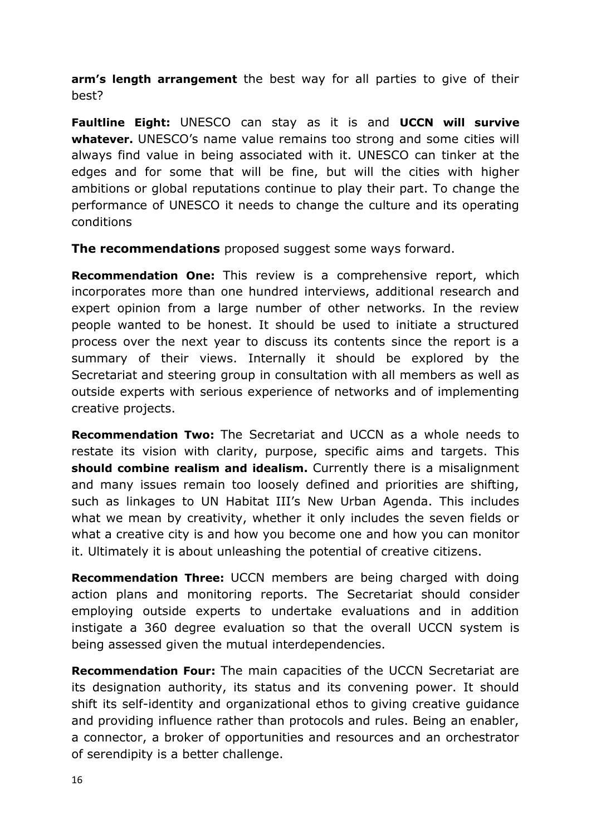**arm's length arrangement** the best way for all parties to give of their best?

**Faultline Eight:** UNESCO can stay as it is and **UCCN will survive whatever.** UNESCO's name value remains too strong and some cities will always find value in being associated with it. UNESCO can tinker at the edges and for some that will be fine, but will the cities with higher ambitions or global reputations continue to play their part. To change the performance of UNESCO it needs to change the culture and its operating conditions

**The recommendations** proposed suggest some ways forward.

**Recommendation One:** This review is a comprehensive report, which incorporates more than one hundred interviews, additional research and expert opinion from a large number of other networks. In the review people wanted to be honest. It should be used to initiate a structured process over the next year to discuss its contents since the report is a summary of their views. Internally it should be explored by the Secretariat and steering group in consultation with all members as well as outside experts with serious experience of networks and of implementing creative projects.

**Recommendation Two:** The Secretariat and UCCN as a whole needs to restate its vision with clarity, purpose, specific aims and targets. This **should combine realism and idealism.** Currently there is a misalignment and many issues remain too loosely defined and priorities are shifting, such as linkages to UN Habitat III's New Urban Agenda. This includes what we mean by creativity, whether it only includes the seven fields or what a creative city is and how you become one and how you can monitor it. Ultimately it is about unleashing the potential of creative citizens.

**Recommendation Three:** UCCN members are being charged with doing action plans and monitoring reports. The Secretariat should consider employing outside experts to undertake evaluations and in addition instigate a 360 degree evaluation so that the overall UCCN system is being assessed given the mutual interdependencies.

**Recommendation Four:** The main capacities of the UCCN Secretariat are its designation authority, its status and its convening power. It should shift its self-identity and organizational ethos to giving creative guidance and providing influence rather than protocols and rules. Being an enabler, a connector, a broker of opportunities and resources and an orchestrator of serendipity is a better challenge.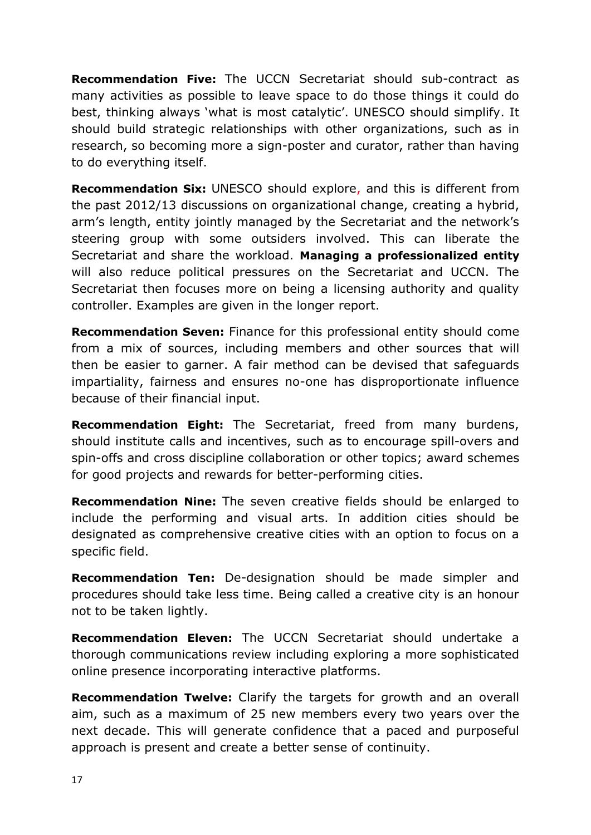**Recommendation Five:** The UCCN Secretariat should sub-contract as many activities as possible to leave space to do those things it could do best, thinking always 'what is most catalytic'. UNESCO should simplify. It should build strategic relationships with other organizations, such as in research, so becoming more a sign-poster and curator, rather than having to do everything itself.

**Recommendation Six:** UNESCO should explore, and this is different from the past 2012/13 discussions on organizational change, creating a hybrid, arm's length, entity jointly managed by the Secretariat and the network's steering group with some outsiders involved. This can liberate the Secretariat and share the workload. **Managing a professionalized entity** will also reduce political pressures on the Secretariat and UCCN. The Secretariat then focuses more on being a licensing authority and quality controller. Examples are given in the longer report.

**Recommendation Seven:** Finance for this professional entity should come from a mix of sources, including members and other sources that will then be easier to garner. A fair method can be devised that safeguards impartiality, fairness and ensures no-one has disproportionate influence because of their financial input.

**Recommendation Eight:** The Secretariat, freed from many burdens, should institute calls and incentives, such as to encourage spill-overs and spin-offs and cross discipline collaboration or other topics; award schemes for good projects and rewards for better-performing cities.

**Recommendation Nine:** The seven creative fields should be enlarged to include the performing and visual arts. In addition cities should be designated as comprehensive creative cities with an option to focus on a specific field.

**Recommendation Ten:** De-designation should be made simpler and procedures should take less time. Being called a creative city is an honour not to be taken lightly.

**Recommendation Eleven:** The UCCN Secretariat should undertake a thorough communications review including exploring a more sophisticated online presence incorporating interactive platforms.

**Recommendation Twelve:** Clarify the targets for growth and an overall aim, such as a maximum of 25 new members every two years over the next decade. This will generate confidence that a paced and purposeful approach is present and create a better sense of continuity.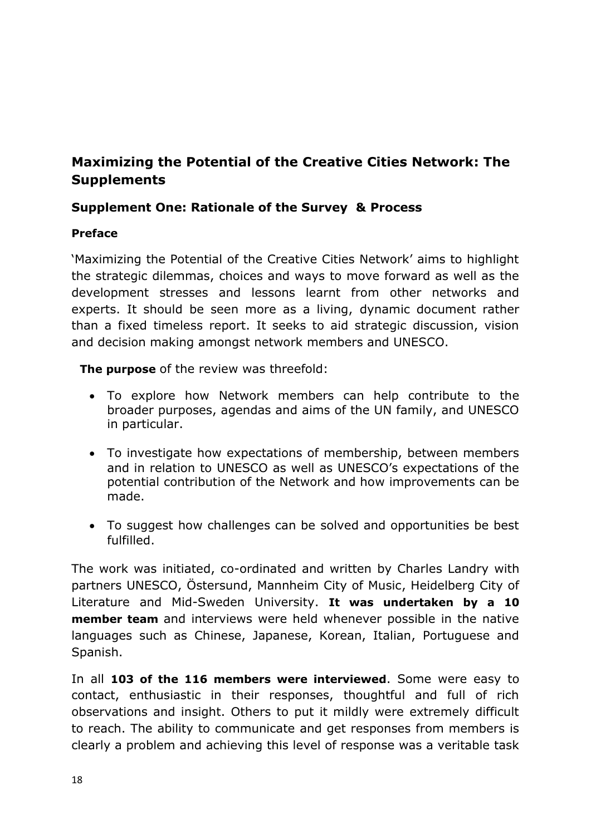# **Maximizing the Potential of the Creative Cities Network: The Supplements**

# **Supplement One: Rationale of the Survey & Process**

### **Preface**

'Maximizing the Potential of the Creative Cities Network' aims to highlight the strategic dilemmas, choices and ways to move forward as well as the development stresses and lessons learnt from other networks and experts. It should be seen more as a living, dynamic document rather than a fixed timeless report. It seeks to aid strategic discussion, vision and decision making amongst network members and UNESCO.

**The purpose** of the review was threefold:

- To explore how Network members can help contribute to the broader purposes, agendas and aims of the UN family, and UNESCO in particular.
- To investigate how expectations of membership, between members and in relation to UNESCO as well as UNESCO's expectations of the potential contribution of the Network and how improvements can be made.
- To suggest how challenges can be solved and opportunities be best fulfilled.

The work was initiated, co-ordinated and written by Charles Landry with partners UNESCO, Östersund, Mannheim City of Music, Heidelberg City of Literature and Mid-Sweden University. **It was undertaken by a 10 member team** and interviews were held whenever possible in the native languages such as Chinese, Japanese, Korean, Italian, Portuguese and Spanish.

In all **103 of the 116 members were interviewed**. Some were easy to contact, enthusiastic in their responses, thoughtful and full of rich observations and insight. Others to put it mildly were extremely difficult to reach. The ability to communicate and get responses from members is clearly a problem and achieving this level of response was a veritable task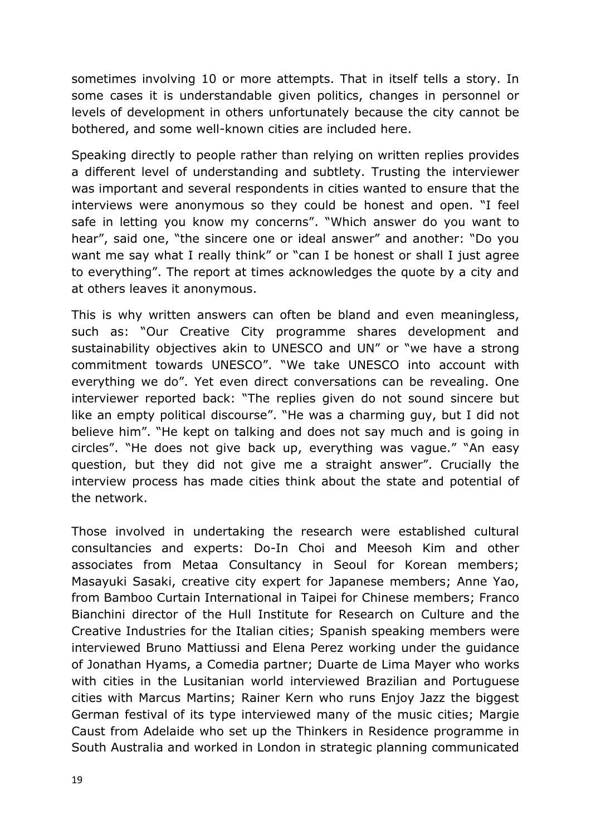sometimes involving 10 or more attempts. That in itself tells a story. In some cases it is understandable given politics, changes in personnel or levels of development in others unfortunately because the city cannot be bothered, and some well-known cities are included here.

Speaking directly to people rather than relying on written replies provides a different level of understanding and subtlety. Trusting the interviewer was important and several respondents in cities wanted to ensure that the interviews were anonymous so they could be honest and open. "I feel safe in letting you know my concerns". "Which answer do you want to hear", said one, "the sincere one or ideal answer" and another: "Do you want me say what I really think" or "can I be honest or shall I just agree to everything". The report at times acknowledges the quote by a city and at others leaves it anonymous.

This is why written answers can often be bland and even meaningless, such as: "Our Creative City programme shares development and sustainability objectives akin to UNESCO and UN" or "we have a strong commitment towards UNESCO". "We take UNESCO into account with everything we do". Yet even direct conversations can be revealing. One interviewer reported back: "The replies given do not sound sincere but like an empty political discourse". "He was a charming guy, but I did not believe him". "He kept on talking and does not say much and is going in circles". "He does not give back up, everything was vague." "An easy question, but they did not give me a straight answer". Crucially the interview process has made cities think about the state and potential of the network.

Those involved in undertaking the research were established cultural consultancies and experts: Do-In Choi and Meesoh Kim and other associates from Metaa Consultancy in Seoul for Korean members; Masayuki Sasaki, creative city expert for Japanese members; Anne Yao, from Bamboo Curtain International in Taipei for Chinese members; Franco Bianchini director of the Hull Institute for Research on Culture and the Creative Industries for the Italian cities; Spanish speaking members were interviewed Bruno Mattiussi and Elena Perez working under the guidance of Jonathan Hyams, a Comedia partner; Duarte de Lima Mayer who works with cities in the Lusitanian world interviewed Brazilian and Portuguese cities with Marcus Martins; Rainer Kern who runs Enjoy Jazz the biggest German festival of its type interviewed many of the music cities; Margie Caust from Adelaide who set up the Thinkers in Residence programme in South Australia and worked in London in strategic planning communicated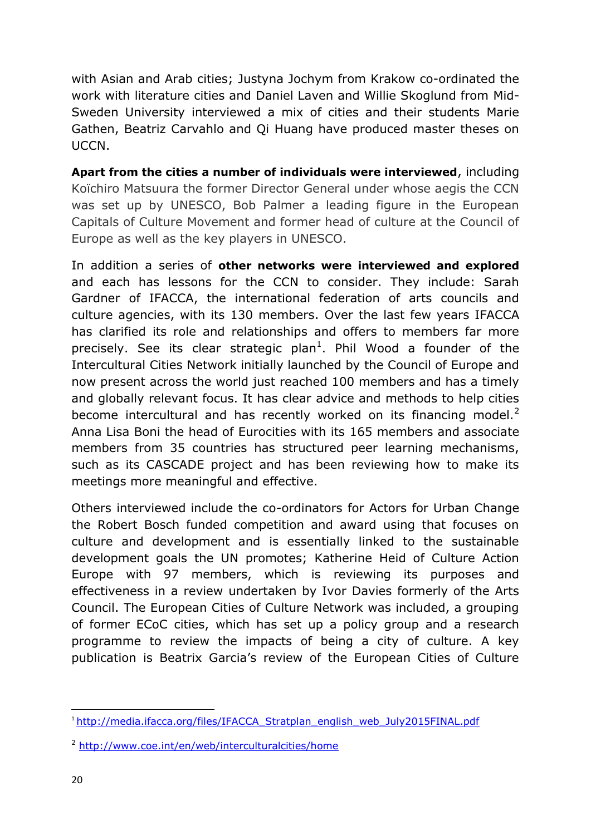with Asian and Arab cities; Justyna Jochym from Krakow co-ordinated the work with literature cities and Daniel Laven and Willie Skoglund from Mid-Sweden University interviewed a mix of cities and their students Marie Gathen, Beatriz Carvahlo and Qi Huang have produced master theses on UCCN.

**Apart from the cities a number of individuals were interviewed**, including Koïchiro Matsuura the former Director General under whose aegis the CCN was set up by UNESCO, Bob Palmer a leading figure in the European Capitals of Culture Movement and former head of culture at the Council of Europe as well as the key players in UNESCO.

In addition a series of **other networks were interviewed and explored** and each has lessons for the CCN to consider. They include: Sarah Gardner of IFACCA, the international federation of arts councils and culture agencies, with its 130 members. Over the last few years IFACCA has clarified its role and relationships and offers to members far more precisely. See its clear strategic plan<sup>1</sup>. Phil Wood a founder of the Intercultural Cities Network initially launched by the Council of Europe and now present across the world just reached 100 members and has a timely and globally relevant focus. It has clear advice and methods to help cities become intercultural and has recently worked on its financing model. $2$ Anna Lisa Boni the head of Eurocities with its 165 members and associate members from 35 countries has structured peer learning mechanisms, such as its CASCADE project and has been reviewing how to make its meetings more meaningful and effective.

Others interviewed include the co-ordinators for Actors for Urban Change the Robert Bosch funded competition and award using that focuses on culture and development and is essentially linked to the sustainable development goals the UN promotes; Katherine Heid of Culture Action Europe with 97 members, which is reviewing its purposes and effectiveness in a review undertaken by Ivor Davies formerly of the Arts Council. The European Cities of Culture Network was included, a grouping of former ECoC cities, which has set up a policy group and a research programme to review the impacts of being a city of culture. A key publication is Beatrix Garcia's review of the European Cities of Culture

**.** 

<sup>&</sup>lt;sup>1</sup>[http://media.ifacca.org/files/IFACCA\\_Stratplan\\_english\\_web\\_July2015FINAL.pdf](http://media.ifacca.org/files/IFACCA_Stratplan_english_web_July2015FINAL.pdf)

<sup>2</sup> <http://www.coe.int/en/web/interculturalcities/home>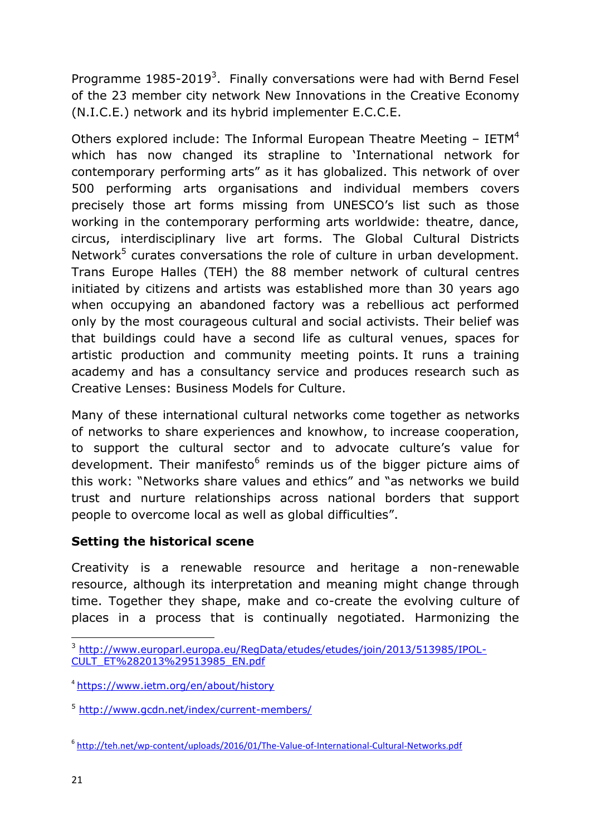Programme  $1985 - 2019<sup>3</sup>$ . Finally conversations were had with Bernd Fesel of the 23 member city network New Innovations in the Creative Economy (N.I.C.E.) network and its hybrid implementer E.C.C.E.

Others explored include: The Informal European Theatre Meeting  $-$  IETM<sup>4</sup> which has now changed its strapline to 'International network for contemporary performing arts" as it has globalized. This network of over 500 performing arts organisations and individual members covers precisely those art forms missing from UNESCO's list such as those working in the contemporary performing arts worldwide: theatre, dance, circus, interdisciplinary live art forms. The Global Cultural Districts Network<sup>5</sup> curates conversations the role of culture in urban development. Trans Europe Halles (TEH) the 88 member network of cultural centres initiated by citizens and artists was established more than 30 years ago when occupying an abandoned factory was a rebellious act performed only by the most courageous cultural and social activists. Their belief was that buildings could have a second life as cultural venues, spaces for artistic production and community meeting points. It runs a training academy and has a consultancy service and produces research such as Creative Lenses: Business Models for Culture.

Many of these international cultural networks come together as networks of networks to share experiences and knowhow, to increase cooperation, to support the cultural sector and to advocate culture's value for development. Their manifesto<sup>6</sup> reminds us of the bigger picture aims of this work: "Networks share values and ethics" and "as networks we build trust and nurture relationships across national borders that support people to overcome local as well as global difficulties".

# **Setting the historical scene**

Creativity is a renewable resource and heritage a non-renewable resource, although its interpretation and meaning might change through time. Together they shape, make and co-create the evolving culture of places in a process that is continually negotiated. Harmonizing the

**.** 

<sup>&</sup>lt;sup>3</sup> [http://www.europarl.europa.eu/RegData/etudes/etudes/join/2013/513985/IPOL-](http://www.europarl.europa.eu/RegData/etudes/etudes/join/2013/513985/IPOL-CULT_ET%282013%29513985_EN.pdf)[CULT\\_ET%282013%29513985\\_EN.pdf](http://www.europarl.europa.eu/RegData/etudes/etudes/join/2013/513985/IPOL-CULT_ET%282013%29513985_EN.pdf)

<sup>4</sup> <https://www.ietm.org/en/about/history>

<sup>5</sup> <http://www.gcdn.net/index/current-members/>

<sup>6</sup> <http://teh.net/wp-content/uploads/2016/01/The-Value-of-International-Cultural-Networks.pdf>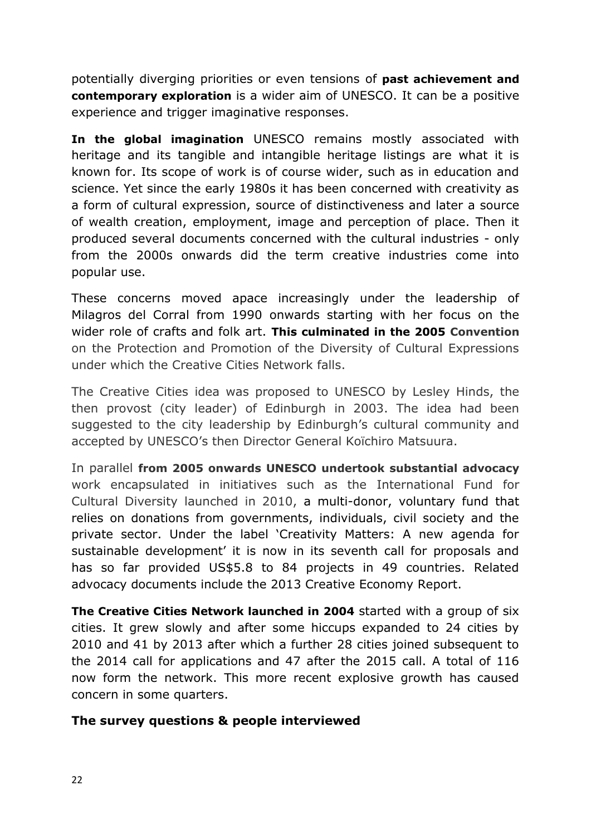potentially diverging priorities or even tensions of **past achievement and contemporary exploration** is a wider aim of UNESCO. It can be a positive experience and trigger imaginative responses.

**In the global imagination** UNESCO remains mostly associated with heritage and its tangible and intangible heritage listings are what it is known for. Its scope of work is of course wider, such as in education and science. Yet since the early 1980s it has been concerned with creativity as a form of cultural expression, source of distinctiveness and later a source of wealth creation, employment, image and perception of place. Then it produced several documents concerned with the cultural industries - only from the 2000s onwards did the term creative industries come into popular use.

These concerns moved apace increasingly under the leadership of Milagros del Corral from 1990 onwards starting with her focus on the wider role of crafts and folk art. **This culminated in the 2005 Convention** on the Protection and Promotion of the Diversity of Cultural Expressions under which the Creative Cities Network falls.

The Creative Cities idea was proposed to UNESCO by Lesley Hinds, the then provost (city leader) of Edinburgh in 2003. The idea had been suggested to the city leadership by Edinburgh's cultural community and accepted by UNESCO's then Director General Koïchiro Matsuura.

In parallel **from 2005 onwards UNESCO undertook substantial advocacy** work encapsulated in initiatives such as the International Fund for Cultural Diversity launched in 2010, a multi-donor, voluntary fund that relies on donations from governments, individuals, civil society and the private sector. Under the label 'Creativity Matters: A new agenda for sustainable development' it is now in its seventh call for proposals and has so far provided US\$5.8 to 84 projects in 49 countries. Related advocacy documents include the 2013 Creative Economy Report.

**The Creative Cities Network launched in 2004** started with a group of six cities. It grew slowly and after some hiccups expanded to 24 cities by 2010 and 41 by 2013 after which a further 28 cities joined subsequent to the 2014 call for applications and 47 after the 2015 call. A total of 116 now form the network. This more recent explosive growth has caused concern in some quarters.

# **The survey questions & people interviewed**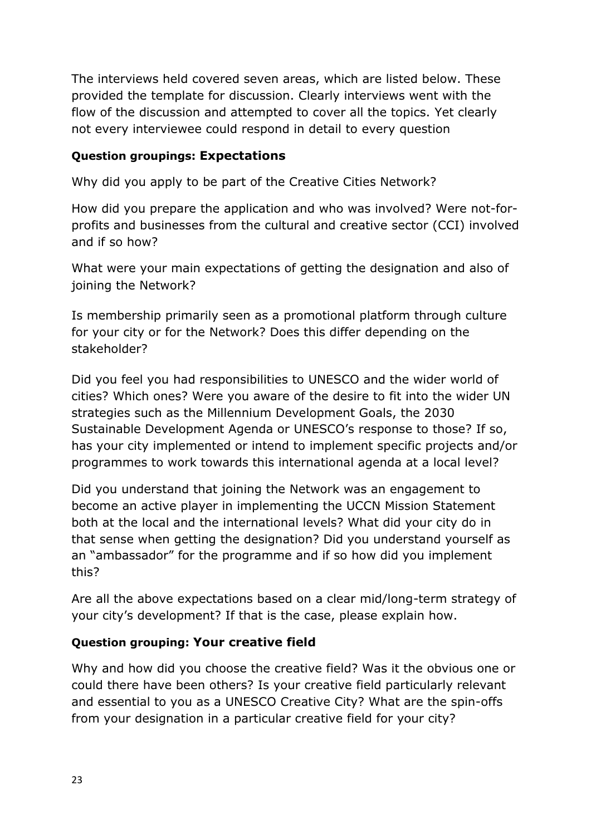The interviews held covered seven areas, which are listed below. These provided the template for discussion. Clearly interviews went with the flow of the discussion and attempted to cover all the topics. Yet clearly not every interviewee could respond in detail to every question

### **Question groupings: Expectations**

Why did you apply to be part of the Creative Cities Network?

How did you prepare the application and who was involved? Were not-forprofits and businesses from the cultural and creative sector (CCI) involved and if so how?

What were your main expectations of getting the designation and also of joining the Network?

Is membership primarily seen as a promotional platform through culture for your city or for the Network? Does this differ depending on the stakeholder?

Did you feel you had responsibilities to UNESCO and the wider world of cities? Which ones? Were you aware of the desire to fit into the wider UN strategies such as the Millennium Development Goals, the 2030 Sustainable Development Agenda or UNESCO's response to those? If so, has your city implemented or intend to implement specific projects and/or programmes to work towards this international agenda at a local level?

Did you understand that joining the Network was an engagement to become an active player in implementing the UCCN Mission Statement both at the local and the international levels? What did your city do in that sense when getting the designation? Did you understand yourself as an "ambassador" for the programme and if so how did you implement this?

Are all the above expectations based on a clear mid/long-term strategy of your city's development? If that is the case, please explain how.

### **Question grouping: Your creative field**

Why and how did you choose the creative field? Was it the obvious one or could there have been others? Is your creative field particularly relevant and essential to you as a UNESCO Creative City? What are the spin-offs from your designation in a particular creative field for your city?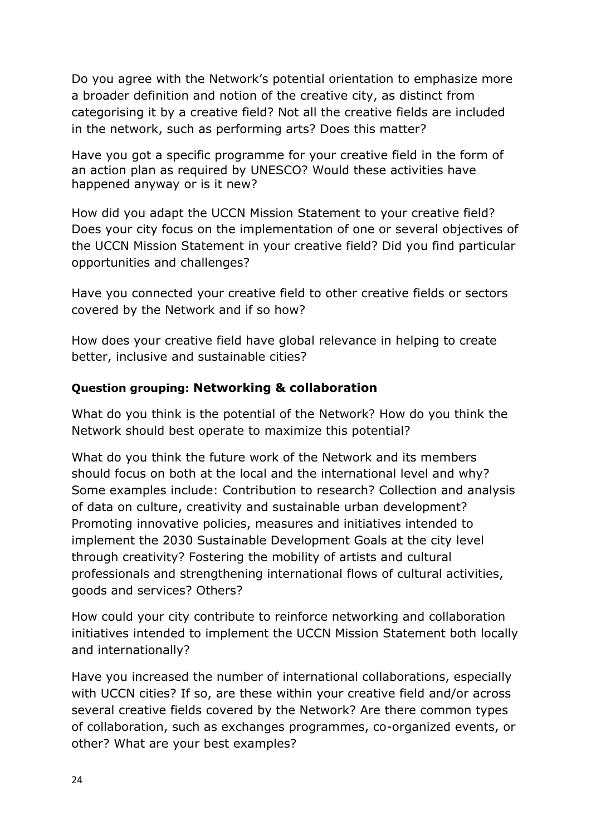Do you agree with the Network's potential orientation to emphasize more a broader definition and notion of the creative city, as distinct from categorising it by a creative field? Not all the creative fields are included in the network, such as performing arts? Does this matter?

Have you got a specific programme for your creative field in the form of an action plan as required by UNESCO? Would these activities have happened anyway or is it new?

How did you adapt the UCCN Mission Statement to your creative field? Does your city focus on the implementation of one or several objectives of the UCCN Mission Statement in your creative field? Did you find particular opportunities and challenges?

Have you connected your creative field to other creative fields or sectors covered by the Network and if so how?

How does your creative field have global relevance in helping to create better, inclusive and sustainable cities?

# **Question grouping: Networking & collaboration**

What do you think is the potential of the Network? How do you think the Network should best operate to maximize this potential?

What do you think the future work of the Network and its members should focus on both at the local and the international level and why? Some examples include: Contribution to research? Collection and analysis of data on culture, creativity and sustainable urban development? Promoting innovative policies, measures and initiatives intended to implement the 2030 Sustainable Development Goals at the city level through creativity? Fostering the mobility of artists and cultural professionals and strengthening international flows of cultural activities, goods and services? Others?

How could your city contribute to reinforce networking and collaboration initiatives intended to implement the UCCN Mission Statement both locally and internationally?

Have you increased the number of international collaborations, especially with UCCN cities? If so, are these within your creative field and/or across several creative fields covered by the Network? Are there common types of collaboration, such as exchanges programmes, co-organized events, or other? What are your best examples?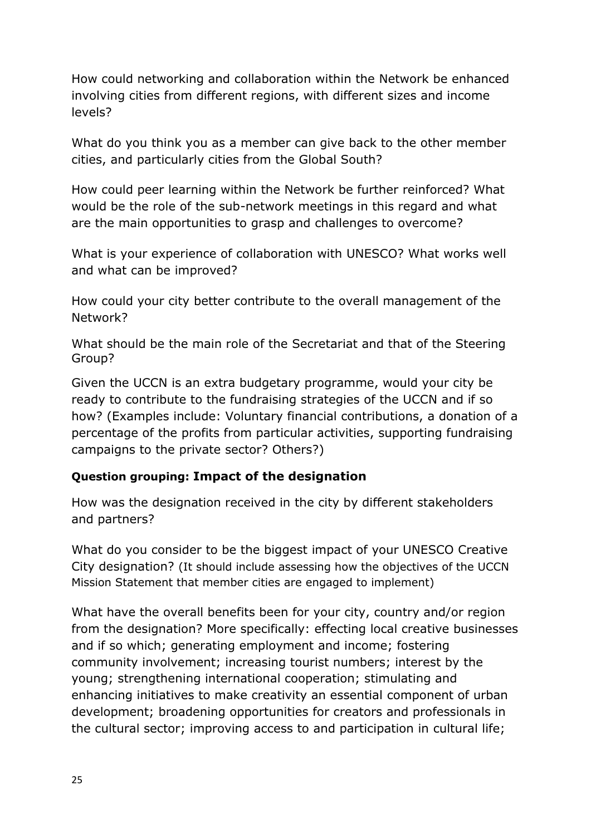How could networking and collaboration within the Network be enhanced involving cities from different regions, with different sizes and income levels?

What do you think you as a member can give back to the other member cities, and particularly cities from the Global South?

How could peer learning within the Network be further reinforced? What would be the role of the sub-network meetings in this regard and what are the main opportunities to grasp and challenges to overcome?

What is your experience of collaboration with UNESCO? What works well and what can be improved?

How could your city better contribute to the overall management of the Network?

What should be the main role of the Secretariat and that of the Steering Group?

Given the UCCN is an extra budgetary programme, would your city be ready to contribute to the fundraising strategies of the UCCN and if so how? (Examples include: Voluntary financial contributions, a donation of a percentage of the profits from particular activities, supporting fundraising campaigns to the private sector? Others?)

# **Question grouping: Impact of the designation**

How was the designation received in the city by different stakeholders and partners?

What do you consider to be the biggest impact of your UNESCO Creative City designation? (It should include assessing how the objectives of the UCCN Mission Statement that member cities are engaged to implement)

What have the overall benefits been for your city, country and/or region from the designation? More specifically: effecting local creative businesses and if so which; generating employment and income; fostering community involvement; increasing tourist numbers; interest by the young; strengthening international cooperation; stimulating and enhancing initiatives to make creativity an essential component of urban development; broadening opportunities for creators and professionals in the cultural sector; improving access to and participation in cultural life;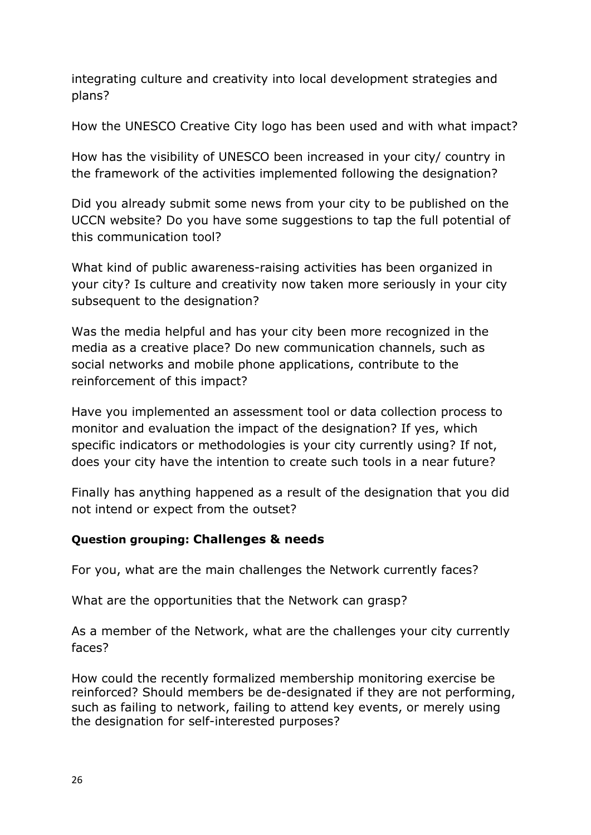integrating culture and creativity into local development strategies and plans?

How the UNESCO Creative City logo has been used and with what impact?

How has the visibility of UNESCO been increased in your city/ country in the framework of the activities implemented following the designation?

Did you already submit some news from your city to be published on the UCCN website? Do you have some suggestions to tap the full potential of this communication tool?

What kind of public awareness-raising activities has been organized in your city? Is culture and creativity now taken more seriously in your city subsequent to the designation?

Was the media helpful and has your city been more recognized in the media as a creative place? Do new communication channels, such as social networks and mobile phone applications, contribute to the reinforcement of this impact?

Have you implemented an assessment tool or data collection process to monitor and evaluation the impact of the designation? If yes, which specific indicators or methodologies is your city currently using? If not, does your city have the intention to create such tools in a near future?

Finally has anything happened as a result of the designation that you did not intend or expect from the outset?

# **Question grouping: Challenges & needs**

For you, what are the main challenges the Network currently faces?

What are the opportunities that the Network can grasp?

As a member of the Network, what are the challenges your city currently faces?

How could the recently formalized membership monitoring exercise be reinforced? Should members be de-designated if they are not performing, such as failing to network, failing to attend key events, or merely using the designation for self-interested purposes?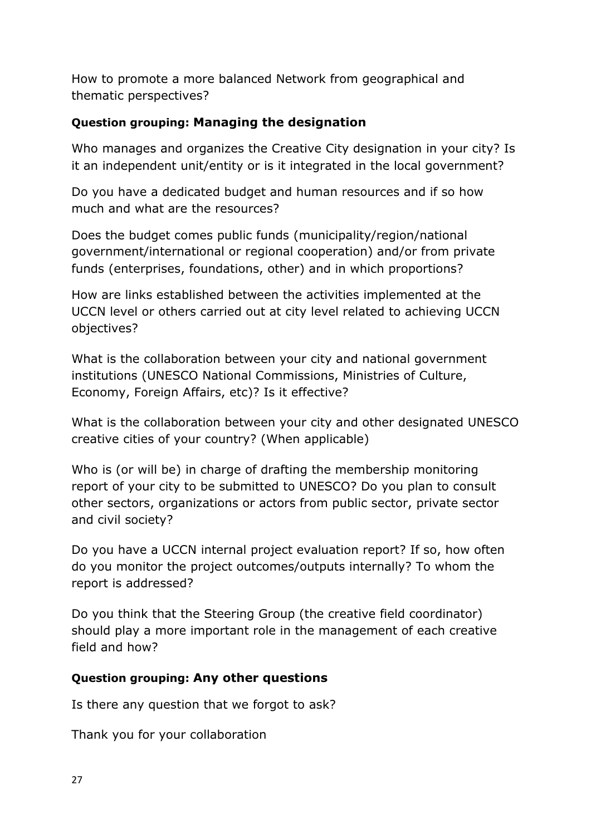How to promote a more balanced Network from geographical and thematic perspectives?

# **Question grouping: Managing the designation**

Who manages and organizes the Creative City designation in your city? Is it an independent unit/entity or is it integrated in the local government?

Do you have a dedicated budget and human resources and if so how much and what are the resources?

Does the budget comes public funds (municipality/region/national government/international or regional cooperation) and/or from private funds (enterprises, foundations, other) and in which proportions?

How are links established between the activities implemented at the UCCN level or others carried out at city level related to achieving UCCN objectives?

What is the collaboration between your city and national government institutions (UNESCO National Commissions, Ministries of Culture, Economy, Foreign Affairs, etc)? Is it effective?

What is the collaboration between your city and other designated UNESCO creative cities of your country? (When applicable)

Who is (or will be) in charge of drafting the membership monitoring report of your city to be submitted to UNESCO? Do you plan to consult other sectors, organizations or actors from public sector, private sector and civil society?

Do you have a UCCN internal project evaluation report? If so, how often do you monitor the project outcomes/outputs internally? To whom the report is addressed?

Do you think that the Steering Group (the creative field coordinator) should play a more important role in the management of each creative field and how?

# **Question grouping: Any other questions**

Is there any question that we forgot to ask?

Thank you for your collaboration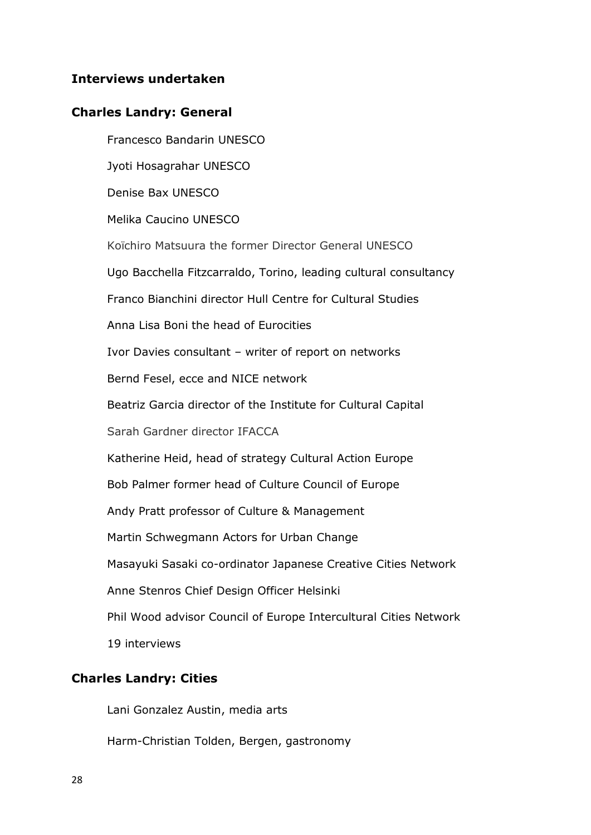### **Interviews undertaken**

#### **Charles Landry: General**

Francesco Bandarin UNESCO Jyoti Hosagrahar UNESCO Denise Bax UNESCO Melika Caucino UNESCO Koïchiro Matsuura the former Director General UNESCO Ugo Bacchella Fitzcarraldo, Torino, leading cultural consultancy Franco Bianchini director Hull Centre for Cultural Studies Anna Lisa Boni the head of Eurocities Ivor Davies consultant – writer of report on networks Bernd Fesel, ecce and NICE network Beatriz Garcia director of the Institute for Cultural Capital Sarah Gardner director IFACCA Katherine Heid, head of strategy Cultural Action Europe Bob Palmer former head of Culture Council of Europe Andy Pratt professor of Culture & Management Martin Schwegmann Actors for Urban Change Masayuki Sasaki co-ordinator Japanese Creative Cities Network Anne Stenros Chief Design Officer Helsinki Phil Wood advisor Council of Europe Intercultural Cities Network 19 interviews

### **Charles Landry: Cities**

Lani Gonzalez Austin, media arts

Harm-Christian Tolden, Bergen, gastronomy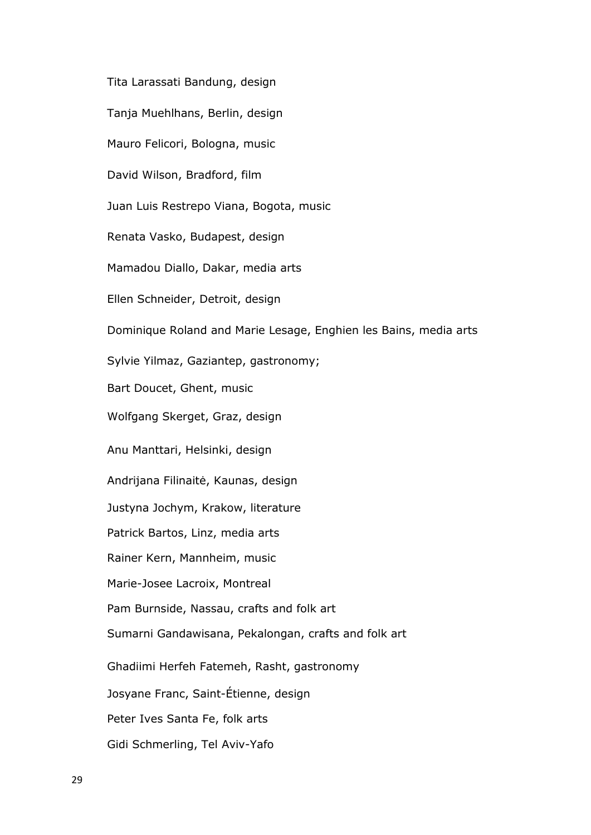Tita Larassati Bandung, design

Tanja Muehlhans, Berlin, design

Mauro Felicori, Bologna, music

David Wilson, Bradford, film

Juan Luis Restrepo Viana, Bogota, music

Renata Vasko, Budapest, design

Mamadou Diallo, Dakar, media arts

Ellen Schneider, Detroit, design

Dominique Roland and Marie Lesage, Enghien les Bains, media arts

Sylvie Yilmaz, Gaziantep, gastronomy;

Bart Doucet, Ghent, music

Wolfgang Skerget, Graz, design

Anu Manttari, Helsinki, design

Andrijana Filinaitė, Kaunas, design

Justyna Jochym, Krakow, literature

Patrick Bartos, Linz, media arts

Rainer Kern, Mannheim, music

Marie-Josee Lacroix, Montreal

Pam Burnside, Nassau, crafts and folk art

Sumarni Gandawisana, Pekalongan, crafts and folk art

Ghadiimi Herfeh Fatemeh, Rasht, gastronomy

Josyane Franc, Saint-Étienne, design

Peter Ives Santa Fe, folk arts

Gidi Schmerling, Tel Aviv-Yafo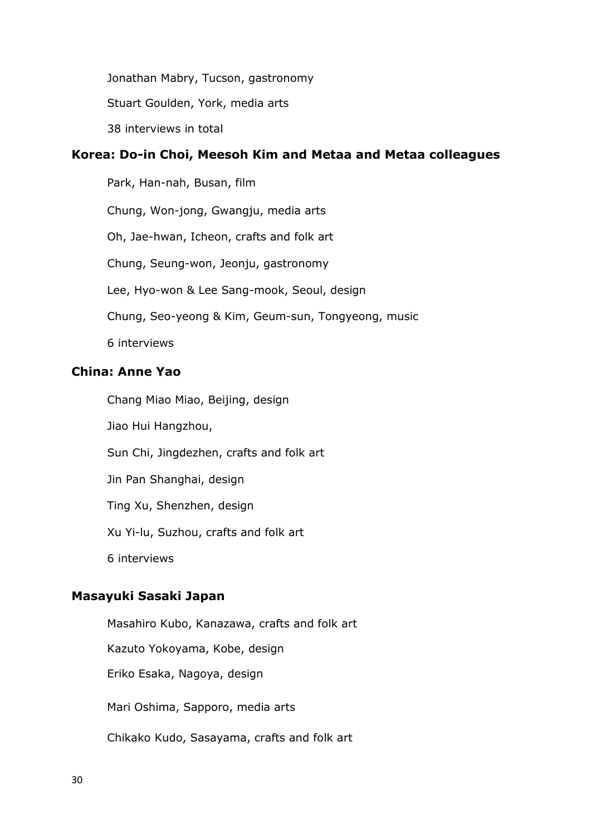Jonathan Mabry, Tucson, gastronomy Stuart Goulden, York, media arts 38 interviews in total

### **Korea: Do-in Choi, Meesoh Kim and Metaa and Metaa colleagues**

Park, Han-nah, Busan, film Chung, Won-jong, Gwangju, media arts Oh, Jae-hwan, Icheon, crafts and folk art Chung, Seung-won, Jeonju, gastronomy Lee, Hyo-won & Lee Sang-mook, Seoul, design Chung, Seo-yeong & Kim, Geum-sun, Tongyeong, music

6 interviews

### **China: Anne Yao**

Chang Miao Miao, Beijing, design

Jiao Hui Hangzhou,

Sun Chi, Jingdezhen, crafts and folk art

Jin Pan Shanghai, design

Ting Xu, Shenzhen, design

Xu Yi-lu, Suzhou, crafts and folk art

6 interviews

### **Masayuki Sasaki Japan**

Masahiro Kubo, Kanazawa, crafts and folk art Kazuto Yokoyama, Kobe, design Eriko Esaka, Nagoya, design Mari Oshima, Sapporo, media arts Chikako Kudo, Sasayama, crafts and folk art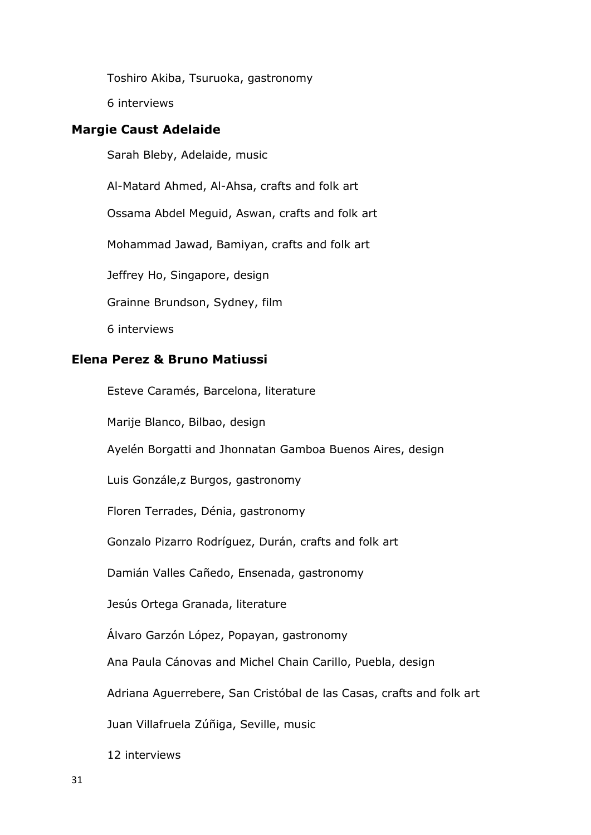Toshiro Akiba, Tsuruoka, gastronomy

6 interviews

### **Margie Caust Adelaide**

Sarah Bleby, Adelaide, music

Al-Matard Ahmed, Al-Ahsa, crafts and folk art

Ossama Abdel Meguid, Aswan, crafts and folk art

Mohammad Jawad, Bamiyan, crafts and folk art

Jeffrey Ho, Singapore, design

Grainne Brundson, Sydney, film

6 interviews

#### **Elena Perez & Bruno Matiussi**

Esteve Caramés, Barcelona, literature Marije Blanco, Bilbao, design Ayelén Borgatti and Jhonnatan Gamboa Buenos Aires, design Luis Gonzále,z Burgos, gastronomy Floren Terrades, Dénia, gastronomy Gonzalo Pizarro Rodríguez, Durán, crafts and folk art Damián Valles Cañedo, Ensenada, gastronomy Jesús Ortega Granada, literature Álvaro Garzón López, Popayan, gastronomy Ana Paula Cánovas and Michel Chain Carillo, Puebla, design Adriana Aguerrebere, San Cristóbal de las Casas, crafts and folk art Juan Villafruela Zúñiga, Seville, music

12 interviews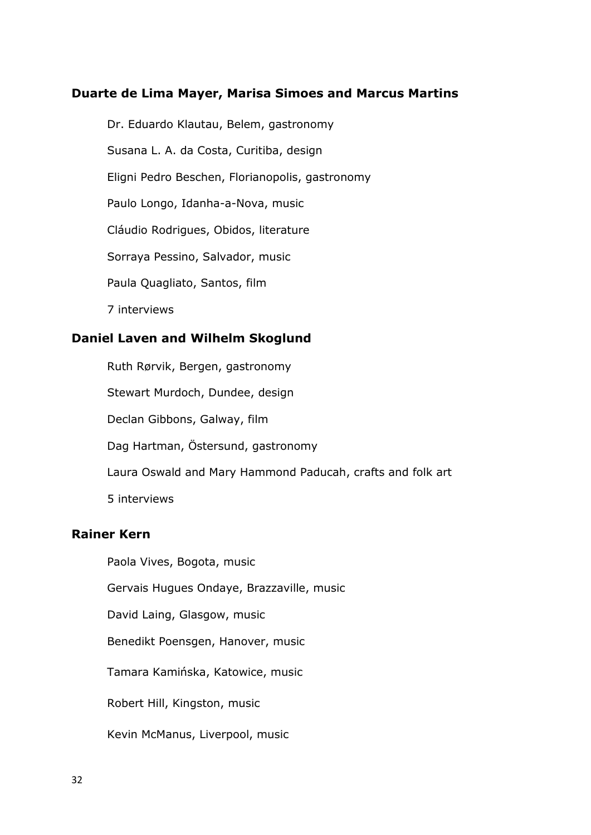#### **Duarte de Lima Mayer, Marisa Simoes and Marcus Martins**

Dr. Eduardo Klautau, Belem, gastronomy Susana L. A. da Costa, Curitiba, design Eligni Pedro Beschen, Florianopolis, gastronomy Paulo Longo, Idanha-a-Nova, music Cláudio Rodrigues, Obidos, literature Sorraya Pessino, Salvador, music Paula Quagliato, Santos, film 7 interviews

### **Daniel Laven and Wilhelm Skoglund**

Ruth Rørvik, Bergen, gastronomy Stewart Murdoch, Dundee, design Declan Gibbons, Galway, film Dag Hartman, Östersund, gastronomy Laura Oswald and Mary Hammond Paducah, crafts and folk art 5 interviews

### **Rainer Kern**

Paola Vives, Bogota, music

Gervais Hugues Ondaye, Brazzaville, music

David Laing, Glasgow, music

Benedikt Poensgen, Hanover, music

Tamara Kamińska, Katowice, music

Robert Hill, Kingston, music

Kevin McManus, Liverpool, music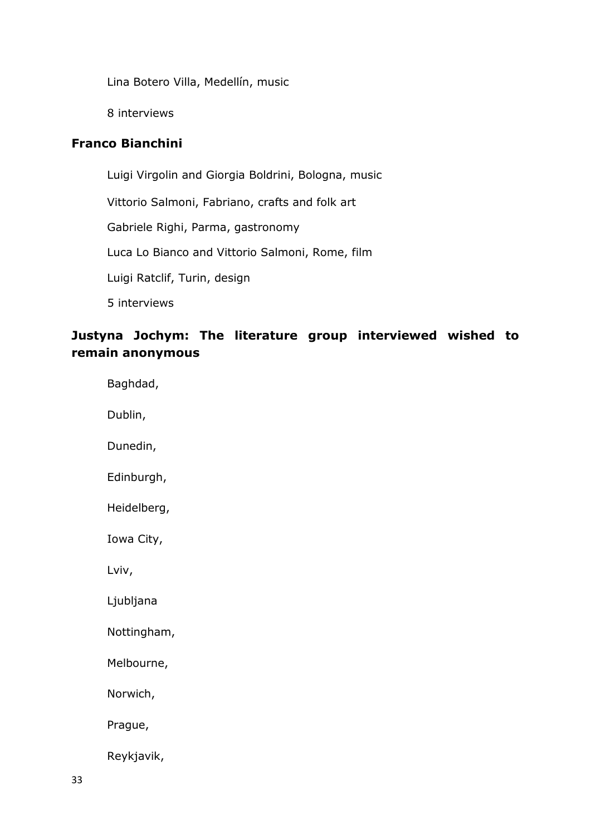Lina Botero Villa, Medellín, music

8 interviews

### **Franco Bianchini**

Luigi Virgolin and Giorgia Boldrini, Bologna, music Vittorio Salmoni, Fabriano, crafts and folk art Gabriele Righi, Parma, gastronomy Luca Lo Bianco and Vittorio Salmoni, Rome, film Luigi Ratclif, Turin, design 5 interviews

# **Justyna Jochym: The literature group interviewed wished to remain anonymous**

Baghdad,

Dublin,

Dunedin,

Edinburgh,

Heidelberg,

Iowa City,

Lviv,

Ljubljana

Nottingham,

Melbourne,

Norwich,

Prague,

Reykjavik,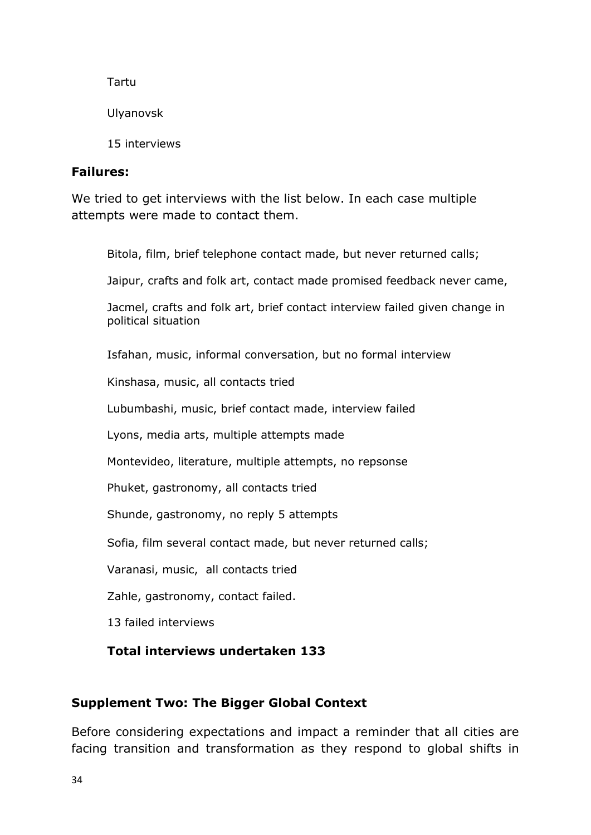Tartu

Ulyanovsk

15 interviews

# **Failures:**

We tried to get interviews with the list below. In each case multiple attempts were made to contact them.

Bitola, film, brief telephone contact made, but never returned calls;

Jaipur, crafts and folk art, contact made promised feedback never came,

Jacmel, crafts and folk art, brief contact interview failed given change in political situation

Isfahan, music, informal conversation, but no formal interview

Kinshasa, music, all contacts tried

Lubumbashi, music, brief contact made, interview failed

Lyons, media arts, multiple attempts made

Montevideo, literature, multiple attempts, no repsonse

Phuket, gastronomy, all contacts tried

Shunde, gastronomy, no reply 5 attempts

Sofia, film several contact made, but never returned calls;

Varanasi, music, all contacts tried

Zahle, gastronomy, contact failed.

13 failed interviews

# **Total interviews undertaken 133**

# **Supplement Two: The Bigger Global Context**

Before considering expectations and impact a reminder that all cities are facing transition and transformation as they respond to global shifts in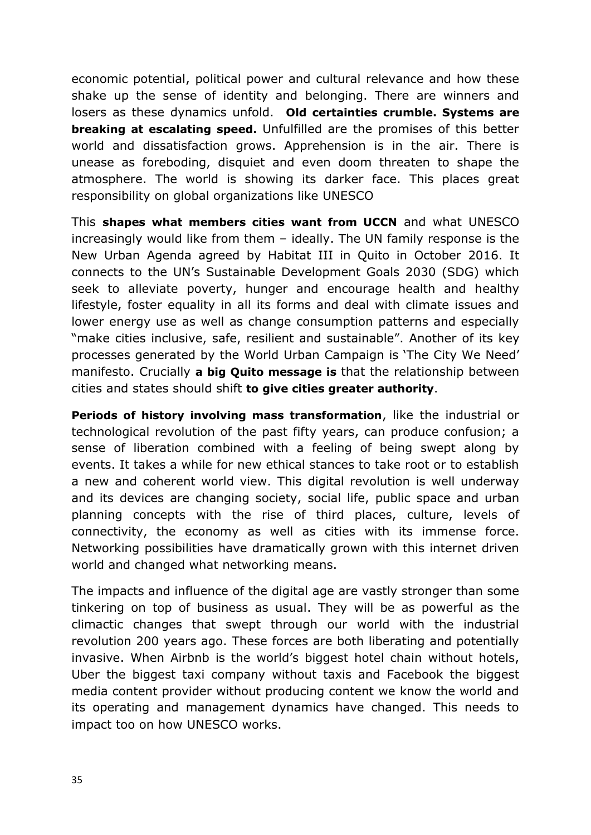economic potential, political power and cultural relevance and how these shake up the sense of identity and belonging. There are winners and losers as these dynamics unfold. **Old certainties crumble. Systems are breaking at escalating speed.** Unfulfilled are the promises of this better world and dissatisfaction grows. Apprehension is in the air. There is unease as foreboding, disquiet and even doom threaten to shape the atmosphere. The world is showing its darker face. This places great responsibility on global organizations like UNESCO

This **shapes what members cities want from UCCN** and what UNESCO increasingly would like from them – ideally. The UN family response is the New Urban Agenda agreed by Habitat III in Quito in October 2016. It connects to the UN's Sustainable Development Goals 2030 (SDG) which seek to alleviate poverty, hunger and encourage health and healthy lifestyle, foster equality in all its forms and deal with climate issues and lower energy use as well as change consumption patterns and especially "make cities inclusive, safe, resilient and sustainable". Another of its key processes generated by the World Urban Campaign is 'The City We Need' manifesto. Crucially **a big Quito message is** that the relationship between cities and states should shift **to give cities greater authority**.

**Periods of history involving mass transformation**, like the industrial or technological revolution of the past fifty years, can produce confusion; a sense of liberation combined with a feeling of being swept along by events. It takes a while for new ethical stances to take root or to establish a new and coherent world view. This digital revolution is well underway and its devices are changing society, social life, public space and urban planning concepts with the rise of third places, culture, levels of connectivity, the economy as well as cities with its immense force. Networking possibilities have dramatically grown with this internet driven world and changed what networking means.

The impacts and influence of the digital age are vastly stronger than some tinkering on top of business as usual. They will be as powerful as the climactic changes that swept through our world with the industrial revolution 200 years ago. These forces are both liberating and potentially invasive. When Airbnb is the world's biggest hotel chain without hotels, Uber the biggest taxi company without taxis and Facebook the biggest media content provider without producing content we know the world and its operating and management dynamics have changed. This needs to impact too on how UNESCO works.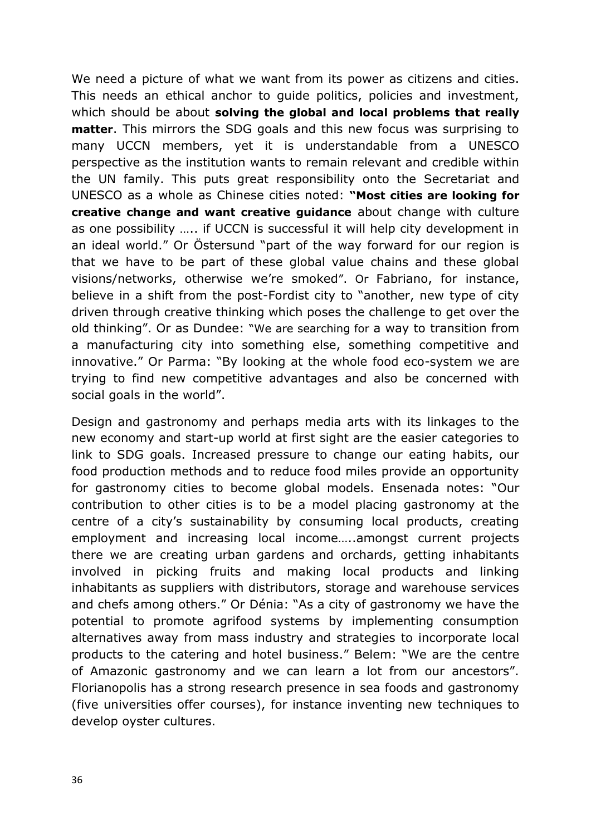We need a picture of what we want from its power as citizens and cities. This needs an ethical anchor to guide politics, policies and investment, which should be about **solving the global and local problems that really matter**. This mirrors the SDG goals and this new focus was surprising to many UCCN members, yet it is understandable from a UNESCO perspective as the institution wants to remain relevant and credible within the UN family. This puts great responsibility onto the Secretariat and UNESCO as a whole as Chinese cities noted: **"Most cities are looking for creative change and want creative guidance** about change with culture as one possibility ….. if UCCN is successful it will help city development in an ideal world." Or Östersund "part of the way forward for our region is that we have to be part of these global value chains and these global visions/networks, otherwise we're smoked". Or Fabriano, for instance, believe in a shift from the post-Fordist city to "another, new type of city driven through creative thinking which poses the challenge to get over the old thinking". Or as Dundee: "We are searching for a way to transition from a manufacturing city into something else, something competitive and innovative." Or Parma: "By looking at the whole food eco-system we are trying to find new competitive advantages and also be concerned with social goals in the world".

Design and gastronomy and perhaps media arts with its linkages to the new economy and start-up world at first sight are the easier categories to link to SDG goals. Increased pressure to change our eating habits, our food production methods and to reduce food miles provide an opportunity for gastronomy cities to become global models. Ensenada notes: "Our contribution to other cities is to be a model placing gastronomy at the centre of a city's sustainability by consuming local products, creating employment and increasing local income…..amongst current projects there we are creating urban gardens and orchards, getting inhabitants involved in picking fruits and making local products and linking inhabitants as suppliers with distributors, storage and warehouse services and chefs among others." Or Dénia: "As a city of gastronomy we have the potential to promote agrifood systems by implementing consumption alternatives away from mass industry and strategies to incorporate local products to the catering and hotel business." Belem: "We are the centre of Amazonic gastronomy and we can learn a lot from our ancestors". Florianopolis has a strong research presence in sea foods and gastronomy (five universities offer courses), for instance inventing new techniques to develop oyster cultures.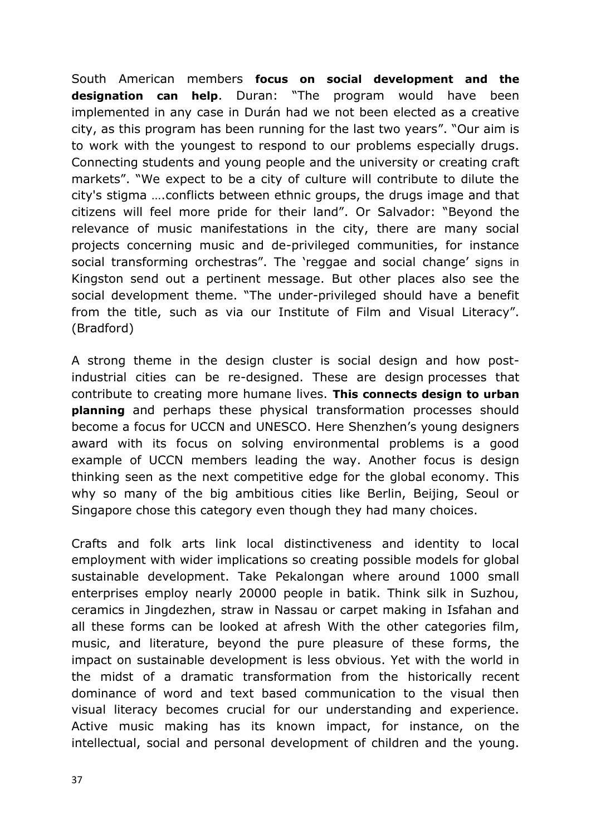South American members **focus on social development and the designation can help**. Duran: "The program would have been implemented in any case in Durán had we not been elected as a creative city, as this program has been running for the last two years". "Our aim is to work with the youngest to respond to our problems especially drugs. Connecting students and young people and the university or creating craft markets". "We expect to be a city of culture will contribute to dilute the city's stigma ….conflicts between ethnic groups, the drugs image and that citizens will feel more pride for their land". Or Salvador: "Beyond the relevance of music manifestations in the city, there are many social projects concerning music and de-privileged communities, for instance social transforming orchestras". The 'reggae and social change' signs in Kingston send out a pertinent message. But other places also see the social development theme. "The under-privileged should have a benefit from the title, such as via our Institute of Film and Visual Literacy". (Bradford)

A strong theme in the design cluster is social design and how postindustrial cities can be re-designed. These are design processes that contribute to creating more humane lives. **This connects design to urban planning** and perhaps these physical transformation processes should become a focus for UCCN and UNESCO. Here Shenzhen's young designers award with its focus on solving environmental problems is a good example of UCCN members leading the way. Another focus is design thinking seen as the next competitive edge for the global economy. This why so many of the big ambitious cities like Berlin, Beijing, Seoul or Singapore chose this category even though they had many choices.

Crafts and folk arts link local distinctiveness and identity to local employment with wider implications so creating possible models for global sustainable development. Take Pekalongan where around 1000 small enterprises employ nearly 20000 people in batik. Think silk in Suzhou, ceramics in Jingdezhen, straw in Nassau or carpet making in Isfahan and all these forms can be looked at afresh With the other categories film, music, and literature, beyond the pure pleasure of these forms, the impact on sustainable development is less obvious. Yet with the world in the midst of a dramatic transformation from the historically recent dominance of word and text based communication to the visual then visual literacy becomes crucial for our understanding and experience. Active music making has its known impact, for instance, on the intellectual, social and personal development of children and the young.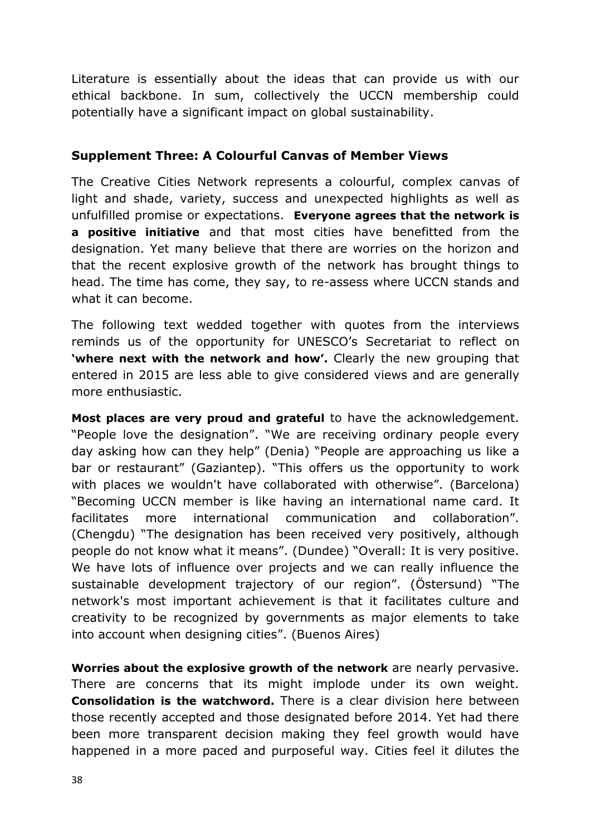Literature is essentially about the ideas that can provide us with our ethical backbone. In sum, collectively the UCCN membership could potentially have a significant impact on global sustainability.

### **Supplement Three: A Colourful Canvas of Member Views**

The Creative Cities Network represents a colourful, complex canvas of light and shade, variety, success and unexpected highlights as well as unfulfilled promise or expectations. **Everyone agrees that the network is a positive initiative** and that most cities have benefitted from the designation. Yet many believe that there are worries on the horizon and that the recent explosive growth of the network has brought things to head. The time has come, they say, to re-assess where UCCN stands and what it can become.

The following text wedded together with quotes from the interviews reminds us of the opportunity for UNESCO's Secretariat to reflect on **'where next with the network and how'.** Clearly the new grouping that entered in 2015 are less able to give considered views and are generally more enthusiastic.

**Most places are very proud and grateful** to have the acknowledgement. "People love the designation". "We are receiving ordinary people every day asking how can they help" (Denia) "People are approaching us like a bar or restaurant" (Gaziantep). "This offers us the opportunity to work with places we wouldn't have collaborated with otherwise". (Barcelona) "Becoming UCCN member is like having an international name card. It facilitates more international communication and collaboration". (Chengdu) "The designation has been received very positively, although people do not know what it means". (Dundee) "Overall: It is very positive. We have lots of influence over projects and we can really influence the sustainable development trajectory of our region". (Östersund) "The network's most important achievement is that it facilitates culture and creativity to be recognized by governments as major elements to take into account when designing cities". (Buenos Aires)

**Worries about the explosive growth of the network** are nearly pervasive. There are concerns that its might implode under its own weight. **Consolidation is the watchword.** There is a clear division here between those recently accepted and those designated before 2014. Yet had there been more transparent decision making they feel growth would have happened in a more paced and purposeful way. Cities feel it dilutes the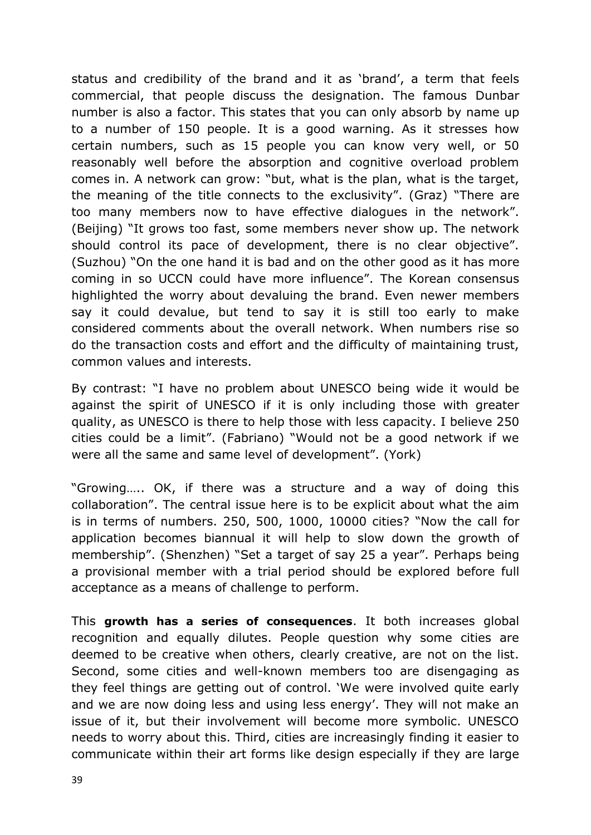status and credibility of the brand and it as 'brand', a term that feels commercial, that people discuss the designation. The famous Dunbar number is also a factor. This states that you can only absorb by name up to a number of 150 people. It is a good warning. As it stresses how certain numbers, such as 15 people you can know very well, or 50 reasonably well before the absorption and cognitive overload problem comes in. A network can grow: "but, what is the plan, what is the target, the meaning of the title connects to the exclusivity". (Graz) "There are too many members now to have effective dialogues in the network". (Beijing) "It grows too fast, some members never show up. The network should control its pace of development, there is no clear objective". (Suzhou) "On the one hand it is bad and on the other good as it has more coming in so UCCN could have more influence". The Korean consensus highlighted the worry about devaluing the brand. Even newer members say it could devalue, but tend to say it is still too early to make considered comments about the overall network. When numbers rise so do the transaction costs and effort and the difficulty of maintaining trust, common values and interests.

By contrast: "I have no problem about UNESCO being wide it would be against the spirit of UNESCO if it is only including those with greater quality, as UNESCO is there to help those with less capacity. I believe 250 cities could be a limit". (Fabriano) "Would not be a good network if we were all the same and same level of development". (York)

"Growing….. OK, if there was a structure and a way of doing this collaboration". The central issue here is to be explicit about what the aim is in terms of numbers. 250, 500, 1000, 10000 cities? "Now the call for application becomes biannual it will help to slow down the growth of membership". (Shenzhen) "Set a target of say 25 a year". Perhaps being a provisional member with a trial period should be explored before full acceptance as a means of challenge to perform.

This **growth has a series of consequences**. It both increases global recognition and equally dilutes. People question why some cities are deemed to be creative when others, clearly creative, are not on the list. Second, some cities and well-known members too are disengaging as they feel things are getting out of control. 'We were involved quite early and we are now doing less and using less energy'. They will not make an issue of it, but their involvement will become more symbolic. UNESCO needs to worry about this. Third, cities are increasingly finding it easier to communicate within their art forms like design especially if they are large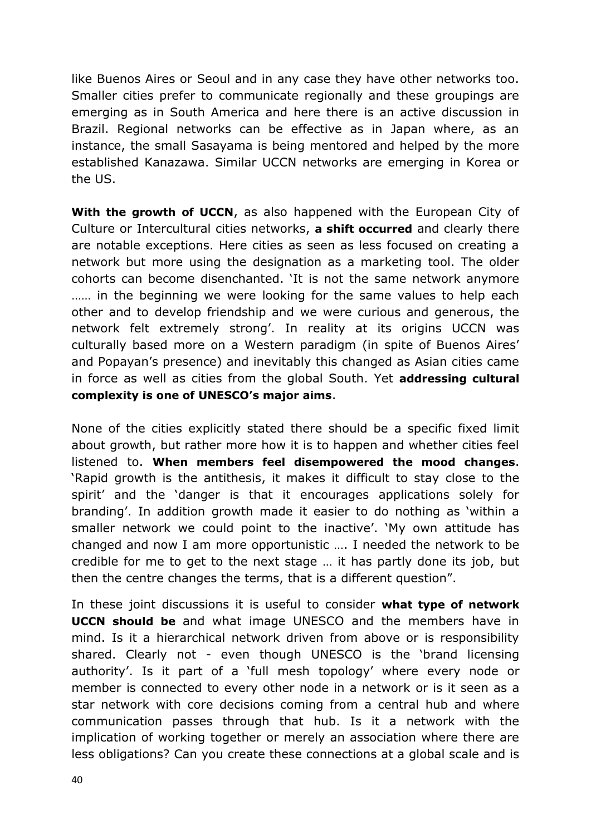like Buenos Aires or Seoul and in any case they have other networks too. Smaller cities prefer to communicate regionally and these groupings are emerging as in South America and here there is an active discussion in Brazil. Regional networks can be effective as in Japan where, as an instance, the small Sasayama is being mentored and helped by the more established Kanazawa. Similar UCCN networks are emerging in Korea or the US.

With the growth of UCCN, as also happened with the European City of Culture or Intercultural cities networks, **a shift occurred** and clearly there are notable exceptions. Here cities as seen as less focused on creating a network but more using the designation as a marketing tool. The older cohorts can become disenchanted. 'It is not the same network anymore ...... in the beginning we were looking for the same values to help each other and to develop friendship and we were curious and generous, the network felt extremely strong'. In reality at its origins UCCN was culturally based more on a Western paradigm (in spite of Buenos Aires' and Popayan's presence) and inevitably this changed as Asian cities came in force as well as cities from the global South. Yet **addressing cultural complexity is one of UNESCO's major aims**.

None of the cities explicitly stated there should be a specific fixed limit about growth, but rather more how it is to happen and whether cities feel listened to. **When members feel disempowered the mood changes**. 'Rapid growth is the antithesis, it makes it difficult to stay close to the spirit' and the 'danger is that it encourages applications solely for branding'. In addition growth made it easier to do nothing as 'within a smaller network we could point to the inactive'. 'My own attitude has changed and now I am more opportunistic …. I needed the network to be credible for me to get to the next stage … it has partly done its job, but then the centre changes the terms, that is a different question".

In these joint discussions it is useful to consider **what type of network UCCN should be** and what image UNESCO and the members have in mind. Is it a hierarchical network driven from above or is responsibility shared. Clearly not - even though UNESCO is the 'brand licensing authority'. Is it part of a 'full mesh topology' where every node or member is connected to every other node in a network or is it seen as a star network with core decisions coming from a central hub and where communication passes through that hub. Is it a network with the implication of working together or merely an association where there are less obligations? Can you create these connections at a global scale and is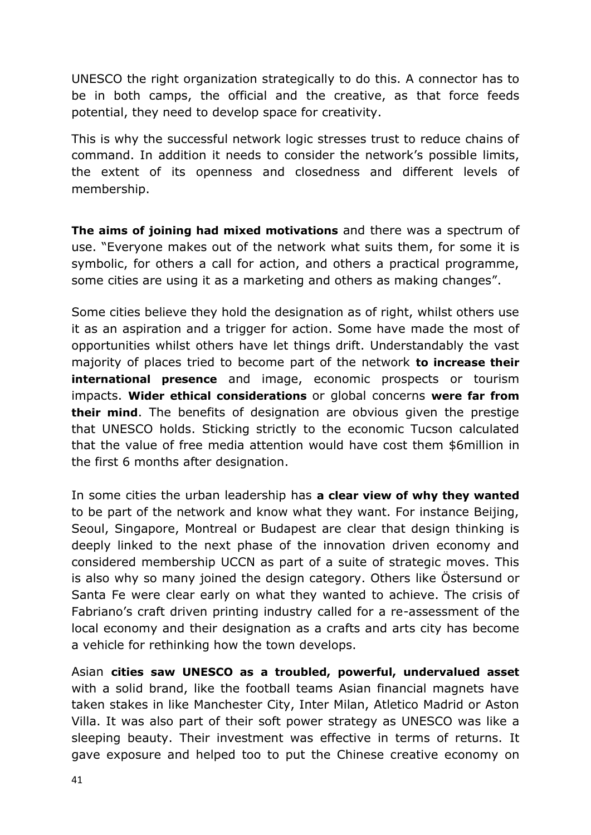UNESCO the right organization strategically to do this. A connector has to be in both camps, the official and the creative, as that force feeds potential, they need to develop space for creativity.

This is why the successful network logic stresses trust to reduce chains of command. In addition it needs to consider the network's possible limits, the extent of its openness and closedness and different levels of membership.

**The aims of joining had mixed motivations** and there was a spectrum of use. "Everyone makes out of the network what suits them, for some it is symbolic, for others a call for action, and others a practical programme, some cities are using it as a marketing and others as making changes".

Some cities believe they hold the designation as of right, whilst others use it as an aspiration and a trigger for action. Some have made the most of opportunities whilst others have let things drift. Understandably the vast majority of places tried to become part of the network **to increase their international presence** and image, economic prospects or tourism impacts. **Wider ethical considerations** or global concerns **were far from their mind**. The benefits of designation are obvious given the prestige that UNESCO holds. Sticking strictly to the economic Tucson calculated that the value of free media attention would have cost them \$6million in the first 6 months after designation.

In some cities the urban leadership has **a clear view of why they wanted** to be part of the network and know what they want. For instance Beijing, Seoul, Singapore, Montreal or Budapest are clear that design thinking is deeply linked to the next phase of the innovation driven economy and considered membership UCCN as part of a suite of strategic moves. This is also why so many joined the design category. Others like Östersund or Santa Fe were clear early on what they wanted to achieve. The crisis of Fabriano's craft driven printing industry called for a re-assessment of the local economy and their designation as a crafts and arts city has become a vehicle for rethinking how the town develops.

Asian **cities saw UNESCO as a troubled, powerful, undervalued asset** with a solid brand, like the football teams Asian financial magnets have taken stakes in like Manchester City, Inter Milan, Atletico Madrid or Aston Villa. It was also part of their soft power strategy as UNESCO was like a sleeping beauty. Their investment was effective in terms of returns. It gave exposure and helped too to put the Chinese creative economy on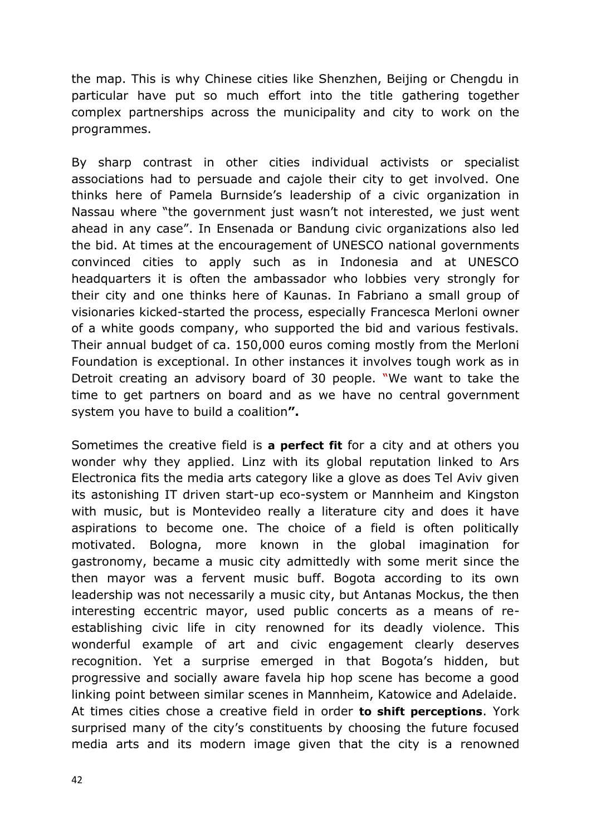the map. This is why Chinese cities like Shenzhen, Beijing or Chengdu in particular have put so much effort into the title gathering together complex partnerships across the municipality and city to work on the programmes.

By sharp contrast in other cities individual activists or specialist associations had to persuade and cajole their city to get involved. One thinks here of Pamela Burnside's leadership of a civic organization in Nassau where "the government just wasn't not interested, we just went ahead in any case". In Ensenada or Bandung civic organizations also led the bid. At times at the encouragement of UNESCO national governments convinced cities to apply such as in Indonesia and at UNESCO headquarters it is often the ambassador who lobbies very strongly for their city and one thinks here of Kaunas. In Fabriano a small group of visionaries kicked-started the process, especially Francesca Merloni owner of a white goods company, who supported the bid and various festivals. Their annual budget of ca. 150,000 euros coming mostly from the Merloni Foundation is exceptional. In other instances it involves tough work as in Detroit creating an advisory board of 30 people. "We want to take the time to get partners on board and as we have no central government system you have to build a coalition**".**

Sometimes the creative field is **a perfect fit** for a city and at others you wonder why they applied. Linz with its global reputation linked to Ars Electronica fits the media arts category like a glove as does Tel Aviv given its astonishing IT driven start-up eco-system or Mannheim and Kingston with music, but is Montevideo really a literature city and does it have aspirations to become one. The choice of a field is often politically motivated. Bologna, more known in the global imagination for gastronomy, became a music city admittedly with some merit since the then mayor was a fervent music buff. Bogota according to its own leadership was not necessarily a music city, but Antanas Mockus, the then interesting eccentric mayor, used public concerts as a means of reestablishing civic life in city renowned for its deadly violence. This wonderful example of art and civic engagement clearly deserves recognition. Yet a surprise emerged in that Bogota's hidden, but progressive and socially aware favela hip hop scene has become a good linking point between similar scenes in Mannheim, Katowice and Adelaide. At times cities chose a creative field in order **to shift perceptions**. York surprised many of the city's constituents by choosing the future focused media arts and its modern image given that the city is a renowned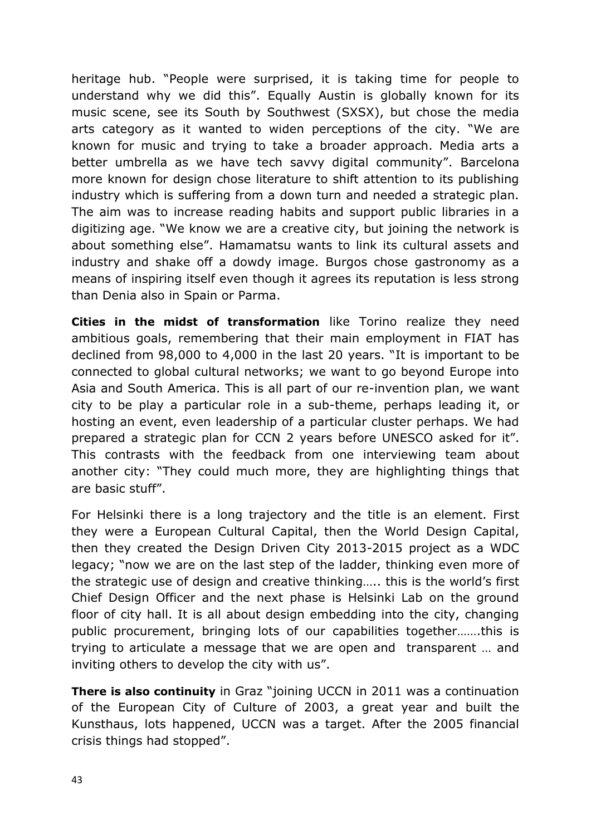heritage hub. "People were surprised, it is taking time for people to understand why we did this". Equally Austin is globally known for its music scene, see its South by Southwest (SXSX), but chose the media arts category as it wanted to widen perceptions of the city. "We are known for music and trying to take a broader approach. Media arts a better umbrella as we have tech savvy digital community". Barcelona more known for design chose literature to shift attention to its publishing industry which is suffering from a down turn and needed a strategic plan. The aim was to increase reading habits and support public libraries in a digitizing age. "We know we are a creative city, but joining the network is about something else". Hamamatsu wants to link its cultural assets and industry and shake off a dowdy image. Burgos chose gastronomy as a means of inspiring itself even though it agrees its reputation is less strong than Denia also in Spain or Parma.

**Cities in the midst of transformation** like Torino realize they need ambitious goals, remembering that their main employment in FIAT has declined from 98,000 to 4,000 in the last 20 years. "It is important to be connected to global cultural networks; we want to go beyond Europe into Asia and South America. This is all part of our re-invention plan, we want city to be play a particular role in a sub-theme, perhaps leading it, or hosting an event, even leadership of a particular cluster perhaps. We had prepared a strategic plan for CCN 2 years before UNESCO asked for it". This contrasts with the feedback from one interviewing team about another city: "They could much more, they are highlighting things that are basic stuff".

For Helsinki there is a long trajectory and the title is an element. First they were a European Cultural Capital, then the World Design Capital, then they created the Design Driven City 2013-2015 project as a WDC legacy; "now we are on the last step of the ladder, thinking even more of the strategic use of design and creative thinking….. this is the world's first Chief Design Officer and the next phase is Helsinki Lab on the ground floor of city hall. It is all about design embedding into the city, changing public procurement, bringing lots of our capabilities together…….this is trying to articulate a message that we are open and transparent … and inviting others to develop the city with us".

**There is also continuity** in Graz "joining UCCN in 2011 was a continuation of the European City of Culture of 2003, a great year and built the Kunsthaus, lots happened, UCCN was a target. After the 2005 financial crisis things had stopped".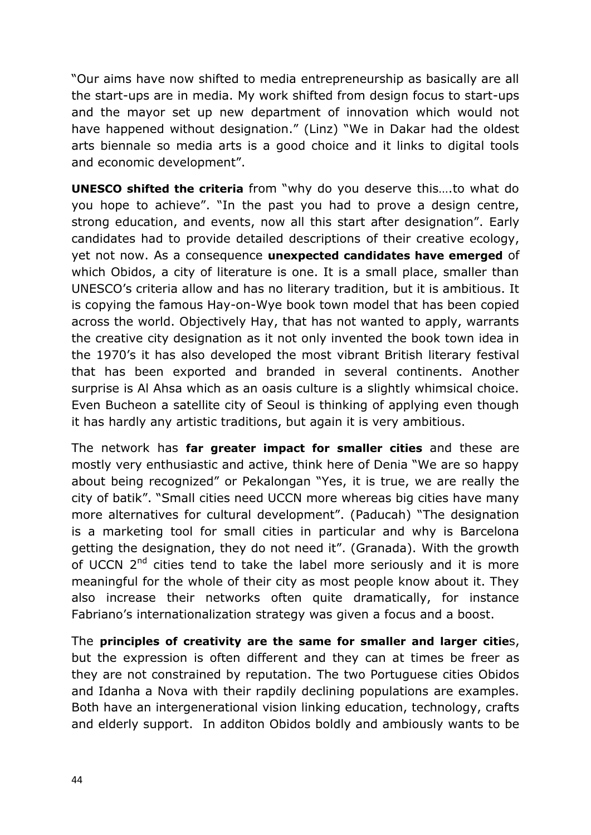"Our aims have now shifted to media entrepreneurship as basically are all the start-ups are in media. My work shifted from design focus to start-ups and the mayor set up new department of innovation which would not have happened without designation." (Linz) "We in Dakar had the oldest arts biennale so media arts is a good choice and it links to digital tools and economic development".

**UNESCO shifted the criteria** from "why do you deserve this….to what do you hope to achieve". "In the past you had to prove a design centre, strong education, and events, now all this start after designation". Early candidates had to provide detailed descriptions of their creative ecology, yet not now. As a consequence **unexpected candidates have emerged** of which Obidos, a city of literature is one. It is a small place, smaller than UNESCO's criteria allow and has no literary tradition, but it is ambitious. It is copying the famous Hay-on-Wye book town model that has been copied across the world. Objectively Hay, that has not wanted to apply, warrants the creative city designation as it not only invented the book town idea in the 1970's it has also developed the most vibrant British literary festival that has been exported and branded in several continents. Another surprise is Al Ahsa which as an oasis culture is a slightly whimsical choice. Even Bucheon a satellite city of Seoul is thinking of applying even though it has hardly any artistic traditions, but again it is very ambitious.

The network has **far greater impact for smaller cities** and these are mostly very enthusiastic and active, think here of Denia "We are so happy about being recognized" or Pekalongan "Yes, it is true, we are really the city of batik". "Small cities need UCCN more whereas big cities have many more alternatives for cultural development". (Paducah) "The designation is a marketing tool for small cities in particular and why is Barcelona getting the designation, they do not need it". (Granada). With the growth of UCCN 2<sup>nd</sup> cities tend to take the label more seriously and it is more meaningful for the whole of their city as most people know about it. They also increase their networks often quite dramatically, for instance Fabriano's internationalization strategy was given a focus and a boost.

The **principles of creativity are the same for smaller and larger citie**s, but the expression is often different and they can at times be freer as they are not constrained by reputation. The two Portuguese cities Obidos and Idanha a Nova with their rapdily declining populations are examples. Both have an intergenerational vision linking education, technology, crafts and elderly support. In additon Obidos boldly and ambiously wants to be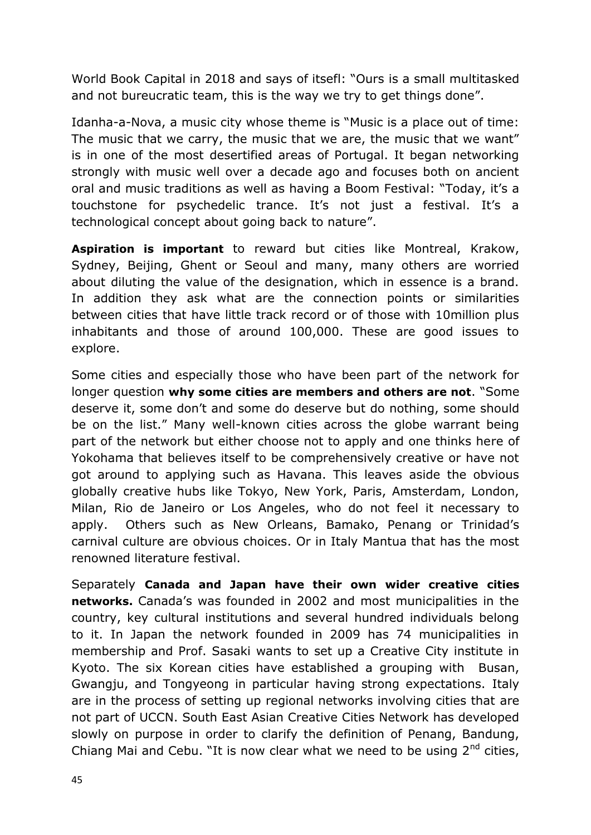World Book Capital in 2018 and says of itsefl: "Ours is a small multitasked and not bureucratic team, this is the way we try to get things done".

Idanha-a-Nova, a music city whose theme is "Music is a place out of time: The music that we carry, the music that we are, the music that we want" is in one of the most desertified areas of Portugal. It began networking strongly with music well over a decade ago and focuses both on ancient oral and music traditions as well as having a Boom Festival: "Today, it's a touchstone for psychedelic trance. It's not just a festival. It's a technological concept about going back to nature".

**Aspiration is important** to reward but cities like Montreal, Krakow, Sydney, Beijing, Ghent or Seoul and many, many others are worried about diluting the value of the designation, which in essence is a brand. In addition they ask what are the connection points or similarities between cities that have little track record or of those with 10million plus inhabitants and those of around 100,000. These are good issues to explore.

Some cities and especially those who have been part of the network for longer question **why some cities are members and others are not**. "Some deserve it, some don't and some do deserve but do nothing, some should be on the list." Many well-known cities across the globe warrant being part of the network but either choose not to apply and one thinks here of Yokohama that believes itself to be comprehensively creative or have not got around to applying such as Havana. This leaves aside the obvious globally creative hubs like Tokyo, New York, Paris, Amsterdam, London, Milan, Rio de Janeiro or Los Angeles, who do not feel it necessary to apply. Others such as New Orleans, Bamako, Penang or Trinidad's carnival culture are obvious choices. Or in Italy Mantua that has the most renowned literature festival.

Separately **Canada and Japan have their own wider creative cities networks.** Canada's was founded in 2002 and most municipalities in the country, key cultural institutions and several hundred individuals belong to it. In Japan the network founded in 2009 has 74 municipalities in membership and Prof. Sasaki wants to set up a Creative City institute in Kyoto. The six Korean cities have established a grouping with Busan, Gwangju, and Tongyeong in particular having strong expectations. Italy are in the process of setting up regional networks involving cities that are not part of UCCN. South East Asian Creative Cities Network has developed slowly on purpose in order to clarify the definition of Penang, Bandung, Chiang Mai and Cebu. "It is now clear what we need to be using  $2^{nd}$  cities,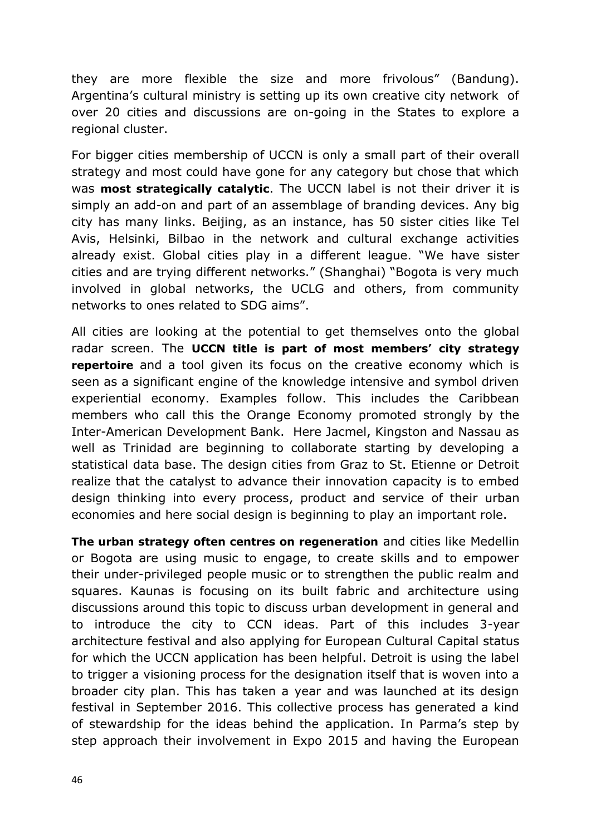they are more flexible the size and more frivolous" (Bandung). Argentina's cultural ministry is setting up its own creative city network of over 20 cities and discussions are on-going in the States to explore a regional cluster.

For bigger cities membership of UCCN is only a small part of their overall strategy and most could have gone for any category but chose that which was **most strategically catalytic**. The UCCN label is not their driver it is simply an add-on and part of an assemblage of branding devices. Any big city has many links. Beijing, as an instance, has 50 sister cities like Tel Avis, Helsinki, Bilbao in the network and cultural exchange activities already exist. Global cities play in a different league. "We have sister cities and are trying different networks." (Shanghai) "Bogota is very much involved in global networks, the UCLG and others, from community networks to ones related to SDG aims".

All cities are looking at the potential to get themselves onto the global radar screen. The **UCCN title is part of most members' city strategy repertoire** and a tool given its focus on the creative economy which is seen as a significant engine of the knowledge intensive and symbol driven experiential economy. Examples follow. This includes the Caribbean members who call this the Orange Economy promoted strongly by the Inter-American Development Bank. Here Jacmel, Kingston and Nassau as well as Trinidad are beginning to collaborate starting by developing a statistical data base. The design cities from Graz to St. Etienne or Detroit realize that the catalyst to advance their innovation capacity is to embed design thinking into every process, product and service of their urban economies and here social design is beginning to play an important role.

**The urban strategy often centres on regeneration** and cities like Medellin or Bogota are using music to engage, to create skills and to empower their under-privileged people music or to strengthen the public realm and squares. Kaunas is focusing on its built fabric and architecture using discussions around this topic to discuss urban development in general and to introduce the city to CCN ideas. Part of this includes 3-year architecture festival and also applying for European Cultural Capital status for which the UCCN application has been helpful. Detroit is using the label to trigger a visioning process for the designation itself that is woven into a broader city plan. This has taken a year and was launched at its design festival in September 2016. This collective process has generated a kind of stewardship for the ideas behind the application. In Parma's step by step approach their involvement in Expo 2015 and having the European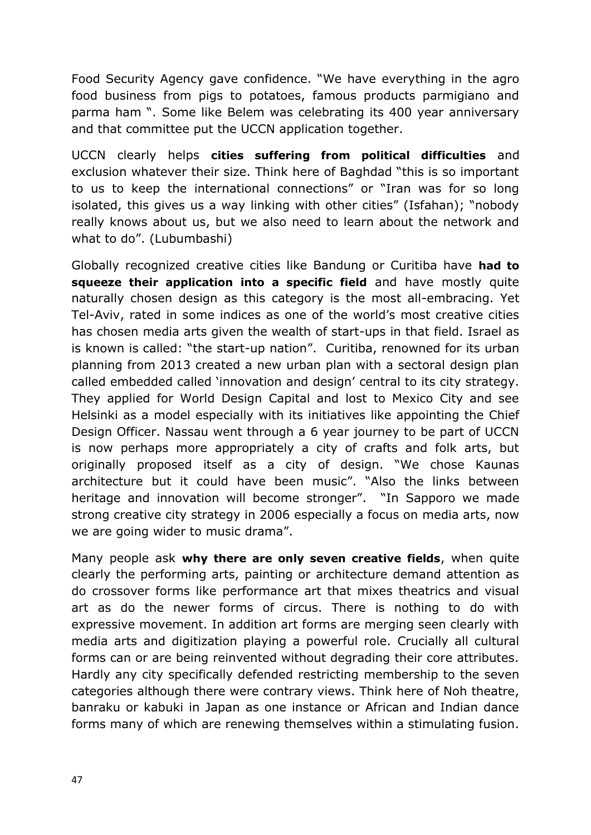Food Security Agency gave confidence. "We have everything in the agro food business from pigs to potatoes, famous products parmigiano and parma ham ". Some like Belem was celebrating its 400 year anniversary and that committee put the UCCN application together.

UCCN clearly helps **cities suffering from political difficulties** and exclusion whatever their size. Think here of Baghdad "this is so important to us to keep the international connections" or "Iran was for so long isolated, this gives us a way linking with other cities" (Isfahan); "nobody really knows about us, but we also need to learn about the network and what to do". (Lubumbashi)

Globally recognized creative cities like Bandung or Curitiba have **had to squeeze their application into a specific field** and have mostly quite naturally chosen design as this category is the most all-embracing. Yet Tel-Aviv, rated in some indices as one of the world's most creative cities has chosen media arts given the wealth of start-ups in that field. Israel as is known is called: "the start-up nation". Curitiba, renowned for its urban planning from 2013 created a new urban plan with a sectoral design plan called embedded called 'innovation and design' central to its city strategy. They applied for World Design Capital and lost to Mexico City and see Helsinki as a model especially with its initiatives like appointing the Chief Design Officer. Nassau went through a 6 year journey to be part of UCCN is now perhaps more appropriately a city of crafts and folk arts, but originally proposed itself as a city of design. "We chose Kaunas architecture but it could have been music". "Also the links between heritage and innovation will become stronger". "In Sapporo we made strong creative city strategy in 2006 especially a focus on media arts, now we are going wider to music drama".

Many people ask **why there are only seven creative fields**, when quite clearly the performing arts, painting or architecture demand attention as do crossover forms like performance art that mixes theatrics and visual art as do the newer forms of circus. There is nothing to do with expressive movement. In addition art forms are merging seen clearly with media arts and digitization playing a powerful role. Crucially all cultural forms can or are being reinvented without degrading their core attributes. Hardly any city specifically defended restricting membership to the seven categories although there were contrary views. Think here of Noh theatre, banraku or kabuki in Japan as one instance or African and Indian dance forms many of which are renewing themselves within a stimulating fusion.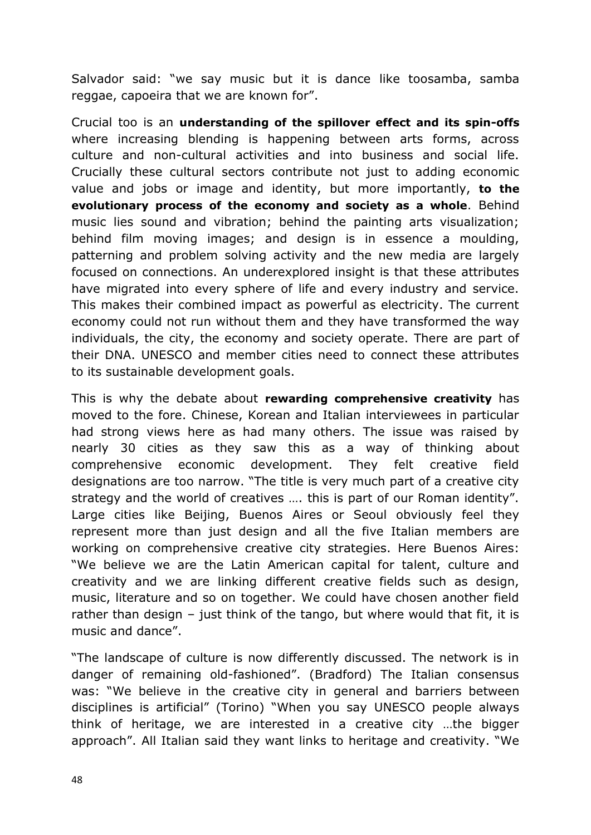Salvador said: "we say music but it is dance like toosamba, samba reggae, capoeira that we are known for".

Crucial too is an **understanding of the spillover effect and its spin-offs**  where increasing blending is happening between arts forms, across culture and non-cultural activities and into business and social life. Crucially these cultural sectors contribute not just to adding economic value and jobs or image and identity, but more importantly, **to the evolutionary process of the economy and society as a whole**. Behind music lies sound and vibration; behind the painting arts visualization; behind film moving images; and design is in essence a moulding, patterning and problem solving activity and the new media are largely focused on connections. An underexplored insight is that these attributes have migrated into every sphere of life and every industry and service. This makes their combined impact as powerful as electricity. The current economy could not run without them and they have transformed the way individuals, the city, the economy and society operate. There are part of their DNA. UNESCO and member cities need to connect these attributes to its sustainable development goals.

This is why the debate about **rewarding comprehensive creativity** has moved to the fore. Chinese, Korean and Italian interviewees in particular had strong views here as had many others. The issue was raised by nearly 30 cities as they saw this as a way of thinking about comprehensive economic development. They felt creative field designations are too narrow. "The title is very much part of a creative city strategy and the world of creatives …. this is part of our Roman identity". Large cities like Beijing, Buenos Aires or Seoul obviously feel they represent more than just design and all the five Italian members are working on comprehensive creative city strategies. Here Buenos Aires: "We believe we are the Latin American capital for talent, culture and creativity and we are linking different creative fields such as design, music, literature and so on together. We could have chosen another field rather than design  $-$  just think of the tango, but where would that fit, it is music and dance".

"The landscape of culture is now differently discussed. The network is in danger of remaining old-fashioned". (Bradford) The Italian consensus was: "We believe in the creative city in general and barriers between disciplines is artificial" (Torino) "When you say UNESCO people always think of heritage, we are interested in a creative city …the bigger approach". All Italian said they want links to heritage and creativity. "We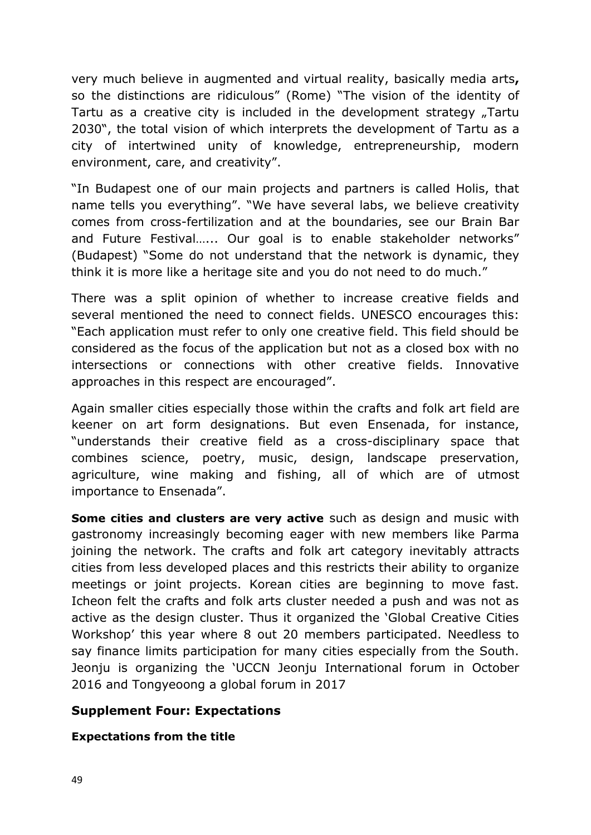very much believe in augmented and virtual reality, basically media arts**,**  so the distinctions are ridiculous" (Rome) "The vision of the identity of Tartu as a creative city is included in the development strategy "Tartu 2030", the total vision of which interprets the development of Tartu as a city of intertwined unity of knowledge, entrepreneurship, modern environment, care, and creativity".

"In Budapest one of our main projects and partners is called Holis, that name tells you everything". "We have several labs, we believe creativity comes from cross-fertilization and at the boundaries, see our Brain Bar and Future Festival…... Our goal is to enable stakeholder networks" (Budapest) "Some do not understand that the network is dynamic, they think it is more like a heritage site and you do not need to do much."

There was a split opinion of whether to increase creative fields and several mentioned the need to connect fields. UNESCO encourages this: "Each application must refer to only one creative field. This field should be considered as the focus of the application but not as a closed box with no intersections or connections with other creative fields. Innovative approaches in this respect are encouraged".

Again smaller cities especially those within the crafts and folk art field are keener on art form designations. But even Ensenada, for instance, "understands their creative field as a cross-disciplinary space that combines science, poetry, music, design, landscape preservation, agriculture, wine making and fishing, all of which are of utmost importance to Ensenada".

**Some cities and clusters are very active** such as design and music with gastronomy increasingly becoming eager with new members like Parma joining the network. The crafts and folk art category inevitably attracts cities from less developed places and this restricts their ability to organize meetings or joint projects. Korean cities are beginning to move fast. Icheon felt the crafts and folk arts cluster needed a push and was not as active as the design cluster. Thus it organized the 'Global Creative Cities Workshop' this year where 8 out 20 members participated. Needless to say finance limits participation for many cities especially from the South. Jeonju is organizing the 'UCCN Jeonju International forum in October 2016 and Tongyeoong a global forum in 2017

## **Supplement Four: Expectations**

### **Expectations from the title**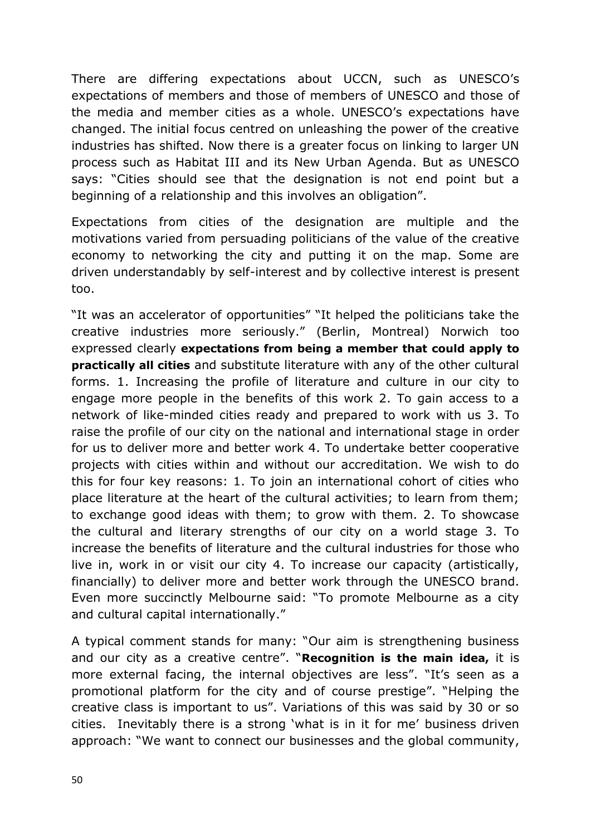There are differing expectations about UCCN, such as UNESCO's expectations of members and those of members of UNESCO and those of the media and member cities as a whole. UNESCO's expectations have changed. The initial focus centred on unleashing the power of the creative industries has shifted. Now there is a greater focus on linking to larger UN process such as Habitat III and its New Urban Agenda. But as UNESCO says: "Cities should see that the designation is not end point but a beginning of a relationship and this involves an obligation".

Expectations from cities of the designation are multiple and the motivations varied from persuading politicians of the value of the creative economy to networking the city and putting it on the map. Some are driven understandably by self-interest and by collective interest is present too.

"It was an accelerator of opportunities" "It helped the politicians take the creative industries more seriously." (Berlin, Montreal) Norwich too expressed clearly **expectations from being a member that could apply to practically all cities** and substitute literature with any of the other cultural forms. 1. Increasing the profile of literature and culture in our city to engage more people in the benefits of this work 2. To gain access to a network of like-minded cities ready and prepared to work with us 3. To raise the profile of our city on the national and international stage in order for us to deliver more and better work 4. To undertake better cooperative projects with cities within and without our accreditation. We wish to do this for four key reasons: 1. To join an international cohort of cities who place literature at the heart of the cultural activities; to learn from them; to exchange good ideas with them; to grow with them. 2. To showcase the cultural and literary strengths of our city on a world stage 3. To increase the benefits of literature and the cultural industries for those who live in, work in or visit our city 4. To increase our capacity (artistically, financially) to deliver more and better work through the UNESCO brand. Even more succinctly Melbourne said: "To promote Melbourne as a city and cultural capital internationally."

A typical comment stands for many: "Our aim is strengthening business and our city as a creative centre". "**Recognition is the main idea,** it is more external facing, the internal objectives are less". "It's seen as a promotional platform for the city and of course prestige". "Helping the creative class is important to us". Variations of this was said by 30 or so cities. Inevitably there is a strong 'what is in it for me' business driven approach: "We want to connect our businesses and the global community,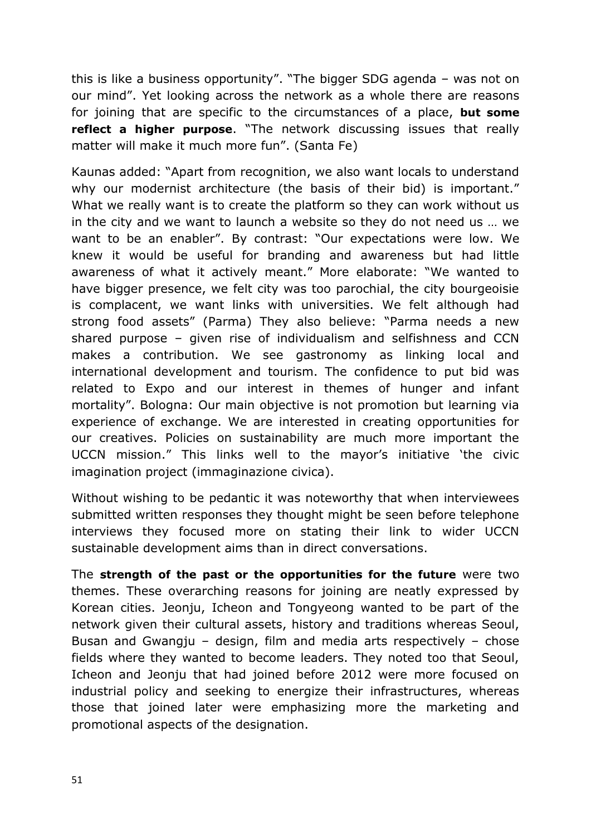this is like a business opportunity". "The bigger SDG agenda – was not on our mind". Yet looking across the network as a whole there are reasons for joining that are specific to the circumstances of a place, **but some reflect a higher purpose**. "The network discussing issues that really matter will make it much more fun". (Santa Fe)

Kaunas added: "Apart from recognition, we also want locals to understand why our modernist architecture (the basis of their bid) is important." What we really want is to create the platform so they can work without us in the city and we want to launch a website so they do not need us … we want to be an enabler". By contrast: "Our expectations were low. We knew it would be useful for branding and awareness but had little awareness of what it actively meant." More elaborate: "We wanted to have bigger presence, we felt city was too parochial, the city bourgeoisie is complacent, we want links with universities. We felt although had strong food assets" (Parma) They also believe: "Parma needs a new shared purpose – given rise of individualism and selfishness and CCN makes a contribution. We see gastronomy as linking local and international development and tourism. The confidence to put bid was related to Expo and our interest in themes of hunger and infant mortality". Bologna: Our main objective is not promotion but learning via experience of exchange. We are interested in creating opportunities for our creatives. Policies on sustainability are much more important the UCCN mission." This links well to the mayor's initiative 'the civic imagination project (immaginazione civica).

Without wishing to be pedantic it was noteworthy that when interviewees submitted written responses they thought might be seen before telephone interviews they focused more on stating their link to wider UCCN sustainable development aims than in direct conversations.

The **strength of the past or the opportunities for the future** were two themes. These overarching reasons for joining are neatly expressed by Korean cities. Jeonju, Icheon and Tongyeong wanted to be part of the network given their cultural assets, history and traditions whereas Seoul, Busan and Gwangju – design, film and media arts respectively – chose fields where they wanted to become leaders. They noted too that Seoul, Icheon and Jeonju that had joined before 2012 were more focused on industrial policy and seeking to energize their infrastructures, whereas those that joined later were emphasizing more the marketing and promotional aspects of the designation.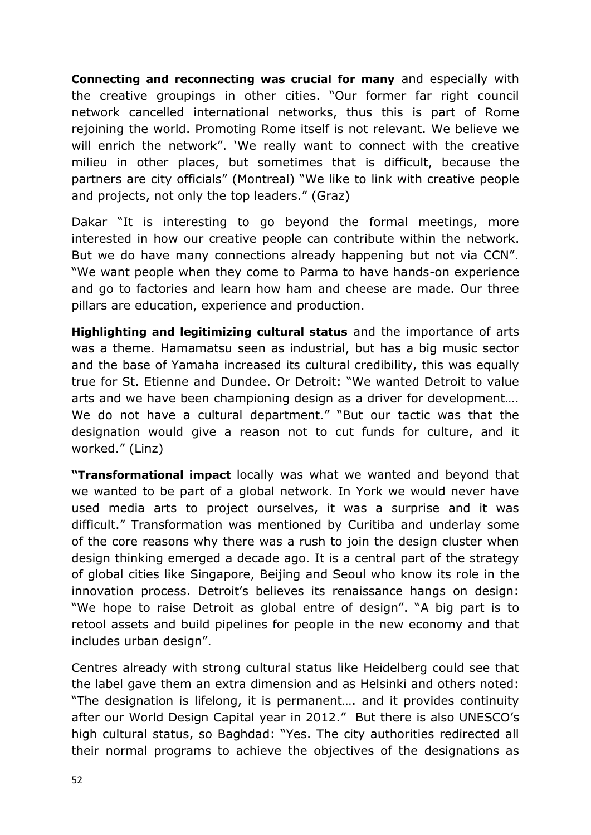**Connecting and reconnecting was crucial for many** and especially with the creative groupings in other cities. "Our former far right council network cancelled international networks, thus this is part of Rome rejoining the world. Promoting Rome itself is not relevant. We believe we will enrich the network". 'We really want to connect with the creative milieu in other places, but sometimes that is difficult, because the partners are city officials" (Montreal) "We like to link with creative people and projects, not only the top leaders." (Graz)

Dakar "It is interesting to go beyond the formal meetings, more interested in how our creative people can contribute within the network. But we do have many connections already happening but not via CCN". "We want people when they come to Parma to have hands-on experience and go to factories and learn how ham and cheese are made. Our three pillars are education, experience and production.

**Highlighting and legitimizing cultural status** and the importance of arts was a theme. Hamamatsu seen as industrial, but has a big music sector and the base of Yamaha increased its cultural credibility, this was equally true for St. Etienne and Dundee. Or Detroit: "We wanted Detroit to value arts and we have been championing design as a driver for development…. We do not have a cultural department." "But our tactic was that the designation would give a reason not to cut funds for culture, and it worked." (Linz)

**"Transformational impact** locally was what we wanted and beyond that we wanted to be part of a global network. In York we would never have used media arts to project ourselves, it was a surprise and it was difficult." Transformation was mentioned by Curitiba and underlay some of the core reasons why there was a rush to join the design cluster when design thinking emerged a decade ago. It is a central part of the strategy of global cities like Singapore, Beijing and Seoul who know its role in the innovation process. Detroit's believes its renaissance hangs on design: "We hope to raise Detroit as global entre of design". "A big part is to retool assets and build pipelines for people in the new economy and that includes urban design".

Centres already with strong cultural status like Heidelberg could see that the label gave them an extra dimension and as Helsinki and others noted: "The designation is lifelong, it is permanent…. and it provides continuity after our World Design Capital year in 2012." But there is also UNESCO's high cultural status, so Baghdad: "Yes. The city authorities redirected all their normal programs to achieve the objectives of the designations as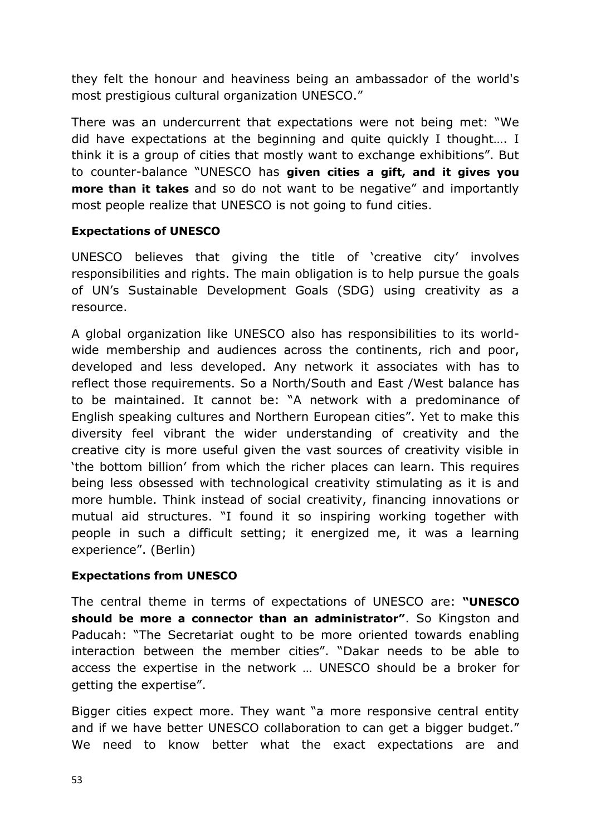they felt the honour and heaviness being an ambassador of the world's most prestigious cultural organization UNESCO."

There was an undercurrent that expectations were not being met: "We did have expectations at the beginning and quite quickly I thought…. I think it is a group of cities that mostly want to exchange exhibitions". But to counter-balance "UNESCO has **given cities a gift, and it gives you more than it takes** and so do not want to be negative" and importantly most people realize that UNESCO is not going to fund cities.

#### **Expectations of UNESCO**

UNESCO believes that giving the title of 'creative city' involves responsibilities and rights. The main obligation is to help pursue the goals of UN's Sustainable Development Goals (SDG) using creativity as a resource.

A global organization like UNESCO also has responsibilities to its worldwide membership and audiences across the continents, rich and poor, developed and less developed. Any network it associates with has to reflect those requirements. So a North/South and East /West balance has to be maintained. It cannot be: "A network with a predominance of English speaking cultures and Northern European cities". Yet to make this diversity feel vibrant the wider understanding of creativity and the creative city is more useful given the vast sources of creativity visible in 'the bottom billion' from which the richer places can learn. This requires being less obsessed with technological creativity stimulating as it is and more humble. Think instead of social creativity, financing innovations or mutual aid structures. "I found it so inspiring working together with people in such a difficult setting; it energized me, it was a learning experience". (Berlin)

### **Expectations from UNESCO**

The central theme in terms of expectations of UNESCO are: **"UNESCO should be more a connector than an administrator"**. So Kingston and Paducah: "The Secretariat ought to be more oriented towards enabling interaction between the member cities". "Dakar needs to be able to access the expertise in the network … UNESCO should be a broker for getting the expertise".

Bigger cities expect more. They want "a more responsive central entity and if we have better UNESCO collaboration to can get a bigger budget." We need to know better what the exact expectations are and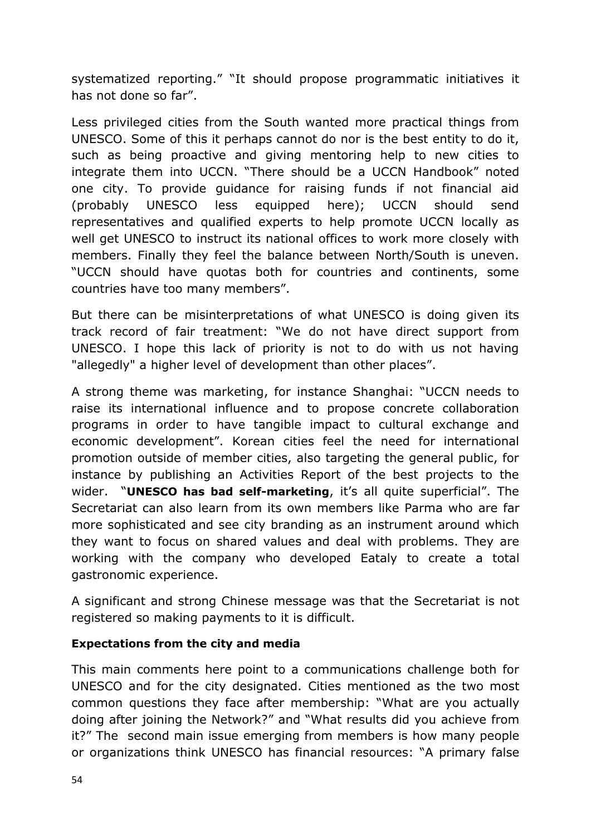systematized reporting." "It should propose programmatic initiatives it has not done so far".

Less privileged cities from the South wanted more practical things from UNESCO. Some of this it perhaps cannot do nor is the best entity to do it, such as being proactive and giving mentoring help to new cities to integrate them into UCCN. "There should be a UCCN Handbook" noted one city. To provide guidance for raising funds if not financial aid (probably UNESCO less equipped here); UCCN should send representatives and qualified experts to help promote UCCN locally as well get UNESCO to instruct its national offices to work more closely with members. Finally they feel the balance between North/South is uneven. "UCCN should have quotas both for countries and continents, some countries have too many members".

But there can be misinterpretations of what UNESCO is doing given its track record of fair treatment: "We do not have direct support from UNESCO. I hope this lack of priority is not to do with us not having "allegedly" a higher level of development than other places".

A strong theme was marketing, for instance Shanghai: "UCCN needs to raise its international influence and to propose concrete collaboration programs in order to have tangible impact to cultural exchange and economic development". Korean cities feel the need for international promotion outside of member cities, also targeting the general public, for instance by publishing an Activities Report of the best projects to the wider. "**UNESCO has bad self-marketing**, it's all quite superficial". The Secretariat can also learn from its own members like Parma who are far more sophisticated and see city branding as an instrument around which they want to focus on shared values and deal with problems. They are working with the company who developed Eataly to create a total gastronomic experience.

A significant and strong Chinese message was that the Secretariat is not registered so making payments to it is difficult.

### **Expectations from the city and media**

This main comments here point to a communications challenge both for UNESCO and for the city designated. Cities mentioned as the two most common questions they face after membership: "What are you actually doing after joining the Network?" and "What results did you achieve from it?" The second main issue emerging from members is how many people or organizations think UNESCO has financial resources: "A primary false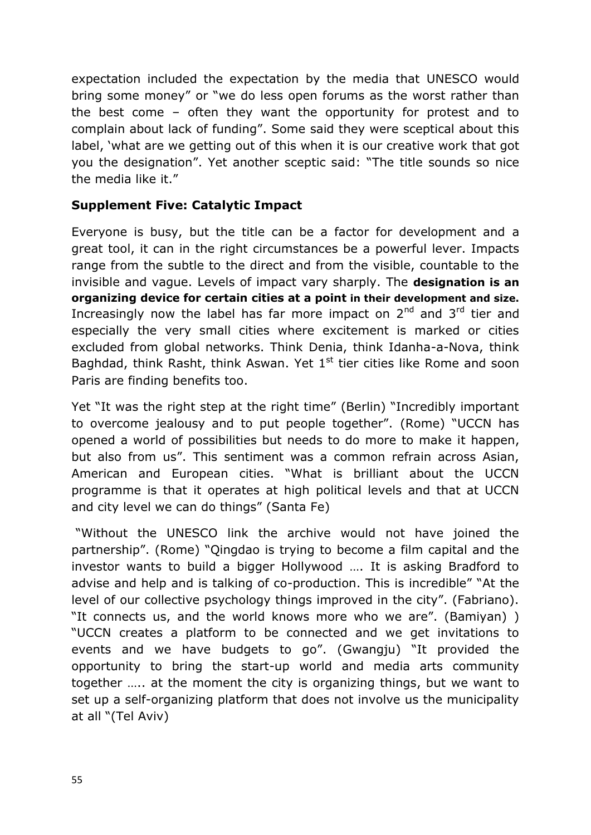expectation included the expectation by the media that UNESCO would bring some money" or "we do less open forums as the worst rather than the best come – often they want the opportunity for protest and to complain about lack of funding". Some said they were sceptical about this label, 'what are we getting out of this when it is our creative work that got you the designation". Yet another sceptic said: "The title sounds so nice the media like it."

## **Supplement Five: Catalytic Impact**

Everyone is busy, but the title can be a factor for development and a great tool, it can in the right circumstances be a powerful lever. Impacts range from the subtle to the direct and from the visible, countable to the invisible and vague. Levels of impact vary sharply. The **designation is an organizing device for certain cities at a point in their development and size.** Increasingly now the label has far more impact on  $2^{nd}$  and  $3^{rd}$  tier and especially the very small cities where excitement is marked or cities excluded from global networks. Think Denia, think Idanha-a-Nova, think Baghdad, think Rasht, think Aswan. Yet  $1<sup>st</sup>$  tier cities like Rome and soon Paris are finding benefits too.

Yet "It was the right step at the right time" (Berlin) "Incredibly important to overcome jealousy and to put people together". (Rome) "UCCN has opened a world of possibilities but needs to do more to make it happen, but also from us". This sentiment was a common refrain across Asian, American and European cities. "What is brilliant about the UCCN programme is that it operates at high political levels and that at UCCN and city level we can do things" (Santa Fe)

"Without the UNESCO link the archive would not have joined the partnership". (Rome) "Qingdao is trying to become a film capital and the investor wants to build a bigger Hollywood …. It is asking Bradford to advise and help and is talking of co-production. This is incredible" "At the level of our collective psychology things improved in the city". (Fabriano). "It connects us, and the world knows more who we are". (Bamiyan) ) "UCCN creates a platform to be connected and we get invitations to events and we have budgets to go". (Gwangju) "It provided the opportunity to bring the start-up world and media arts community together ….. at the moment the city is organizing things, but we want to set up a self-organizing platform that does not involve us the municipality at all "(Tel Aviv)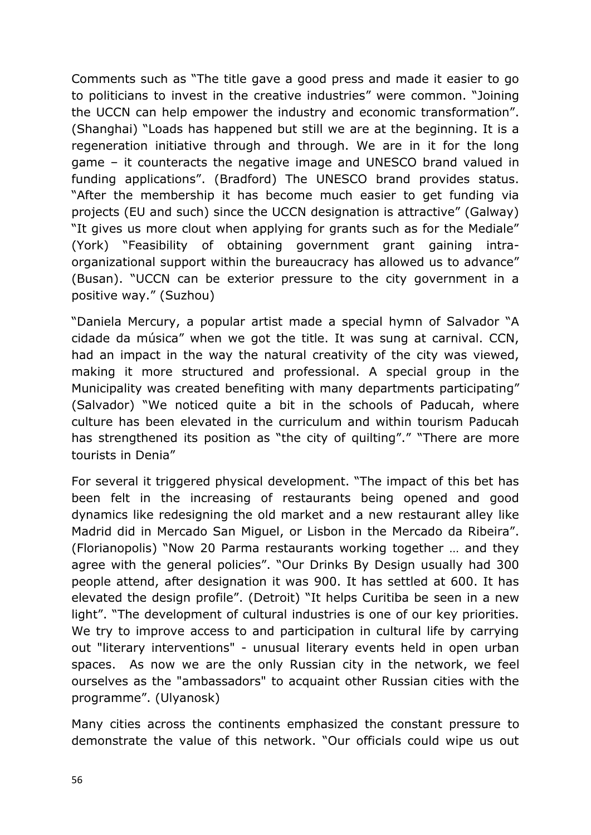Comments such as "The title gave a good press and made it easier to go to politicians to invest in the creative industries" were common. "Joining the UCCN can help empower the industry and economic transformation". (Shanghai) "Loads has happened but still we are at the beginning. It is a regeneration initiative through and through. We are in it for the long game – it counteracts the negative image and UNESCO brand valued in funding applications". (Bradford) The UNESCO brand provides status. "After the membership it has become much easier to get funding via projects (EU and such) since the UCCN designation is attractive" (Galway) "It gives us more clout when applying for grants such as for the Mediale" (York) "Feasibility of obtaining government grant gaining intraorganizational support within the bureaucracy has allowed us to advance" (Busan). "UCCN can be exterior pressure to the city government in a positive way." (Suzhou)

"Daniela Mercury, a popular artist made a special hymn of Salvador "A cidade da música" when we got the title. It was sung at carnival. CCN, had an impact in the way the natural creativity of the city was viewed, making it more structured and professional. A special group in the Municipality was created benefiting with many departments participating" (Salvador) "We noticed quite a bit in the schools of Paducah, where culture has been elevated in the curriculum and within tourism Paducah has strengthened its position as "the city of quilting"." "There are more tourists in Denia"

For several it triggered physical development. "The impact of this bet has been felt in the increasing of restaurants being opened and good dynamics like redesigning the old market and a new restaurant alley like Madrid did in Mercado San Miguel, or Lisbon in the Mercado da Ribeira". (Florianopolis) "Now 20 Parma restaurants working together … and they agree with the general policies". "Our Drinks By Design usually had 300 people attend, after designation it was 900. It has settled at 600. It has elevated the design profile". (Detroit) "It helps Curitiba be seen in a new light". "The development of cultural industries is one of our key priorities. We try to improve access to and participation in cultural life by carrying out "literary interventions" - unusual literary events held in open urban spaces. As now we are the only Russian city in the network, we feel ourselves as the "ambassadors" to acquaint other Russian cities with the programme". (Ulyanosk)

Many cities across the continents emphasized the constant pressure to demonstrate the value of this network. "Our officials could wipe us out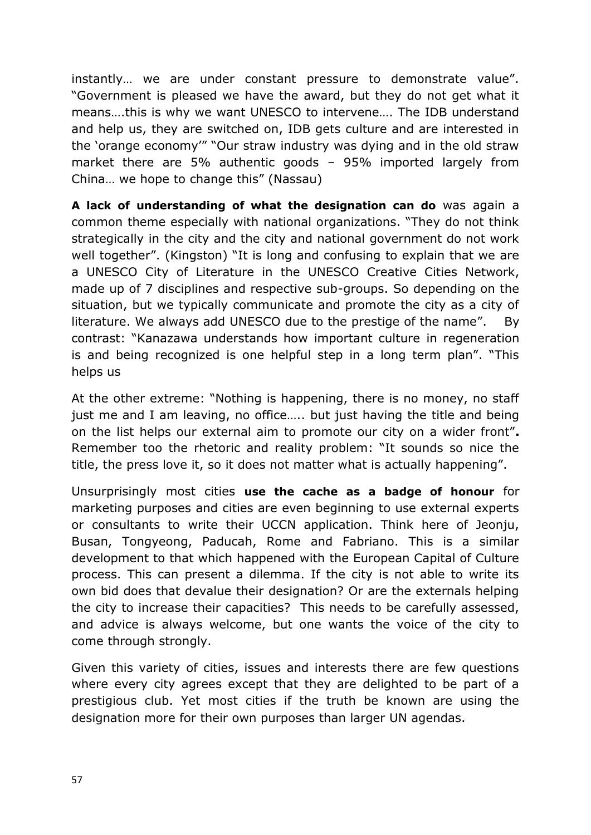instantly… we are under constant pressure to demonstrate value". "Government is pleased we have the award, but they do not get what it means….this is why we want UNESCO to intervene…. The IDB understand and help us, they are switched on, IDB gets culture and are interested in the 'orange economy'" "Our straw industry was dying and in the old straw market there are 5% authentic goods – 95% imported largely from China… we hope to change this" (Nassau)

**A lack of understanding of what the designation can do** was again a common theme especially with national organizations. "They do not think strategically in the city and the city and national government do not work well together". (Kingston) "It is long and confusing to explain that we are a UNESCO City of Literature in the UNESCO Creative Cities Network, made up of 7 disciplines and respective sub-groups. So depending on the situation, but we typically communicate and promote the city as a city of literature. We always add UNESCO due to the prestige of the name". By contrast: "Kanazawa understands how important culture in regeneration is and being recognized is one helpful step in a long term plan". "This helps us

At the other extreme: "Nothing is happening, there is no money, no staff just me and I am leaving, no office….. but just having the title and being on the list helps our external aim to promote our city on a wider front"**.**  Remember too the rhetoric and reality problem: "It sounds so nice the title, the press love it, so it does not matter what is actually happening".

Unsurprisingly most cities **use the cache as a badge of honour** for marketing purposes and cities are even beginning to use external experts or consultants to write their UCCN application. Think here of Jeonju, Busan, Tongyeong, Paducah, Rome and Fabriano. This is a similar development to that which happened with the European Capital of Culture process. This can present a dilemma. If the city is not able to write its own bid does that devalue their designation? Or are the externals helping the city to increase their capacities? This needs to be carefully assessed, and advice is always welcome, but one wants the voice of the city to come through strongly.

Given this variety of cities, issues and interests there are few questions where every city agrees except that they are delighted to be part of a prestigious club. Yet most cities if the truth be known are using the designation more for their own purposes than larger UN agendas.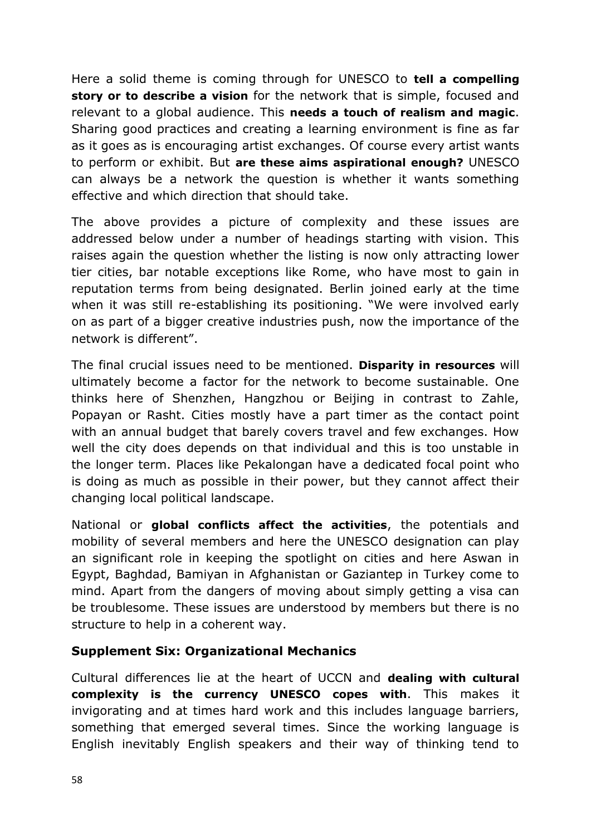Here a solid theme is coming through for UNESCO to **tell a compelling story or to describe a vision** for the network that is simple, focused and relevant to a global audience. This **needs a touch of realism and magic**. Sharing good practices and creating a learning environment is fine as far as it goes as is encouraging artist exchanges. Of course every artist wants to perform or exhibit. But **are these aims aspirational enough?** UNESCO can always be a network the question is whether it wants something effective and which direction that should take.

The above provides a picture of complexity and these issues are addressed below under a number of headings starting with vision. This raises again the question whether the listing is now only attracting lower tier cities, bar notable exceptions like Rome, who have most to gain in reputation terms from being designated. Berlin joined early at the time when it was still re-establishing its positioning. "We were involved early on as part of a bigger creative industries push, now the importance of the network is different".

The final crucial issues need to be mentioned. **Disparity in resources** will ultimately become a factor for the network to become sustainable. One thinks here of Shenzhen, Hangzhou or Beijing in contrast to Zahle, Popayan or Rasht. Cities mostly have a part timer as the contact point with an annual budget that barely covers travel and few exchanges. How well the city does depends on that individual and this is too unstable in the longer term. Places like Pekalongan have a dedicated focal point who is doing as much as possible in their power, but they cannot affect their changing local political landscape.

National or **global conflicts affect the activities**, the potentials and mobility of several members and here the UNESCO designation can play an significant role in keeping the spotlight on cities and here Aswan in Egypt, Baghdad, Bamiyan in Afghanistan or Gaziantep in Turkey come to mind. Apart from the dangers of moving about simply getting a visa can be troublesome. These issues are understood by members but there is no structure to help in a coherent way.

## **Supplement Six: Organizational Mechanics**

Cultural differences lie at the heart of UCCN and **dealing with cultural complexity is the currency UNESCO copes with**. This makes it invigorating and at times hard work and this includes language barriers, something that emerged several times. Since the working language is English inevitably English speakers and their way of thinking tend to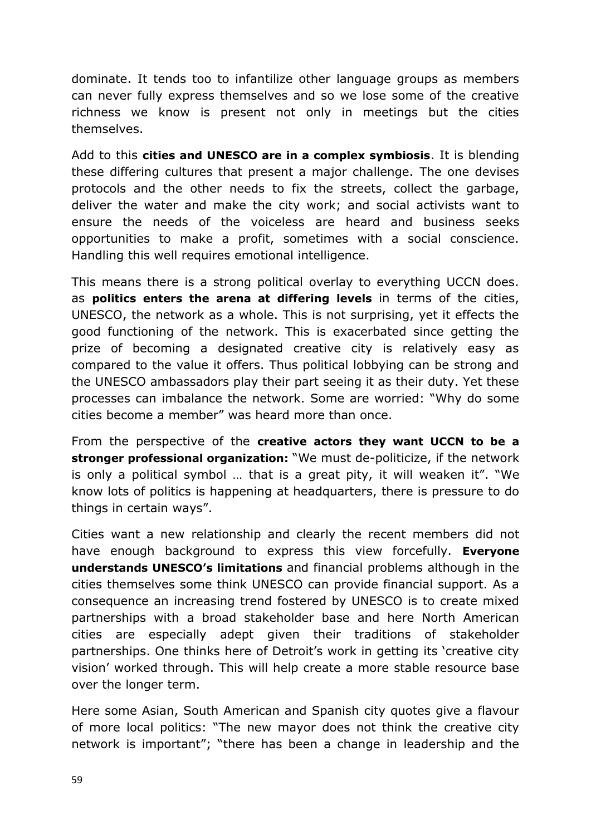dominate. It tends too to infantilize other language groups as members can never fully express themselves and so we lose some of the creative richness we know is present not only in meetings but the cities themselves.

Add to this **cities and UNESCO are in a complex symbiosis**. It is blending these differing cultures that present a major challenge. The one devises protocols and the other needs to fix the streets, collect the garbage, deliver the water and make the city work; and social activists want to ensure the needs of the voiceless are heard and business seeks opportunities to make a profit, sometimes with a social conscience. Handling this well requires emotional intelligence.

This means there is a strong political overlay to everything UCCN does. as **politics enters the arena at differing levels** in terms of the cities, UNESCO, the network as a whole. This is not surprising, yet it effects the good functioning of the network. This is exacerbated since getting the prize of becoming a designated creative city is relatively easy as compared to the value it offers. Thus political lobbying can be strong and the UNESCO ambassadors play their part seeing it as their duty. Yet these processes can imbalance the network. Some are worried: "Why do some cities become a member" was heard more than once.

From the perspective of the **creative actors they want UCCN to be a stronger professional organization:** "We must de-politicize, if the network is only a political symbol … that is a great pity, it will weaken it". "We know lots of politics is happening at headquarters, there is pressure to do things in certain ways".

Cities want a new relationship and clearly the recent members did not have enough background to express this view forcefully. **Everyone understands UNESCO's limitations** and financial problems although in the cities themselves some think UNESCO can provide financial support. As a consequence an increasing trend fostered by UNESCO is to create mixed partnerships with a broad stakeholder base and here North American cities are especially adept given their traditions of stakeholder partnerships. One thinks here of Detroit's work in getting its 'creative city vision' worked through. This will help create a more stable resource base over the longer term.

Here some Asian, South American and Spanish city quotes give a flavour of more local politics: "The new mayor does not think the creative city network is important"; "there has been a change in leadership and the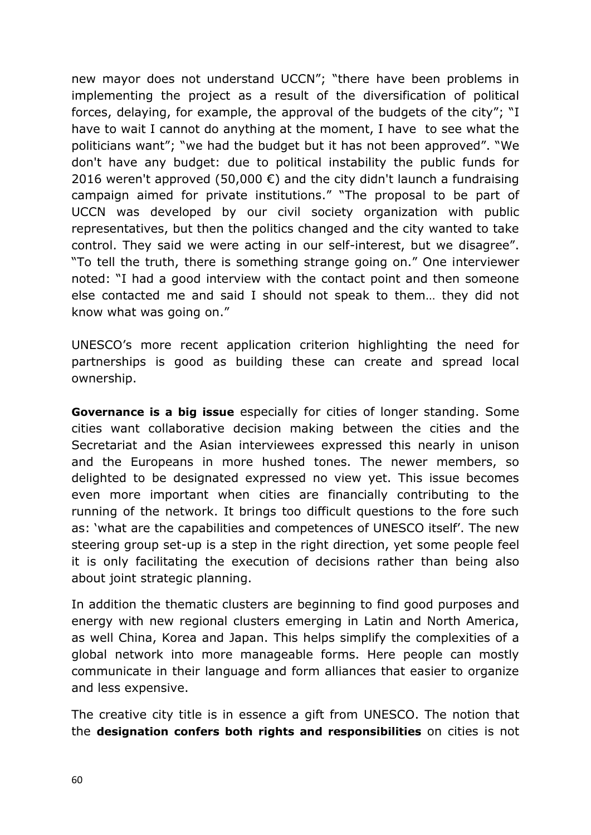new mayor does not understand UCCN"; "there have been problems in implementing the project as a result of the diversification of political forces, delaying, for example, the approval of the budgets of the city"; "I have to wait I cannot do anything at the moment, I have to see what the politicians want"; "we had the budget but it has not been approved". "We don't have any budget: due to political instability the public funds for 2016 weren't approved (50,000 €) and the city didn't launch a fundraising campaign aimed for private institutions." "The proposal to be part of UCCN was developed by our civil society organization with public representatives, but then the politics changed and the city wanted to take control. They said we were acting in our self-interest, but we disagree". "To tell the truth, there is something strange going on." One interviewer noted: "I had a good interview with the contact point and then someone else contacted me and said I should not speak to them… they did not know what was going on."

UNESCO's more recent application criterion highlighting the need for partnerships is good as building these can create and spread local ownership.

**Governance is a big issue** especially for cities of longer standing. Some cities want collaborative decision making between the cities and the Secretariat and the Asian interviewees expressed this nearly in unison and the Europeans in more hushed tones. The newer members, so delighted to be designated expressed no view yet. This issue becomes even more important when cities are financially contributing to the running of the network. It brings too difficult questions to the fore such as: 'what are the capabilities and competences of UNESCO itself'. The new steering group set-up is a step in the right direction, yet some people feel it is only facilitating the execution of decisions rather than being also about joint strategic planning.

In addition the thematic clusters are beginning to find good purposes and energy with new regional clusters emerging in Latin and North America, as well China, Korea and Japan. This helps simplify the complexities of a global network into more manageable forms. Here people can mostly communicate in their language and form alliances that easier to organize and less expensive.

The creative city title is in essence a gift from UNESCO. The notion that the **designation confers both rights and responsibilities** on cities is not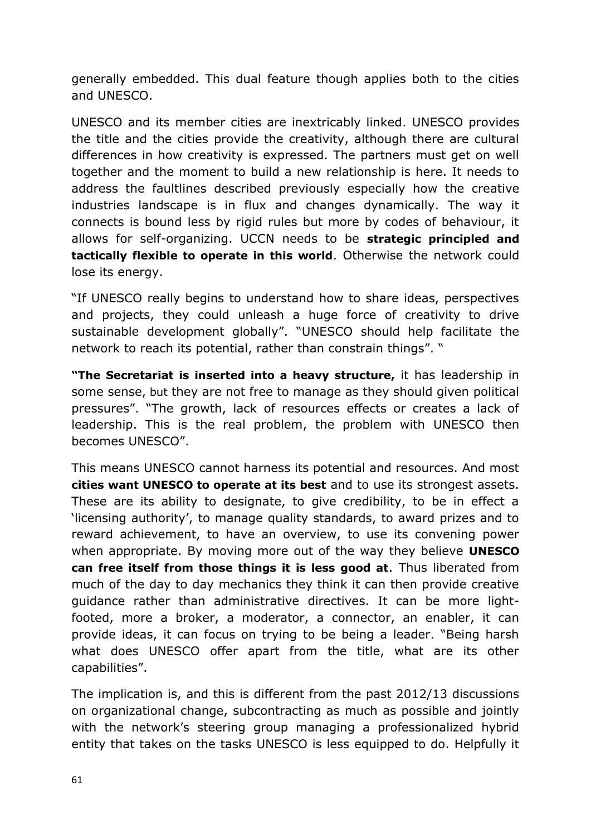generally embedded. This dual feature though applies both to the cities and UNESCO.

UNESCO and its member cities are inextricably linked. UNESCO provides the title and the cities provide the creativity, although there are cultural differences in how creativity is expressed. The partners must get on well together and the moment to build a new relationship is here. It needs to address the faultlines described previously especially how the creative industries landscape is in flux and changes dynamically. The way it connects is bound less by rigid rules but more by codes of behaviour, it allows for self-organizing. UCCN needs to be **strategic principled and tactically flexible to operate in this world**. Otherwise the network could lose its energy.

"If UNESCO really begins to understand how to share ideas, perspectives and projects, they could unleash a huge force of creativity to drive sustainable development globally". "UNESCO should help facilitate the network to reach its potential, rather than constrain things". "

**"The Secretariat is inserted into a heavy structure,** it has leadership in some sense, but they are not free to manage as they should given political pressures". "The growth, lack of resources effects or creates a lack of leadership. This is the real problem, the problem with UNESCO then becomes UNESCO".

This means UNESCO cannot harness its potential and resources. And most **cities want UNESCO to operate at its best** and to use its strongest assets. These are its ability to designate, to give credibility, to be in effect a 'licensing authority', to manage quality standards, to award prizes and to reward achievement, to have an overview, to use its convening power when appropriate. By moving more out of the way they believe **UNESCO can free itself from those things it is less good at**. Thus liberated from much of the day to day mechanics they think it can then provide creative guidance rather than administrative directives. It can be more lightfooted, more a broker, a moderator, a connector, an enabler, it can provide ideas, it can focus on trying to be being a leader. "Being harsh what does UNESCO offer apart from the title, what are its other capabilities".

The implication is, and this is different from the past 2012/13 discussions on organizational change, subcontracting as much as possible and jointly with the network's steering group managing a professionalized hybrid entity that takes on the tasks UNESCO is less equipped to do. Helpfully it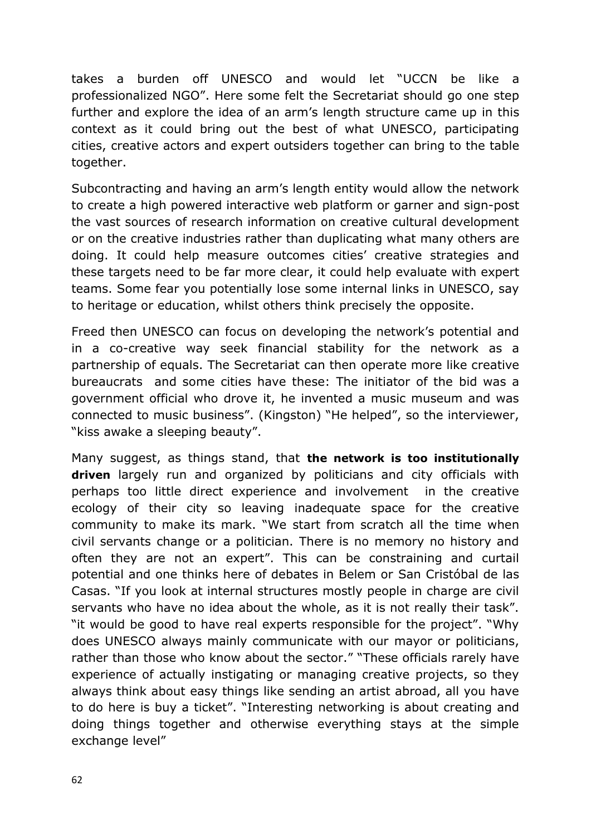takes a burden off UNESCO and would let "UCCN be like a professionalized NGO". Here some felt the Secretariat should go one step further and explore the idea of an arm's length structure came up in this context as it could bring out the best of what UNESCO, participating cities, creative actors and expert outsiders together can bring to the table together.

Subcontracting and having an arm's length entity would allow the network to create a high powered interactive web platform or garner and sign-post the vast sources of research information on creative cultural development or on the creative industries rather than duplicating what many others are doing. It could help measure outcomes cities' creative strategies and these targets need to be far more clear, it could help evaluate with expert teams. Some fear you potentially lose some internal links in UNESCO, say to heritage or education, whilst others think precisely the opposite.

Freed then UNESCO can focus on developing the network's potential and in a co-creative way seek financial stability for the network as a partnership of equals. The Secretariat can then operate more like creative bureaucrats and some cities have these: The initiator of the bid was a government official who drove it, he invented a music museum and was connected to music business". (Kingston) "He helped", so the interviewer, "kiss awake a sleeping beauty".

Many suggest, as things stand, that **the network is too institutionally driven** largely run and organized by politicians and city officials with perhaps too little direct experience and involvement in the creative ecology of their city so leaving inadequate space for the creative community to make its mark. "We start from scratch all the time when civil servants change or a politician. There is no memory no history and often they are not an expert". This can be constraining and curtail potential and one thinks here of debates in Belem or San Cristóbal de las Casas. "If you look at internal structures mostly people in charge are civil servants who have no idea about the whole, as it is not really their task". "it would be good to have real experts responsible for the project". "Why does UNESCO always mainly communicate with our mayor or politicians, rather than those who know about the sector." "These officials rarely have experience of actually instigating or managing creative projects, so they always think about easy things like sending an artist abroad, all you have to do here is buy a ticket". "Interesting networking is about creating and doing things together and otherwise everything stays at the simple exchange level"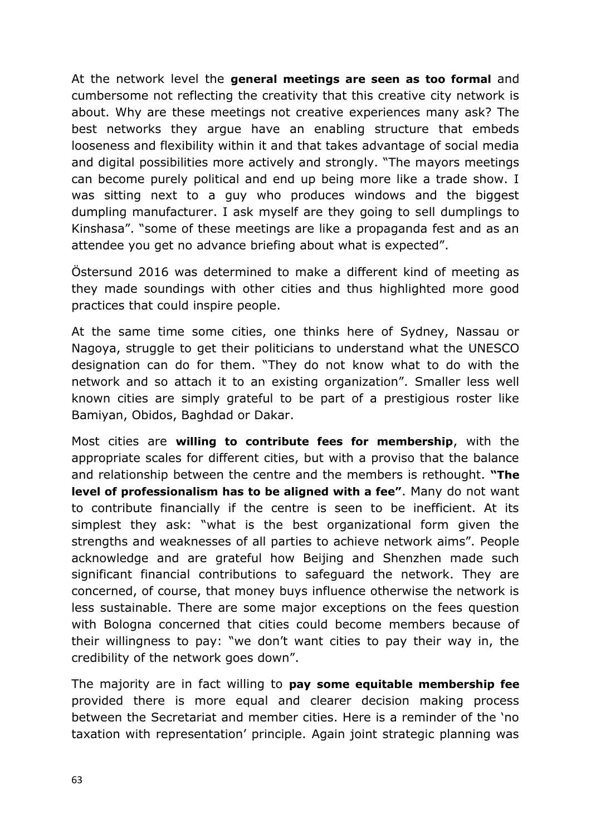At the network level the **general meetings are seen as too formal** and cumbersome not reflecting the creativity that this creative city network is about. Why are these meetings not creative experiences many ask? The best networks they argue have an enabling structure that embeds looseness and flexibility within it and that takes advantage of social media and digital possibilities more actively and strongly. "The mayors meetings can become purely political and end up being more like a trade show. I was sitting next to a guy who produces windows and the biggest dumpling manufacturer. I ask myself are they going to sell dumplings to Kinshasa". "some of these meetings are like a propaganda fest and as an attendee you get no advance briefing about what is expected".

Östersund 2016 was determined to make a different kind of meeting as they made soundings with other cities and thus highlighted more good practices that could inspire people.

At the same time some cities, one thinks here of Sydney, Nassau or Nagoya, struggle to get their politicians to understand what the UNESCO designation can do for them. "They do not know what to do with the network and so attach it to an existing organization". Smaller less well known cities are simply grateful to be part of a prestigious roster like Bamiyan, Obidos, Baghdad or Dakar.

Most cities are **willing to contribute fees for membership**, with the appropriate scales for different cities, but with a proviso that the balance and relationship between the centre and the members is rethought. **"The level of professionalism has to be aligned with a fee"**. Many do not want to contribute financially if the centre is seen to be inefficient. At its simplest they ask: "what is the best organizational form given the strengths and weaknesses of all parties to achieve network aims". People acknowledge and are grateful how Beijing and Shenzhen made such significant financial contributions to safeguard the network. They are concerned, of course, that money buys influence otherwise the network is less sustainable. There are some major exceptions on the fees question with Bologna concerned that cities could become members because of their willingness to pay: "we don't want cities to pay their way in, the credibility of the network goes down".

The majority are in fact willing to **pay some equitable membership fee** provided there is more equal and clearer decision making process between the Secretariat and member cities. Here is a reminder of the 'no taxation with representation' principle. Again joint strategic planning was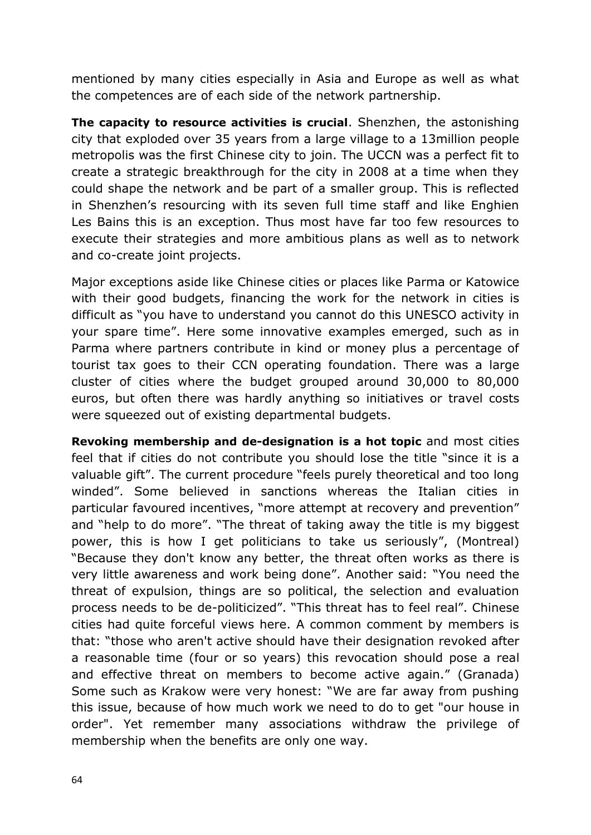mentioned by many cities especially in Asia and Europe as well as what the competences are of each side of the network partnership.

**The capacity to resource activities is crucial**. Shenzhen, the astonishing city that exploded over 35 years from a large village to a 13million people metropolis was the first Chinese city to join. The UCCN was a perfect fit to create a strategic breakthrough for the city in 2008 at a time when they could shape the network and be part of a smaller group. This is reflected in Shenzhen's resourcing with its seven full time staff and like Enghien Les Bains this is an exception. Thus most have far too few resources to execute their strategies and more ambitious plans as well as to network and co-create joint projects.

Major exceptions aside like Chinese cities or places like Parma or Katowice with their good budgets, financing the work for the network in cities is difficult as "you have to understand you cannot do this UNESCO activity in your spare time". Here some innovative examples emerged, such as in Parma where partners contribute in kind or money plus a percentage of tourist tax goes to their CCN operating foundation. There was a large cluster of cities where the budget grouped around 30,000 to 80,000 euros, but often there was hardly anything so initiatives or travel costs were squeezed out of existing departmental budgets.

**Revoking membership and de-designation is a hot topic** and most cities feel that if cities do not contribute you should lose the title "since it is a valuable gift". The current procedure "feels purely theoretical and too long winded". Some believed in sanctions whereas the Italian cities in particular favoured incentives, "more attempt at recovery and prevention" and "help to do more". "The threat of taking away the title is my biggest power, this is how I get politicians to take us seriously", (Montreal) "Because they don't know any better, the threat often works as there is very little awareness and work being done". Another said: "You need the threat of expulsion, things are so political, the selection and evaluation process needs to be de-politicized". "This threat has to feel real". Chinese cities had quite forceful views here. A common comment by members is that: "those who aren't active should have their designation revoked after a reasonable time (four or so years) this revocation should pose a real and effective threat on members to become active again." (Granada) Some such as Krakow were very honest: "We are far away from pushing this issue, because of how much work we need to do to get "our house in order". Yet remember many associations withdraw the privilege of membership when the benefits are only one way.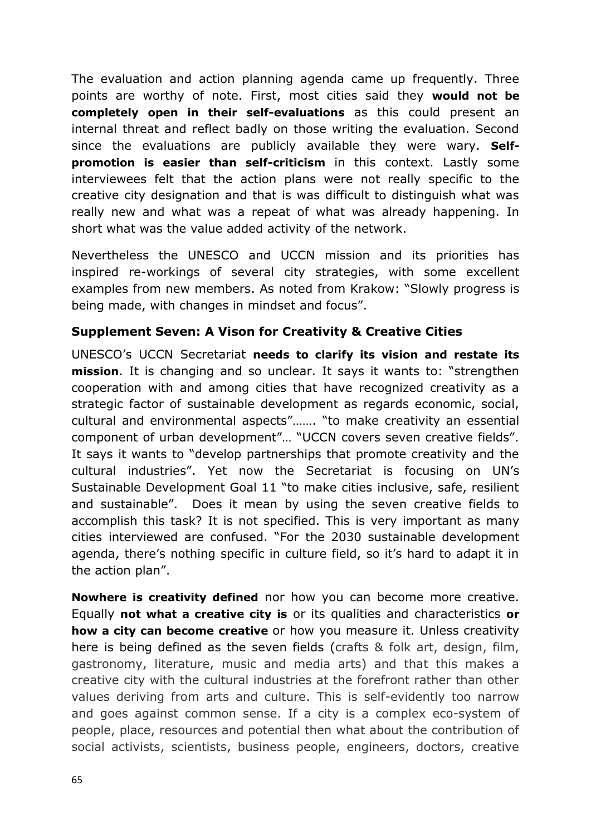The evaluation and action planning agenda came up frequently. Three points are worthy of note. First, most cities said they **would not be completely open in their self-evaluations** as this could present an internal threat and reflect badly on those writing the evaluation. Second since the evaluations are publicly available they were wary. **Selfpromotion is easier than self-criticism** in this context. Lastly some interviewees felt that the action plans were not really specific to the creative city designation and that is was difficult to distinguish what was really new and what was a repeat of what was already happening. In short what was the value added activity of the network.

Nevertheless the UNESCO and UCCN mission and its priorities has inspired re-workings of several city strategies, with some excellent examples from new members. As noted from Krakow: "Slowly progress is being made, with changes in mindset and focus".

# **Supplement Seven: A Vison for Creativity & Creative Cities**

UNESCO's UCCN Secretariat **needs to clarify its vision and restate its mission**. It is changing and so unclear. It says it wants to: "strengthen cooperation with and among cities that have recognized creativity as a strategic factor of sustainable development as regards economic, social, cultural and environmental aspects"……. "to make creativity an essential component of urban development"… "UCCN covers seven creative fields". It says it wants to "develop partnerships that promote creativity and the cultural industries". Yet now the Secretariat is focusing on UN's Sustainable Development Goal 11 "to make cities inclusive, safe, resilient and sustainable". Does it mean by using the seven creative fields to accomplish this task? It is not specified. This is very important as many cities interviewed are confused. "For the 2030 sustainable development agenda, there's nothing specific in culture field, so it's hard to adapt it in the action plan".

**Nowhere is creativity defined** nor how you can become more creative. Equally **not what a creative city is** or its qualities and characteristics **or how a city can become creative** or how you measure it. Unless creativity here is being defined as the seven fields (crafts & folk art, design, film, gastronomy, literature, music and media arts) and that this makes a creative city with the cultural industries at the forefront rather than other values deriving from arts and culture. This is self-evidently too narrow and goes against common sense. If a city is a complex eco-system of people, place, resources and potential then what about the contribution of social activists, scientists, business people, engineers, doctors, creative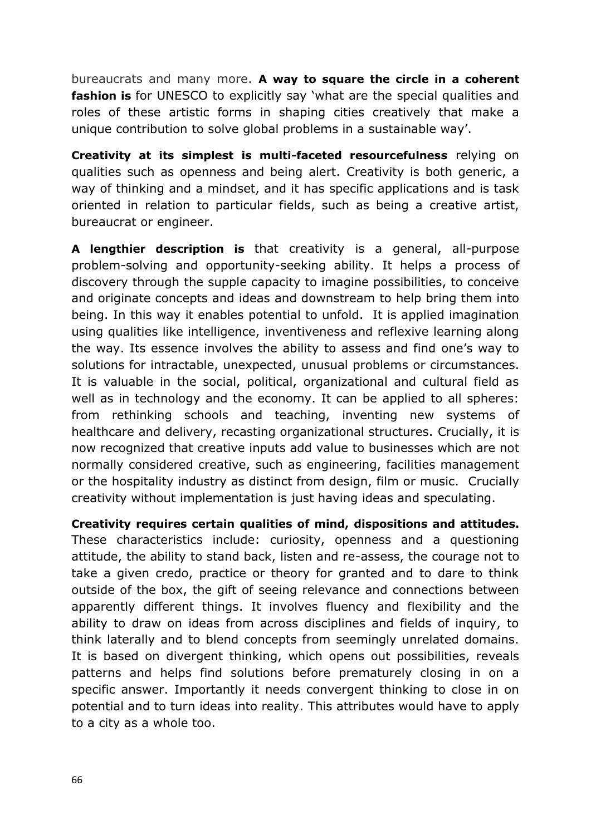bureaucrats and many more. **A way to square the circle in a coherent fashion is** for UNESCO to explicitly say 'what are the special qualities and roles of these artistic forms in shaping cities creatively that make a unique contribution to solve global problems in a sustainable way'.

**Creativity at its simplest is multi-faceted resourcefulness** relying on qualities such as openness and being alert. Creativity is both generic, a way of thinking and a mindset, and it has specific applications and is task oriented in relation to particular fields, such as being a creative artist, bureaucrat or engineer.

**A lengthier description is** that creativity is a general, all-purpose problem-solving and opportunity-seeking ability. It helps a process of discovery through the supple capacity to imagine possibilities, to conceive and originate concepts and ideas and downstream to help bring them into being. In this way it enables potential to unfold. It is applied imagination using qualities like intelligence, inventiveness and reflexive learning along the way. Its essence involves the ability to assess and find one's way to solutions for intractable, unexpected, unusual problems or circumstances. It is valuable in the social, political, organizational and cultural field as well as in technology and the economy. It can be applied to all spheres: from rethinking schools and teaching, inventing new systems of healthcare and delivery, recasting organizational structures. Crucially, it is now recognized that creative inputs add value to businesses which are not normally considered creative, such as engineering, facilities management or the hospitality industry as distinct from design, film or music. Crucially creativity without implementation is just having ideas and speculating.

**Creativity requires certain qualities of mind, dispositions and attitudes.** These characteristics include: curiosity, openness and a questioning attitude, the ability to stand back, listen and re-assess, the courage not to take a given credo, practice or theory for granted and to dare to think outside of the box, the gift of seeing relevance and connections between apparently different things. It involves fluency and flexibility and the ability to draw on ideas from across disciplines and fields of inquiry, to think laterally and to blend concepts from seemingly unrelated domains. It is based on divergent thinking, which opens out possibilities, reveals patterns and helps find solutions before prematurely closing in on a specific answer. Importantly it needs convergent thinking to close in on potential and to turn ideas into reality. This attributes would have to apply to a city as a whole too.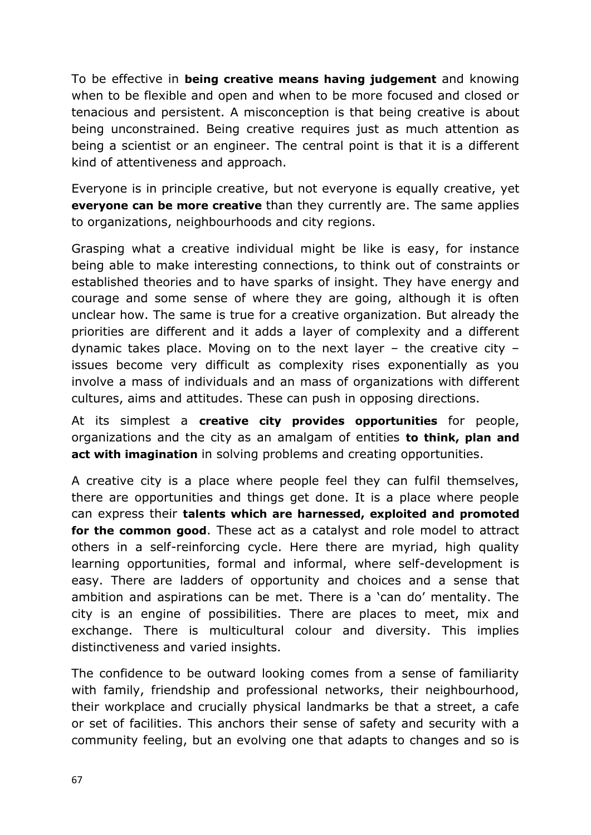To be effective in **being creative means having judgement** and knowing when to be flexible and open and when to be more focused and closed or tenacious and persistent. A misconception is that being creative is about being unconstrained. Being creative requires just as much attention as being a scientist or an engineer. The central point is that it is a different kind of attentiveness and approach.

Everyone is in principle creative, but not everyone is equally creative, yet **everyone can be more creative** than they currently are. The same applies to organizations, neighbourhoods and city regions.

Grasping what a creative individual might be like is easy, for instance being able to make interesting connections, to think out of constraints or established theories and to have sparks of insight. They have energy and courage and some sense of where they are going, although it is often unclear how. The same is true for a creative organization. But already the priorities are different and it adds a layer of complexity and a different dynamic takes place. Moving on to the next layer – the creative city – issues become very difficult as complexity rises exponentially as you involve a mass of individuals and an mass of organizations with different cultures, aims and attitudes. These can push in opposing directions.

At its simplest a **creative city provides opportunities** for people, organizations and the city as an amalgam of entities **to think, plan and act with imagination** in solving problems and creating opportunities.

A creative city is a place where people feel they can fulfil themselves, there are opportunities and things get done. It is a place where people can express their **talents which are harnessed, exploited and promoted for the common good**. These act as a catalyst and role model to attract others in a self-reinforcing cycle. Here there are myriad, high quality learning opportunities, formal and informal, where self-development is easy. There are ladders of opportunity and choices and a sense that ambition and aspirations can be met. There is a 'can do' mentality. The city is an engine of possibilities. There are places to meet, mix and exchange. There is multicultural colour and diversity. This implies distinctiveness and varied insights.

The confidence to be outward looking comes from a sense of familiarity with family, friendship and professional networks, their neighbourhood, their workplace and crucially physical landmarks be that a street, a cafe or set of facilities. This anchors their sense of safety and security with a community feeling, but an evolving one that adapts to changes and so is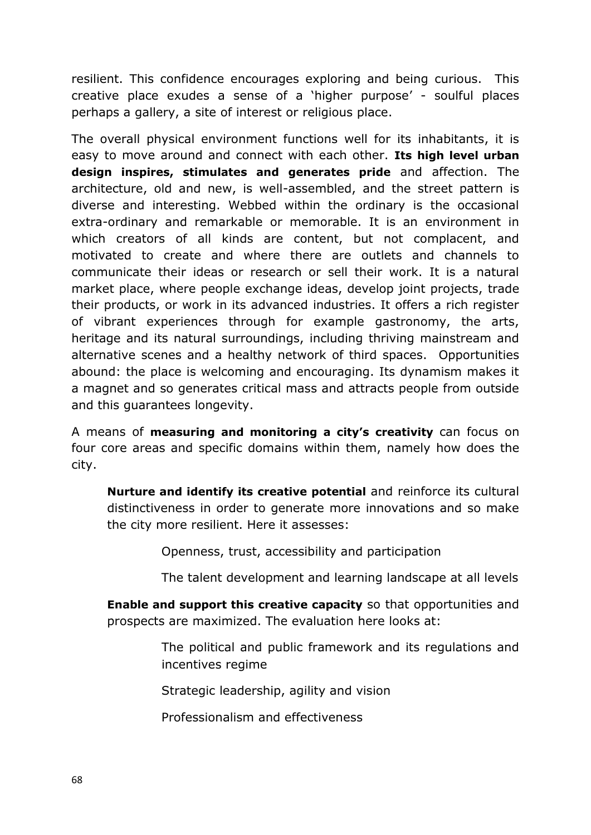resilient. This confidence encourages exploring and being curious. This creative place exudes a sense of a 'higher purpose' - soulful places perhaps a gallery, a site of interest or religious place.

The overall physical environment functions well for its inhabitants, it is easy to move around and connect with each other. **Its high level urban design inspires, stimulates and generates pride** and affection. The architecture, old and new, is well-assembled, and the street pattern is diverse and interesting. Webbed within the ordinary is the occasional extra-ordinary and remarkable or memorable. It is an environment in which creators of all kinds are content, but not complacent, and motivated to create and where there are outlets and channels to communicate their ideas or research or sell their work. It is a natural market place, where people exchange ideas, develop joint projects, trade their products, or work in its advanced industries. It offers a rich register of vibrant experiences through for example gastronomy, the arts, heritage and its natural surroundings, including thriving mainstream and alternative scenes and a healthy network of third spaces. Opportunities abound: the place is welcoming and encouraging. Its dynamism makes it a magnet and so generates critical mass and attracts people from outside and this guarantees longevity.

A means of **measuring and monitoring a city's creativity** can focus on four core areas and specific domains within them, namely how does the city.

**Nurture and identify its creative potential** and reinforce its cultural distinctiveness in order to generate more innovations and so make the city more resilient. Here it assesses:

Openness, trust, accessibility and participation

The talent development and learning landscape at all levels

**Enable and support this creative capacity** so that opportunities and prospects are maximized. The evaluation here looks at:

> The political and public framework and its regulations and incentives regime

Strategic leadership, agility and vision

Professionalism and effectiveness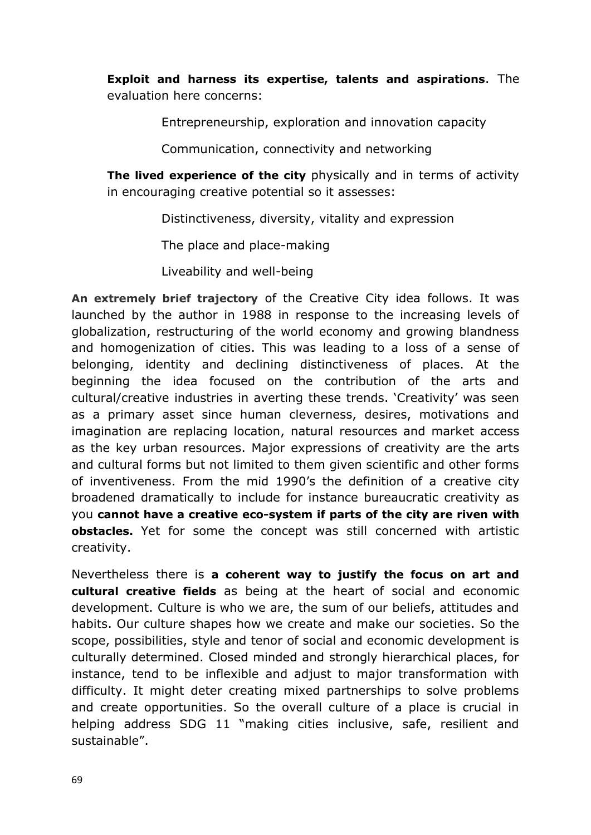**Exploit and harness its expertise, talents and aspirations**. The evaluation here concerns:

Entrepreneurship, exploration and innovation capacity

Communication, connectivity and networking

**The lived experience of the city** physically and in terms of activity in encouraging creative potential so it assesses:

Distinctiveness, diversity, vitality and expression

The place and place-making

Liveability and well-being

**An extremely brief trajectory** of the Creative City idea follows. It was launched by the author in 1988 in response to the increasing levels of globalization, restructuring of the world economy and growing blandness and homogenization of cities. This was leading to a loss of a sense of belonging, identity and declining distinctiveness of places. At the beginning the idea focused on the contribution of the arts and cultural/creative industries in averting these trends. 'Creativity' was seen as a primary asset since human cleverness, desires, motivations and imagination are replacing location, natural resources and market access as the key urban resources. Major expressions of creativity are the arts and cultural forms but not limited to them given scientific and other forms of inventiveness. From the mid 1990's the definition of a creative city broadened dramatically to include for instance bureaucratic creativity as you **cannot have a creative eco-system if parts of the city are riven with obstacles.** Yet for some the concept was still concerned with artistic creativity.

Nevertheless there is **a coherent way to justify the focus on art and cultural creative fields** as being at the heart of social and economic development. Culture is who we are, the sum of our beliefs, attitudes and habits. Our culture shapes how we create and make our societies. So the scope, possibilities, style and tenor of social and economic development is culturally determined. Closed minded and strongly hierarchical places, for instance, tend to be inflexible and adjust to major transformation with difficulty. It might deter creating mixed partnerships to solve problems and create opportunities. So the overall culture of a place is crucial in helping address SDG 11 "making cities inclusive, safe, resilient and sustainable".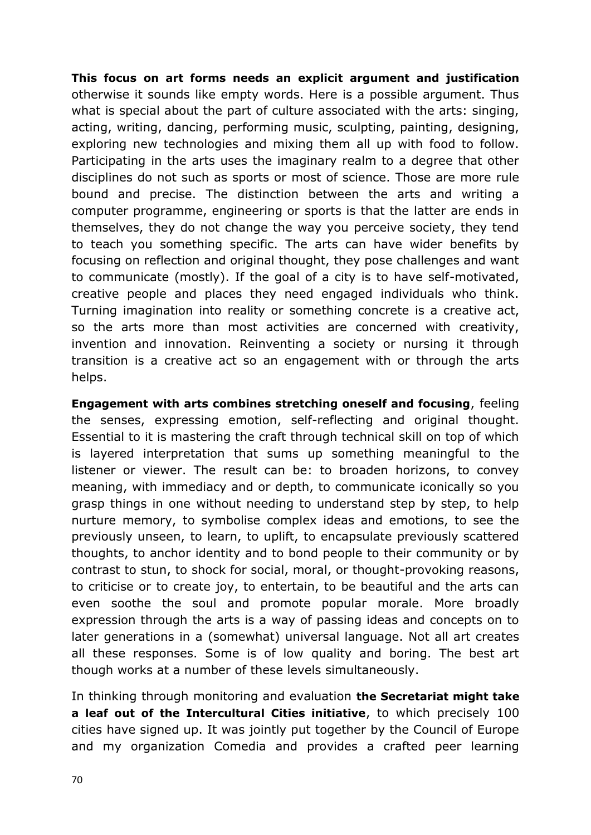**This focus on art forms needs an explicit argument and justification** otherwise it sounds like empty words. Here is a possible argument. Thus what is special about the part of culture associated with the arts: singing, acting, writing, dancing, performing music, sculpting, painting, designing, exploring new technologies and mixing them all up with food to follow. Participating in the arts uses the imaginary realm to a degree that other disciplines do not such as sports or most of science. Those are more rule bound and precise. The distinction between the arts and writing a computer programme, engineering or sports is that the latter are ends in themselves, they do not change the way you perceive society, they tend to teach you something specific. The arts can have wider benefits by focusing on reflection and original thought, they pose challenges and want to communicate (mostly). If the goal of a city is to have self-motivated, creative people and places they need engaged individuals who think. Turning imagination into reality or something concrete is a creative act, so the arts more than most activities are concerned with creativity, invention and innovation. Reinventing a society or nursing it through transition is a creative act so an engagement with or through the arts helps.

**Engagement with arts combines stretching oneself and focusing**, feeling the senses, expressing emotion, self-reflecting and original thought. Essential to it is mastering the craft through technical skill on top of which is layered interpretation that sums up something meaningful to the listener or viewer. The result can be: to broaden horizons, to convey meaning, with immediacy and or depth, to communicate iconically so you grasp things in one without needing to understand step by step, to help nurture memory, to symbolise complex ideas and emotions, to see the previously unseen, to learn, to uplift, to encapsulate previously scattered thoughts, to anchor identity and to bond people to their community or by contrast to stun, to shock for social, moral, or thought-provoking reasons, to criticise or to create joy, to entertain, to be beautiful and the arts can even soothe the soul and promote popular morale. More broadly expression through the arts is a way of passing ideas and concepts on to later generations in a (somewhat) universal language. Not all art creates all these responses. Some is of low quality and boring. The best art though works at a number of these levels simultaneously.

In thinking through monitoring and evaluation **the Secretariat might take a leaf out of the Intercultural Cities initiative**, to which precisely 100 cities have signed up. It was jointly put together by the Council of Europe and my organization Comedia and provides a crafted peer learning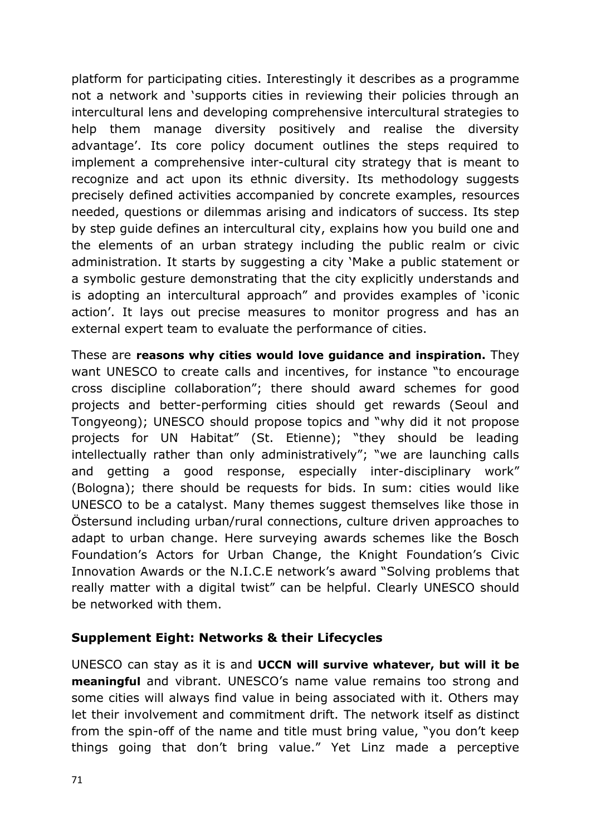platform for participating cities. Interestingly it describes as a programme not a network and 'supports cities in reviewing their policies through an intercultural lens and developing comprehensive intercultural strategies to help them manage diversity positively and realise the diversity advantage'. Its core policy document outlines the steps required to implement a comprehensive inter-cultural city strategy that is meant to recognize and act upon its ethnic diversity. Its methodology suggests precisely defined activities accompanied by concrete examples, resources needed, questions or dilemmas arising and indicators of success. Its step by step guide defines an intercultural city, explains how you build one and the elements of an urban strategy including the public realm or civic administration. It starts by suggesting a city 'Make a public statement or a symbolic gesture demonstrating that the city explicitly understands and is adopting an intercultural approach" and provides examples of 'iconic action'. It lays out precise measures to monitor progress and has an external expert team to evaluate the performance of cities.

These are **reasons why cities would love guidance and inspiration.** They want UNESCO to create calls and incentives, for instance "to encourage cross discipline collaboration"; there should award schemes for good projects and better-performing cities should get rewards (Seoul and Tongyeong); UNESCO should propose topics and "why did it not propose projects for UN Habitat" (St. Etienne); "they should be leading intellectually rather than only administratively"; "we are launching calls and getting a good response, especially inter-disciplinary work" (Bologna); there should be requests for bids. In sum: cities would like UNESCO to be a catalyst. Many themes suggest themselves like those in Östersund including urban/rural connections, culture driven approaches to adapt to urban change. Here surveying awards schemes like the Bosch Foundation's Actors for Urban Change, the Knight Foundation's Civic Innovation Awards or the N.I.C.E network's award "Solving problems that really matter with a digital twist" can be helpful. Clearly UNESCO should be networked with them.

## **Supplement Eight: Networks & their Lifecycles**

UNESCO can stay as it is and **UCCN will survive whatever, but will it be meaningful** and vibrant. UNESCO's name value remains too strong and some cities will always find value in being associated with it. Others may let their involvement and commitment drift. The network itself as distinct from the spin-off of the name and title must bring value, "you don't keep things going that don't bring value." Yet Linz made a perceptive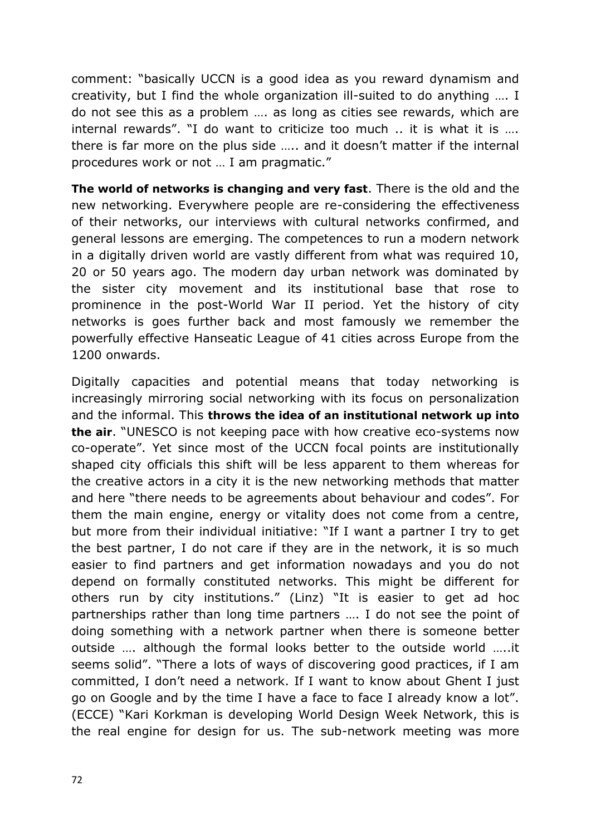comment: "basically UCCN is a good idea as you reward dynamism and creativity, but I find the whole organization ill-suited to do anything …. I do not see this as a problem …. as long as cities see rewards, which are internal rewards". "I do want to criticize too much .. it is what it is …. there is far more on the plus side ….. and it doesn't matter if the internal procedures work or not … I am pragmatic."

**The world of networks is changing and very fast**. There is the old and the new networking. Everywhere people are re-considering the effectiveness of their networks, our interviews with cultural networks confirmed, and general lessons are emerging. The competences to run a modern network in a digitally driven world are vastly different from what was required 10, 20 or 50 years ago. The modern day urban network was dominated by the sister city movement and its institutional base that rose to prominence in the post-World War II period. Yet the history of city networks is goes further back and most famously we remember the powerfully effective Hanseatic League of 41 cities across Europe from the 1200 onwards.

Digitally capacities and potential means that today networking is increasingly mirroring social networking with its focus on personalization and the informal. This **throws the idea of an institutional network up into the air**. "UNESCO is not keeping pace with how creative eco-systems now co-operate". Yet since most of the UCCN focal points are institutionally shaped city officials this shift will be less apparent to them whereas for the creative actors in a city it is the new networking methods that matter and here "there needs to be agreements about behaviour and codes". For them the main engine, energy or vitality does not come from a centre, but more from their individual initiative: "If I want a partner I try to get the best partner, I do not care if they are in the network, it is so much easier to find partners and get information nowadays and you do not depend on formally constituted networks. This might be different for others run by city institutions." (Linz) "It is easier to get ad hoc partnerships rather than long time partners …. I do not see the point of doing something with a network partner when there is someone better outside …. although the formal looks better to the outside world …..it seems solid". "There a lots of ways of discovering good practices, if I am committed, I don't need a network. If I want to know about Ghent I just go on Google and by the time I have a face to face I already know a lot". (ECCE) "Kari Korkman is developing World Design Week Network, this is the real engine for design for us. The sub-network meeting was more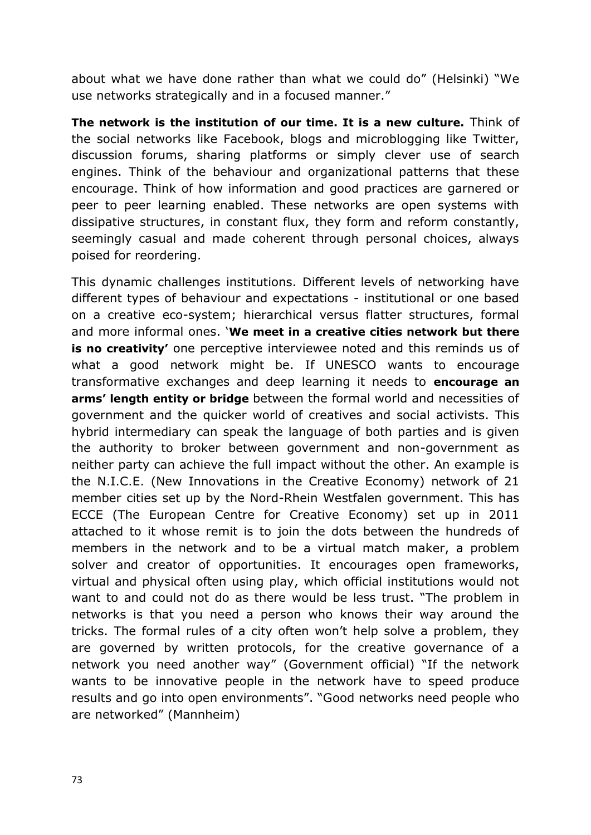about what we have done rather than what we could do" (Helsinki) "We use networks strategically and in a focused manner."

**The network is the institution of our time. It is a new culture.** Think of the social networks like Facebook, blogs and microblogging like Twitter, discussion forums, sharing platforms or simply clever use of search engines. Think of the behaviour and organizational patterns that these encourage. Think of how information and good practices are garnered or peer to peer learning enabled. These networks are open systems with dissipative structures, in constant flux, they form and reform constantly, seemingly casual and made coherent through personal choices, always poised for reordering.

This dynamic challenges institutions. Different levels of networking have different types of behaviour and expectations - institutional or one based on a creative eco-system; hierarchical versus flatter structures, formal and more informal ones. '**We meet in a creative cities network but there is no creativity'** one perceptive interviewee noted and this reminds us of what a good network might be. If UNESCO wants to encourage transformative exchanges and deep learning it needs to **encourage an arms' length entity or bridge** between the formal world and necessities of government and the quicker world of creatives and social activists. This hybrid intermediary can speak the language of both parties and is given the authority to broker between government and non-government as neither party can achieve the full impact without the other. An example is the N.I.C.E. (New Innovations in the Creative Economy) network of 21 member cities set up by the Nord-Rhein Westfalen government. This has ECCE (The European Centre for Creative Economy) set up in 2011 attached to it whose remit is to join the dots between the hundreds of members in the network and to be a virtual match maker, a problem solver and creator of opportunities. It encourages open frameworks, virtual and physical often using play, which official institutions would not want to and could not do as there would be less trust. "The problem in networks is that you need a person who knows their way around the tricks. The formal rules of a city often won't help solve a problem, they are governed by written protocols, for the creative governance of a network you need another way" (Government official) "If the network wants to be innovative people in the network have to speed produce results and go into open environments". "Good networks need people who are networked" (Mannheim)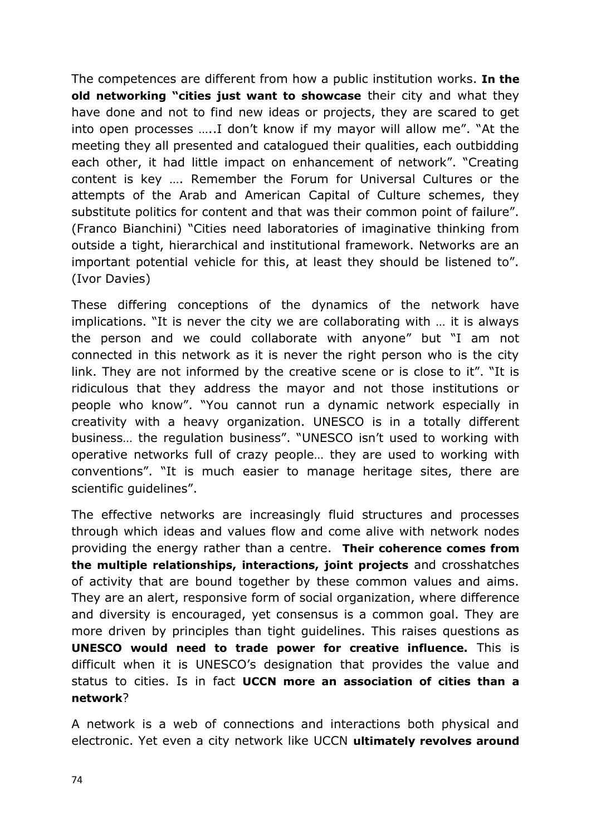The competences are different from how a public institution works. **In the old networking "cities just want to showcase** their city and what they have done and not to find new ideas or projects, they are scared to get into open processes …..I don't know if my mayor will allow me". "At the meeting they all presented and catalogued their qualities, each outbidding each other, it had little impact on enhancement of network". "Creating content is key …. Remember the Forum for Universal Cultures or the attempts of the Arab and American Capital of Culture schemes, they substitute politics for content and that was their common point of failure". (Franco Bianchini) "Cities need laboratories of imaginative thinking from outside a tight, hierarchical and institutional framework. Networks are an important potential vehicle for this, at least they should be listened to". (Ivor Davies)

These differing conceptions of the dynamics of the network have implications. "It is never the city we are collaborating with … it is always the person and we could collaborate with anyone" but "I am not connected in this network as it is never the right person who is the city link. They are not informed by the creative scene or is close to it". "It is ridiculous that they address the mayor and not those institutions or people who know". "You cannot run a dynamic network especially in creativity with a heavy organization. UNESCO is in a totally different business… the regulation business". "UNESCO isn't used to working with operative networks full of crazy people… they are used to working with conventions". "It is much easier to manage heritage sites, there are scientific guidelines".

The effective networks are increasingly fluid structures and processes through which ideas and values flow and come alive with network nodes providing the energy rather than a centre. **Their coherence comes from the multiple relationships, interactions, joint projects** and crosshatches of activity that are bound together by these common values and aims. They are an alert, responsive form of social organization, where difference and diversity is encouraged, yet consensus is a common goal. They are more driven by principles than tight guidelines. This raises questions as **UNESCO would need to trade power for creative influence.** This is difficult when it is UNESCO's designation that provides the value and status to cities. Is in fact **UCCN more an association of cities than a network**?

A network is a web of connections and interactions both physical and electronic. Yet even a city network like UCCN **ultimately revolves around**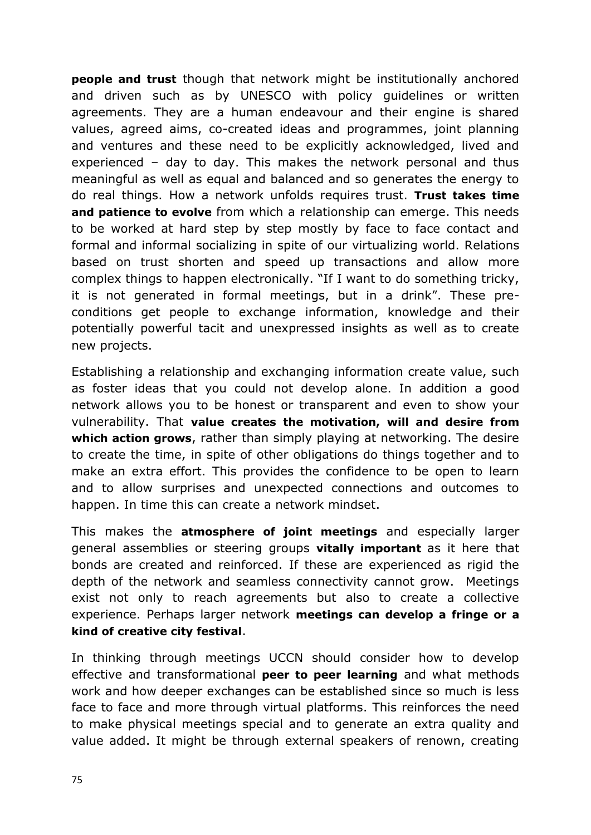**people and trust** though that network might be institutionally anchored and driven such as by UNESCO with policy guidelines or written agreements. They are a human endeavour and their engine is shared values, agreed aims, co-created ideas and programmes, joint planning and ventures and these need to be explicitly acknowledged, lived and experienced – day to day. This makes the network personal and thus meaningful as well as equal and balanced and so generates the energy to do real things. How a network unfolds requires trust. **Trust takes time and patience to evolve** from which a relationship can emerge. This needs to be worked at hard step by step mostly by face to face contact and formal and informal socializing in spite of our virtualizing world. Relations based on trust shorten and speed up transactions and allow more complex things to happen electronically. "If I want to do something tricky, it is not generated in formal meetings, but in a drink". These preconditions get people to exchange information, knowledge and their potentially powerful tacit and unexpressed insights as well as to create new projects.

Establishing a relationship and exchanging information create value, such as foster ideas that you could not develop alone. In addition a good network allows you to be honest or transparent and even to show your vulnerability. That **value creates the motivation, will and desire from which action grows**, rather than simply playing at networking. The desire to create the time, in spite of other obligations do things together and to make an extra effort. This provides the confidence to be open to learn and to allow surprises and unexpected connections and outcomes to happen. In time this can create a network mindset.

This makes the **atmosphere of joint meetings** and especially larger general assemblies or steering groups **vitally important** as it here that bonds are created and reinforced. If these are experienced as rigid the depth of the network and seamless connectivity cannot grow. Meetings exist not only to reach agreements but also to create a collective experience. Perhaps larger network **meetings can develop a fringe or a kind of creative city festival**.

In thinking through meetings UCCN should consider how to develop effective and transformational **peer to peer learning** and what methods work and how deeper exchanges can be established since so much is less face to face and more through virtual platforms. This reinforces the need to make physical meetings special and to generate an extra quality and value added. It might be through external speakers of renown, creating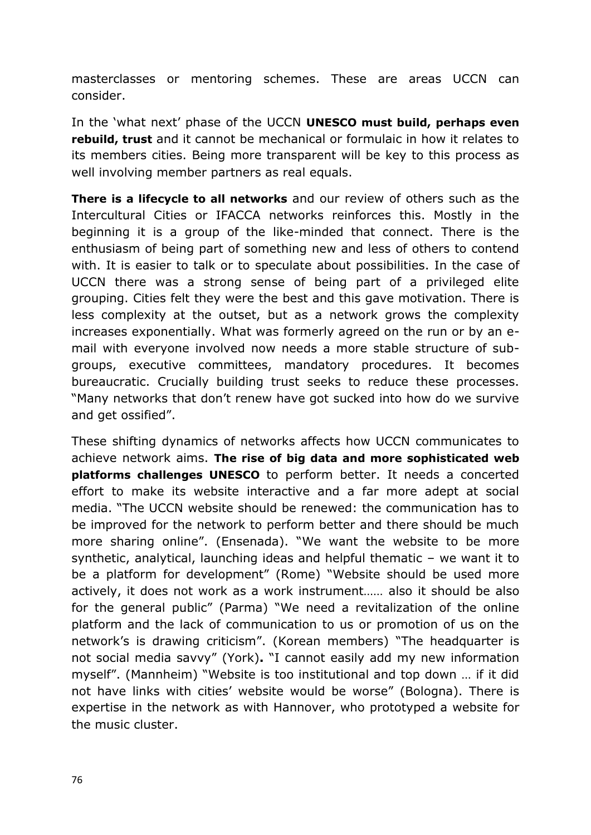masterclasses or mentoring schemes. These are areas UCCN can consider.

In the 'what next' phase of the UCCN **UNESCO must build, perhaps even rebuild, trust** and it cannot be mechanical or formulaic in how it relates to its members cities. Being more transparent will be key to this process as well involving member partners as real equals.

**There is a lifecycle to all networks** and our review of others such as the Intercultural Cities or IFACCA networks reinforces this. Mostly in the beginning it is a group of the like-minded that connect. There is the enthusiasm of being part of something new and less of others to contend with. It is easier to talk or to speculate about possibilities. In the case of UCCN there was a strong sense of being part of a privileged elite grouping. Cities felt they were the best and this gave motivation. There is less complexity at the outset, but as a network grows the complexity increases exponentially. What was formerly agreed on the run or by an email with everyone involved now needs a more stable structure of subgroups, executive committees, mandatory procedures. It becomes bureaucratic. Crucially building trust seeks to reduce these processes. "Many networks that don't renew have got sucked into how do we survive and get ossified".

These shifting dynamics of networks affects how UCCN communicates to achieve network aims. **The rise of big data and more sophisticated web platforms challenges UNESCO** to perform better. It needs a concerted effort to make its website interactive and a far more adept at social media. "The UCCN website should be renewed: the communication has to be improved for the network to perform better and there should be much more sharing online". (Ensenada). "We want the website to be more synthetic, analytical, launching ideas and helpful thematic – we want it to be a platform for development" (Rome) "Website should be used more actively, it does not work as a work instrument…… also it should be also for the general public" (Parma) "We need a revitalization of the online platform and the lack of communication to us or promotion of us on the network's is drawing criticism". (Korean members) "The headquarter is not social media savvy" (York)**.** "I cannot easily add my new information myself". (Mannheim) "Website is too institutional and top down … if it did not have links with cities' website would be worse" (Bologna). There is expertise in the network as with Hannover, who prototyped a website for the music cluster.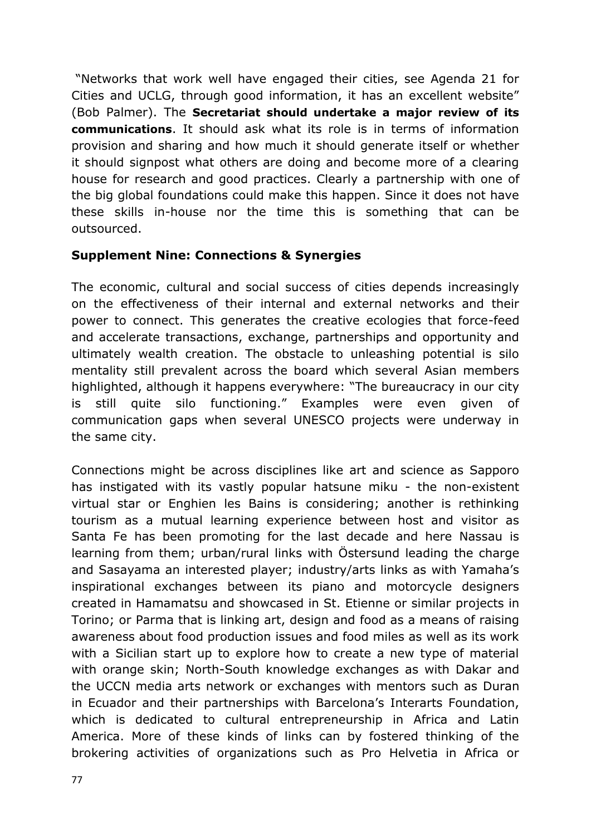"Networks that work well have engaged their cities, see Agenda 21 for Cities and UCLG, through good information, it has an excellent website" (Bob Palmer). The **Secretariat should undertake a major review of its communications**. It should ask what its role is in terms of information provision and sharing and how much it should generate itself or whether it should signpost what others are doing and become more of a clearing house for research and good practices. Clearly a partnership with one of the big global foundations could make this happen. Since it does not have these skills in-house nor the time this is something that can be outsourced.

## **Supplement Nine: Connections & Synergies**

The economic, cultural and social success of cities depends increasingly on the effectiveness of their internal and external networks and their power to connect. This generates the creative ecologies that force-feed and accelerate transactions, exchange, partnerships and opportunity and ultimately wealth creation. The obstacle to unleashing potential is silo mentality still prevalent across the board which several Asian members highlighted, although it happens everywhere: "The bureaucracy in our city is still quite silo functioning." Examples were even given of communication gaps when several UNESCO projects were underway in the same city.

Connections might be across disciplines like art and science as Sapporo has instigated with its vastly popular hatsune miku - the non-existent virtual star or Enghien les Bains is considering; another is rethinking tourism as a mutual learning experience between host and visitor as Santa Fe has been promoting for the last decade and here Nassau is learning from them; urban/rural links with Östersund leading the charge and Sasayama an interested player; industry/arts links as with Yamaha's inspirational exchanges between its piano and motorcycle designers created in Hamamatsu and showcased in St. Etienne or similar projects in Torino; or Parma that is linking art, design and food as a means of raising awareness about food production issues and food miles as well as its work with a Sicilian start up to explore how to create a new type of material with orange skin; North-South knowledge exchanges as with Dakar and the UCCN media arts network or exchanges with mentors such as Duran in Ecuador and their partnerships with Barcelona's Interarts Foundation, which is dedicated to cultural entrepreneurship in Africa and Latin America. More of these kinds of links can by fostered thinking of the brokering activities of organizations such as Pro Helvetia in Africa or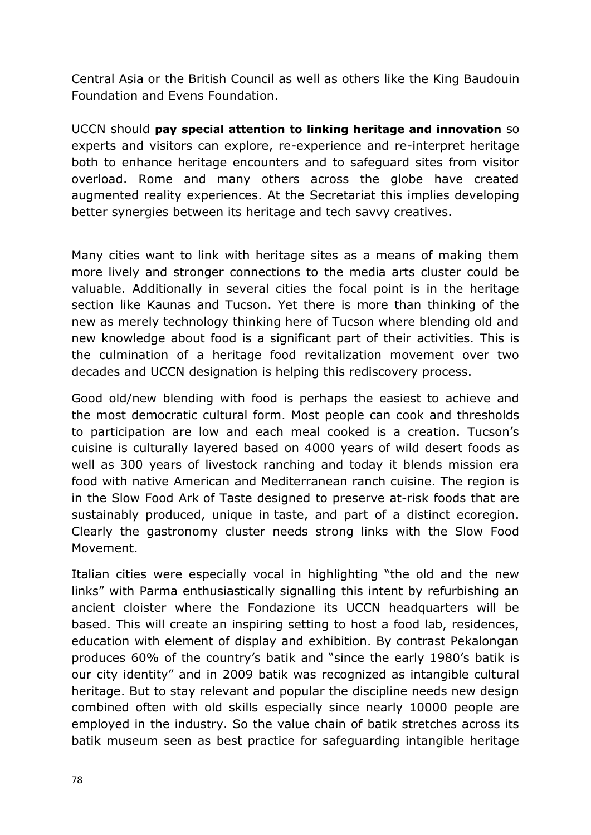Central Asia or the British Council as well as others like the King Baudouin Foundation and Evens Foundation.

UCCN should **pay special attention to linking heritage and innovation** so experts and visitors can explore, re-experience and re-interpret heritage both to enhance heritage encounters and to safeguard sites from visitor overload. Rome and many others across the globe have created augmented reality experiences. At the Secretariat this implies developing better synergies between its heritage and tech savvy creatives.

Many cities want to link with heritage sites as a means of making them more lively and stronger connections to the media arts cluster could be valuable. Additionally in several cities the focal point is in the heritage section like Kaunas and Tucson. Yet there is more than thinking of the new as merely technology thinking here of Tucson where blending old and new knowledge about food is a significant part of their activities. This is the culmination of a heritage food revitalization movement over two decades and UCCN designation is helping this rediscovery process.

Good old/new blending with food is perhaps the easiest to achieve and the most democratic cultural form. Most people can cook and thresholds to participation are low and each meal cooked is a creation. Tucson's cuisine is culturally layered based on 4000 years of wild desert foods as well as 300 years of livestock ranching and today it blends mission era food with native American and Mediterranean ranch cuisine. The region is in the Slow Food Ark of Taste designed to preserve at-risk foods that are sustainably produced, unique in taste, and part of a distinct ecoregion. Clearly the gastronomy cluster needs strong links with the Slow Food Movement.

Italian cities were especially vocal in highlighting "the old and the new links" with Parma enthusiastically signalling this intent by refurbishing an ancient cloister where the Fondazione its UCCN headquarters will be based. This will create an inspiring setting to host a food lab, residences, education with element of display and exhibition. By contrast Pekalongan produces 60% of the country's batik and "since the early 1980's batik is our city identity" and in 2009 batik was recognized as intangible cultural heritage. But to stay relevant and popular the discipline needs new design combined often with old skills especially since nearly 10000 people are employed in the industry. So the value chain of batik stretches across its batik museum seen as best practice for safeguarding intangible heritage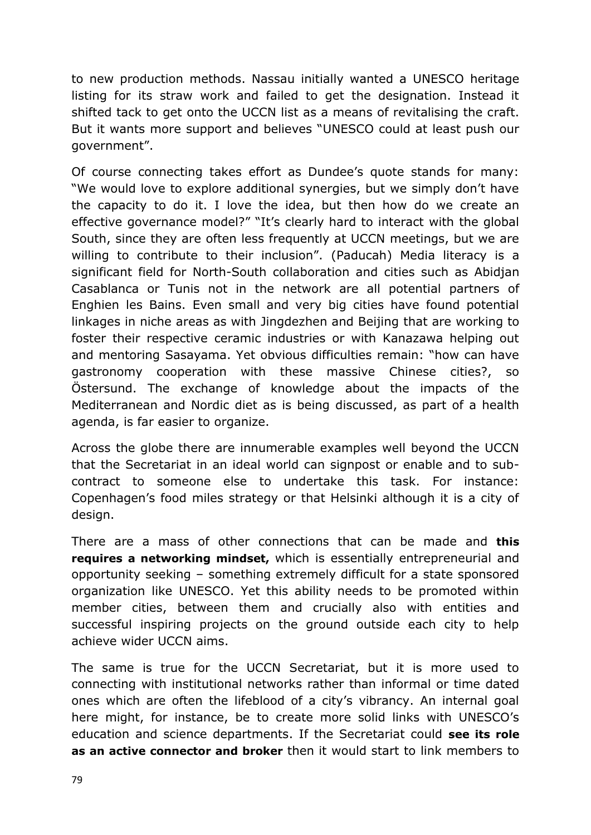to new production methods. Nassau initially wanted a UNESCO heritage listing for its straw work and failed to get the designation. Instead it shifted tack to get onto the UCCN list as a means of revitalising the craft. But it wants more support and believes "UNESCO could at least push our government".

Of course connecting takes effort as Dundee's quote stands for many: "We would love to explore additional synergies, but we simply don't have the capacity to do it. I love the idea, but then how do we create an effective governance model?" "It's clearly hard to interact with the global South, since they are often less frequently at UCCN meetings, but we are willing to contribute to their inclusion". (Paducah) Media literacy is a significant field for North-South collaboration and cities such as Abidjan Casablanca or Tunis not in the network are all potential partners of Enghien les Bains. Even small and very big cities have found potential linkages in niche areas as with Jingdezhen and Beijing that are working to foster their respective ceramic industries or with Kanazawa helping out and mentoring Sasayama. Yet obvious difficulties remain: "how can have gastronomy cooperation with these massive Chinese cities?, so Östersund. The exchange of knowledge about the impacts of the Mediterranean and Nordic diet as is being discussed, as part of a health agenda, is far easier to organize.

Across the globe there are innumerable examples well beyond the UCCN that the Secretariat in an ideal world can signpost or enable and to subcontract to someone else to undertake this task. For instance: Copenhagen's food miles strategy or that Helsinki although it is a city of design.

There are a mass of other connections that can be made and **this requires a networking mindset,** which is essentially entrepreneurial and opportunity seeking – something extremely difficult for a state sponsored organization like UNESCO. Yet this ability needs to be promoted within member cities, between them and crucially also with entities and successful inspiring projects on the ground outside each city to help achieve wider UCCN aims.

The same is true for the UCCN Secretariat, but it is more used to connecting with institutional networks rather than informal or time dated ones which are often the lifeblood of a city's vibrancy. An internal goal here might, for instance, be to create more solid links with UNESCO's education and science departments. If the Secretariat could **see its role as an active connector and broker** then it would start to link members to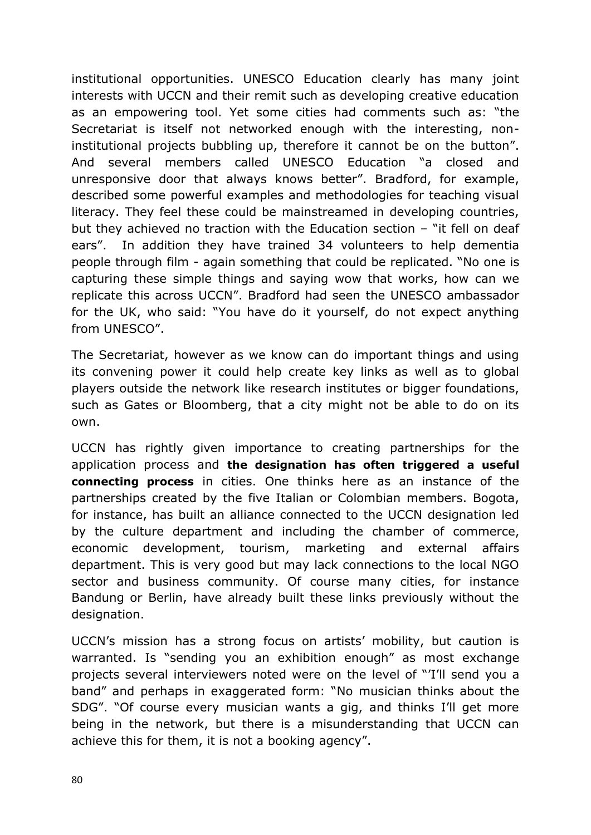institutional opportunities. UNESCO Education clearly has many joint interests with UCCN and their remit such as developing creative education as an empowering tool. Yet some cities had comments such as: "the Secretariat is itself not networked enough with the interesting, noninstitutional projects bubbling up, therefore it cannot be on the button". And several members called UNESCO Education "a closed and unresponsive door that always knows better". Bradford, for example, described some powerful examples and methodologies for teaching visual literacy. They feel these could be mainstreamed in developing countries, but they achieved no traction with the Education section – "it fell on deaf ears". In addition they have trained 34 volunteers to help dementia people through film - again something that could be replicated. "No one is capturing these simple things and saying wow that works, how can we replicate this across UCCN". Bradford had seen the UNESCO ambassador for the UK, who said: "You have do it yourself, do not expect anything from UNESCO".

The Secretariat, however as we know can do important things and using its convening power it could help create key links as well as to global players outside the network like research institutes or bigger foundations, such as Gates or Bloomberg, that a city might not be able to do on its own.

UCCN has rightly given importance to creating partnerships for the application process and **the designation has often triggered a useful connecting process** in cities. One thinks here as an instance of the partnerships created by the five Italian or Colombian members. Bogota, for instance, has built an alliance connected to the UCCN designation led by the culture department and including the chamber of commerce, economic development, tourism, marketing and external affairs department. This is very good but may lack connections to the local NGO sector and business community. Of course many cities, for instance Bandung or Berlin, have already built these links previously without the designation.

UCCN's mission has a strong focus on artists' mobility, but caution is warranted. Is "sending you an exhibition enough" as most exchange projects several interviewers noted were on the level of "'I'll send you a band" and perhaps in exaggerated form: "No musician thinks about the SDG". "Of course every musician wants a gig, and thinks I'll get more being in the network, but there is a misunderstanding that UCCN can achieve this for them, it is not a booking agency".